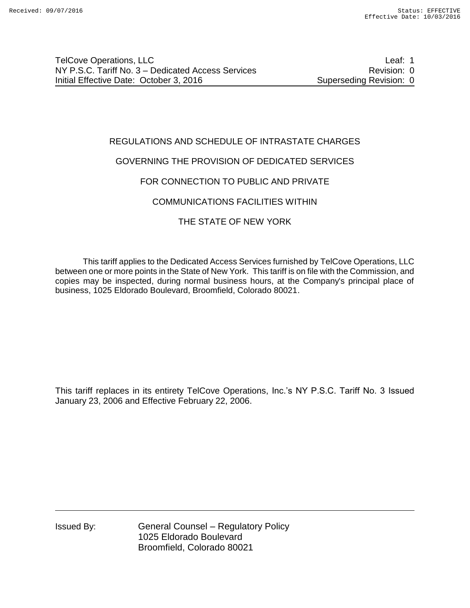# REGULATIONS AND SCHEDULE OF INTRASTATE CHARGES

# GOVERNING THE PROVISION OF DEDICATED SERVICES

# FOR CONNECTION TO PUBLIC AND PRIVATE

# COMMUNICATIONS FACILITIES WITHIN

# THE STATE OF NEW YORK

This tariff applies to the Dedicated Access Services furnished by TelCove Operations, LLC between one or more points in the State of New York. This tariff is on file with the Commission, and copies may be inspected, during normal business hours, at the Company's principal place of business, 1025 Eldorado Boulevard, Broomfield, Colorado 80021.

This tariff replaces in its entirety TelCove Operations, Inc.'s NY P.S.C. Tariff No. 3 Issued January 23, 2006 and Effective February 22, 2006.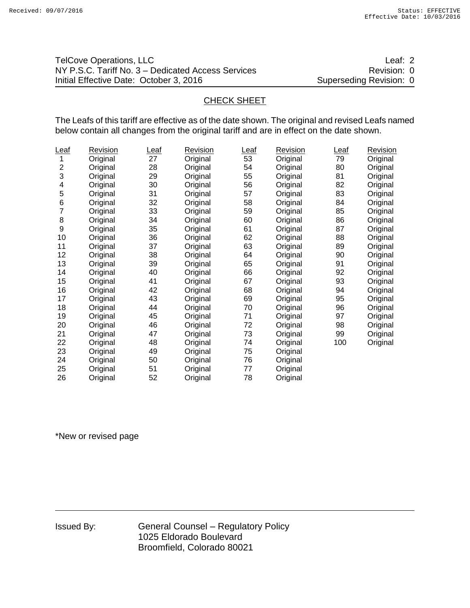| <b>TelCove Operations, LLC</b>                     | Leaf: 2                 |
|----------------------------------------------------|-------------------------|
| NY P.S.C. Tariff No. 3 – Dedicated Access Services | Revision: 0             |
| Initial Effective Date: October 3, 2016            | Superseding Revision: 0 |

## CHECK SHEET

The Leafs of this tariff are effective as of the date shown. The original and revised Leafs named below contain all changes from the original tariff and are in effect on the date shown.

| <u>Leaf</u>      | Revision | <u>Leaf</u> | <b>Revision</b> | <u>Leaf</u> | <b>Revision</b> | <u>Leaf</u> | <b>Revision</b> |
|------------------|----------|-------------|-----------------|-------------|-----------------|-------------|-----------------|
| 1                | Original | 27          | Original        | 53          | Original        | 79          | Original        |
| $\overline{c}$   | Original | 28          | Original        | 54          | Original        | 80          | Original        |
| 3                | Original | 29          | Original        | 55          | Original        | 81          | Original        |
| 4                | Original | 30          | Original        | 56          | Original        | 82          | Original        |
| 5                | Original | 31          | Original        | 57          | Original        | 83          | Original        |
| 6                | Original | 32          | Original        | 58          | Original        | 84          | Original        |
| 7                | Original | 33          | Original        | 59          | Original        | 85          | Original        |
| 8                | Original | 34          | Original        | 60          | Original        | 86          | Original        |
| $\boldsymbol{9}$ | Original | 35          | Original        | 61          | Original        | 87          | Original        |
| 10               | Original | 36          | Original        | 62          | Original        | 88          | Original        |
| 11               | Original | 37          | Original        | 63          | Original        | 89          | Original        |
| 12               | Original | 38          | Original        | 64          | Original        | 90          | Original        |
| 13               | Original | 39          | Original        | 65          | Original        | 91          | Original        |
| 14               | Original | 40          | Original        | 66          | Original        | 92          | Original        |
| 15               | Original | 41          | Original        | 67          | Original        | 93          | Original        |
| 16               | Original | 42          | Original        | 68          | Original        | 94          | Original        |
| 17               | Original | 43          | Original        | 69          | Original        | 95          | Original        |
| 18               | Original | 44          | Original        | 70          | Original        | 96          | Original        |
| 19               | Original | 45          | Original        | 71          | Original        | 97          | Original        |
| 20               | Original | 46          | Original        | 72          | Original        | 98          | Original        |
| 21               | Original | 47          | Original        | 73          | Original        | 99          | Original        |
| 22               | Original | 48          | Original        | 74          | Original        | 100         | Original        |
| 23               | Original | 49          | Original        | 75          | Original        |             |                 |
| 24               | Original | 50          | Original        | 76          | Original        |             |                 |
| 25               | Original | 51          | Original        | 77          | Original        |             |                 |
| 26               | Original | 52          | Original        | 78          | Original        |             |                 |

\*New or revised page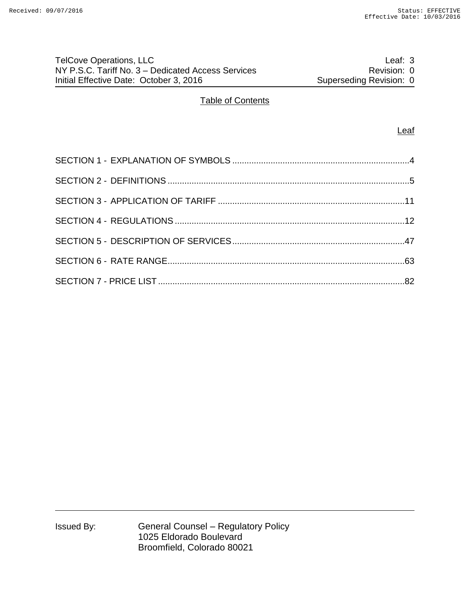# TelCove Operations, LLC **Leaf: 3** NY P.S.C. Tariff No. 3 – Dedicated Access Services **Revision: 0** Revision: 0 Initial Effective Date: October 3, 2016 Superseding Revision: 0

## Table of Contents

#### **Leaf**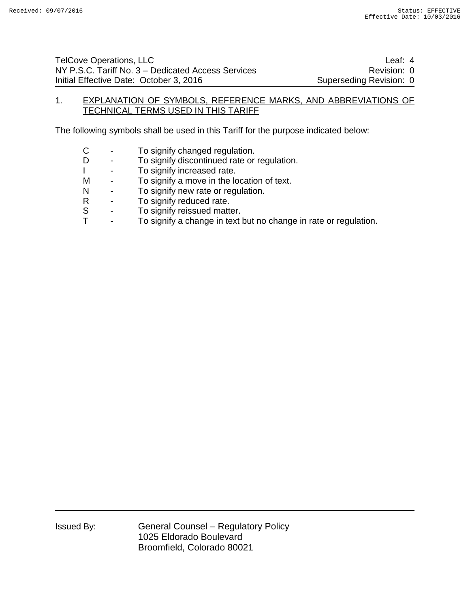### 1. EXPLANATION OF SYMBOLS, REFERENCE MARKS, AND ABBREVIATIONS OF TECHNICAL TERMS USED IN THIS TARIFF

The following symbols shall be used in this Tariff for the purpose indicated below:

- C To signify changed regulation.
- D To signify discontinued rate or regulation.
- I To signify increased rate.
- M To signify a move in the location of text.
- N To signify new rate or regulation.
- R To signify reduced rate.
- S To signify reissued matter.<br>T To signify a change in text
- To signify a change in text but no change in rate or regulation.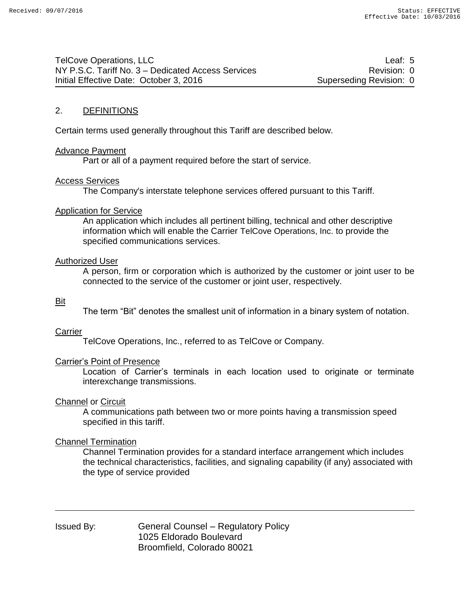TelCove Operations, LLC and the state of the state of the state of the state of the state of the state of the state of the state of the state of the state of the state of the state of the state of the state of the state of NY P.S.C. Tariff No. 3 – Dedicated Access Services Revision: 0 Initial Effective Date: October 3, 2016 Superseding Revision: 0

### 2. DEFINITIONS

Certain terms used generally throughout this Tariff are described below.

#### Advance Payment

Part or all of a payment required before the start of service.

#### Access Services

The Company's interstate telephone services offered pursuant to this Tariff.

### Application for Service

An application which includes all pertinent billing, technical and other descriptive information which will enable the Carrier TelCove Operations, Inc. to provide the specified communications services.

#### Authorized User

A person, firm or corporation which is authorized by the customer or joint user to be connected to the service of the customer or joint user, respectively.

#### Bit

The term "Bit" denotes the smallest unit of information in a binary system of notation.

#### Carrier

TelCove Operations, Inc., referred to as TelCove or Company.

### Carrier's Point of Presence

Location of Carrier's terminals in each location used to originate or terminate interexchange transmissions.

### Channel or Circuit

A communications path between two or more points having a transmission speed specified in this tariff.

### Channel Termination

Channel Termination provides for a standard interface arrangement which includes the technical characteristics, facilities, and signaling capability (if any) associated with the type of service provided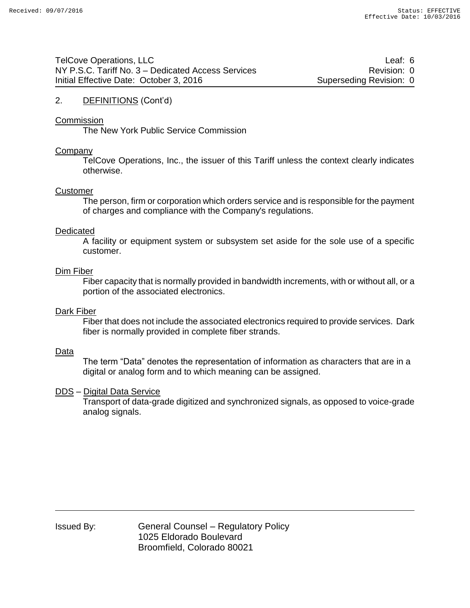### 2. DEFINITIONS (Cont'd)

#### **Commission**

The New York Public Service Commission

#### Company

TelCove Operations, Inc., the issuer of this Tariff unless the context clearly indicates otherwise.

#### Customer

The person, firm or corporation which orders service and is responsible for the payment of charges and compliance with the Company's regulations.

#### Dedicated

A facility or equipment system or subsystem set aside for the sole use of a specific customer.

#### Dim Fiber

Fiber capacity that is normally provided in bandwidth increments, with or without all, or a portion of the associated electronics.

#### Dark Fiber

Fiber that does not include the associated electronics required to provide services. Dark fiber is normally provided in complete fiber strands.

#### Data

The term "Data" denotes the representation of information as characters that are in a digital or analog form and to which meaning can be assigned.

### DDS – Digital Data Service

Transport of data-grade digitized and synchronized signals, as opposed to voice-grade analog signals.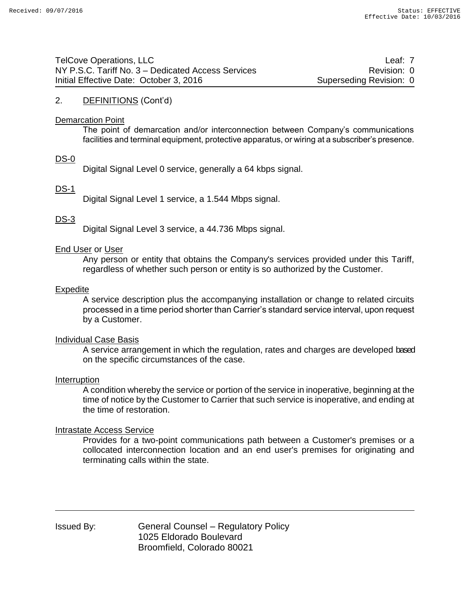| TelCove Operations, LLC                            | Leaf: 7                 |
|----------------------------------------------------|-------------------------|
| NY P.S.C. Tariff No. 3 – Dedicated Access Services | Revision: 0             |
| Initial Effective Date: October 3, 2016            | Superseding Revision: 0 |

## 2. DEFINITIONS (Cont'd)

#### Demarcation Point

The point of demarcation and/or interconnection between Company's communications facilities and terminal equipment, protective apparatus, or wiring at a subscriber's presence.

### DS-0

Digital Signal Level 0 service, generally a 64 kbps signal.

## DS-1

Digital Signal Level 1 service, a 1.544 Mbps signal.

## DS-3

Digital Signal Level 3 service, a 44.736 Mbps signal.

### End User or User

Any person or entity that obtains the Company's services provided under this Tariff, regardless of whether such person or entity is so authorized by the Customer.

#### Expedite

A service description plus the accompanying installation or change to related circuits processed in a time period shorter than Carrier's standard service interval, upon request by a Customer.

### Individual Case Basis

A service arrangement in which the regulation, rates and charges are developed based on the specific circumstances of the case.

#### Interruption

A condition whereby the service or portion of the service in inoperative, beginning at the time of notice by the Customer to Carrier that such service is inoperative, and ending at the time of restoration.

## Intrastate Access Service

Provides for a two-point communications path between a Customer's premises or a collocated interconnection location and an end user's premises for originating and terminating calls within the state.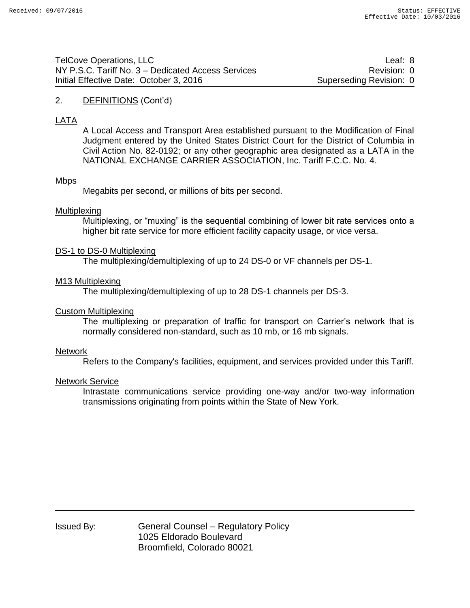| <b>TelCove Operations, LLC</b>                     | Leaf: 8                 |
|----------------------------------------------------|-------------------------|
| NY P.S.C. Tariff No. 3 – Dedicated Access Services | Revision: 0             |
| Initial Effective Date: October 3, 2016            | Superseding Revision: 0 |

#### 2. DEFINITIONS (Cont'd)

# LATA

A Local Access and Transport Area established pursuant to the Modification of Final Judgment entered by the United States District Court for the District of Columbia in Civil Action No. 82-0192; or any other geographic area designated as a LATA in the NATIONAL EXCHANGE CARRIER ASSOCIATION, Inc. Tariff F.C.C. No. 4.

## **Mbps**

Megabits per second, or millions of bits per second.

#### Multiplexing

Multiplexing, or "muxing" is the sequential combining of lower bit rate services onto a higher bit rate service for more efficient facility capacity usage, or vice versa.

#### DS-1 to DS-0 Multiplexing

The multiplexing/demultiplexing of up to 24 DS-0 or VF channels per DS-1.

#### M13 Multiplexing

The multiplexing/demultiplexing of up to 28 DS-1 channels per DS-3.

#### Custom Multiplexing

The multiplexing or preparation of traffic for transport on Carrier's network that is normally considered non-standard, such as 10 mb, or 16 mb signals.

#### Network

Refers to the Company's facilities, equipment, and services provided under this Tariff.

#### Network Service

Intrastate communications service providing one-way and/or two-way information transmissions originating from points within the State of New York.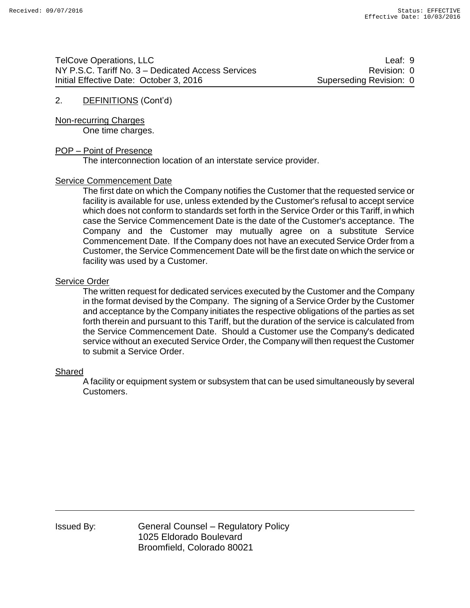TelCove Operations, LLC and the control of the control of the control of the control of the control of the control of the control of the control of the control of the control of the control of the control of the control of NY P.S.C. Tariff No. 3 – Dedicated Access Services Revision: 0 Initial Effective Date: October 3, 2016 Superseding Revision: 0

## 2. DEFINITIONS (Cont'd)

Non-recurring Charges One time charges.

### POP – Point of Presence

The interconnection location of an interstate service provider.

### Service Commencement Date

The first date on which the Company notifies the Customer that the requested service or facility is available for use, unless extended by the Customer's refusal to accept service which does not conform to standards set forth in the Service Order or this Tariff, in which case the Service Commencement Date is the date of the Customer's acceptance. The Company and the Customer may mutually agree on a substitute Service Commencement Date. If the Company does not have an executed Service Order from a Customer, the Service Commencement Date will be the first date on which the service or facility was used by a Customer.

### Service Order

The written request for dedicated services executed by the Customer and the Company in the format devised by the Company. The signing of a Service Order by the Customer and acceptance by the Company initiates the respective obligations of the parties as set forth therein and pursuant to this Tariff, but the duration of the service is calculated from the Service Commencement Date. Should a Customer use the Company's dedicated service without an executed Service Order, the Company will then request the Customer to submit a Service Order.

### Shared

A facility or equipment system or subsystem that can be used simultaneously by several Customers.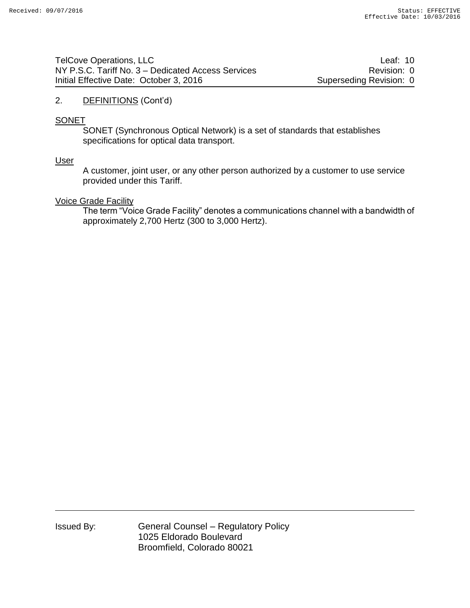| <b>TelCove Operations, LLC</b>                     | Leaf: 10                |
|----------------------------------------------------|-------------------------|
| NY P.S.C. Tariff No. 3 – Dedicated Access Services | Revision: 0             |
| Initial Effective Date: October 3, 2016            | Superseding Revision: 0 |

### 2. DEFINITIONS (Cont'd)

### **SONET**

SONET (Synchronous Optical Network) is a set of standards that establishes specifications for optical data transport.

### User

A customer, joint user, or any other person authorized by a customer to use service provided under this Tariff.

### Voice Grade Facility

The term "Voice Grade Facility" denotes a communications channel with a bandwidth of approximately 2,700 Hertz (300 to 3,000 Hertz).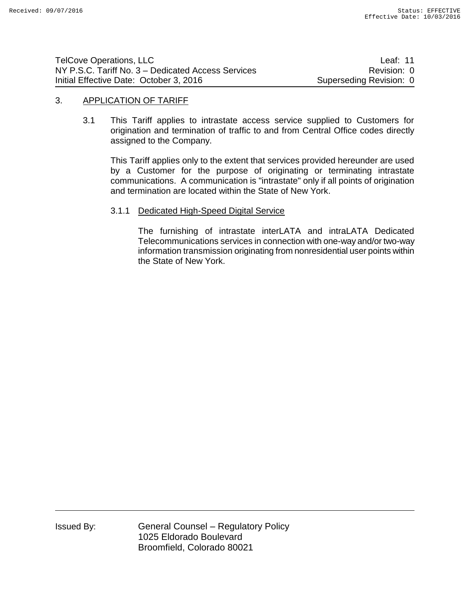| <b>TelCove Operations, LLC</b>                     | Leaf: 11                |
|----------------------------------------------------|-------------------------|
| NY P.S.C. Tariff No. 3 – Dedicated Access Services | Revision: 0             |
| Initial Effective Date: October 3, 2016            | Superseding Revision: 0 |

### 3. APPLICATION OF TARIFF

3.1 This Tariff applies to intrastate access service supplied to Customers for origination and termination of traffic to and from Central Office codes directly assigned to the Company.

This Tariff applies only to the extent that services provided hereunder are used by a Customer for the purpose of originating or terminating intrastate communications. A communication is "intrastate" only if all points of origination and termination are located within the State of New York.

## 3.1.1 Dedicated High-Speed Digital Service

The furnishing of intrastate interLATA and intraLATA Dedicated Telecommunications services in connection with one-way and/or two-way information transmission originating from nonresidential user points within the State of New York.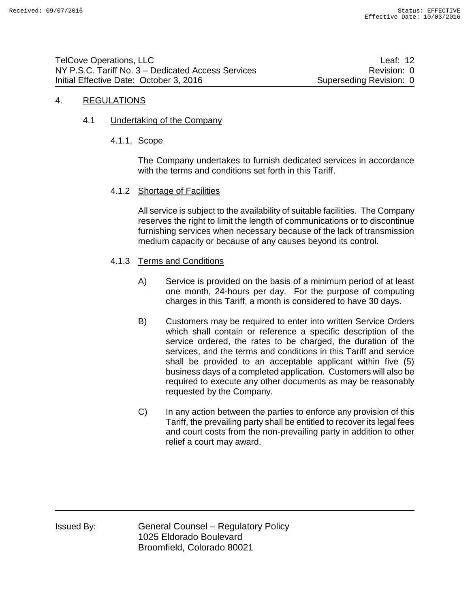## 4. REGULATIONS

4.1 Undertaking of the Company

### 4.1.1. Scope

The Company undertakes to furnish dedicated services in accordance with the terms and conditions set forth in this Tariff.

### 4.1.2 Shortage of Facilities

All service is subject to the availability of suitable facilities. The Company reserves the right to limit the length of communications or to discontinue furnishing services when necessary because of the lack of transmission medium capacity or because of any causes beyond its control.

## 4.1.3 Terms and Conditions

- A) Service is provided on the basis of a minimum period of at least one month, 24-hours per day. For the purpose of computing charges in this Tariff, a month is considered to have 30 days.
- B) Customers may be required to enter into written Service Orders which shall contain or reference a specific description of the service ordered, the rates to be charged, the duration of the services, and the terms and conditions in this Tariff and service shall be provided to an acceptable applicant within five (5) business days of a completed application. Customers will also be required to execute any other documents as may be reasonably requested by the Company.
- C) In any action between the parties to enforce any provision of this Tariff, the prevailing party shall be entitled to recover its legal fees and court costs from the non-prevailing party in addition to other relief a court may award.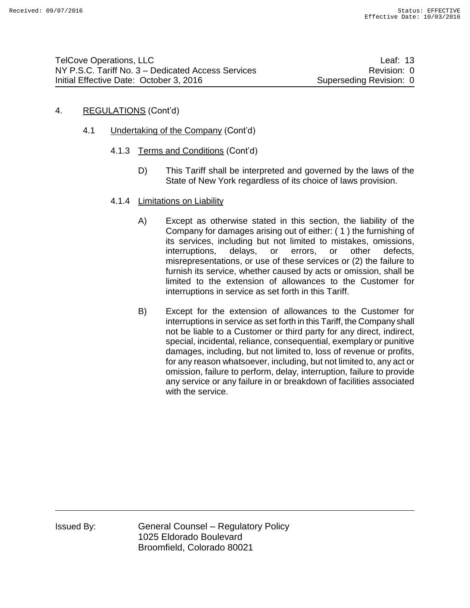# 4. REGULATIONS (Cont'd)

- 4.1 Undertaking of the Company (Cont'd)
	- 4.1.3 Terms and Conditions (Cont'd)
		- D) This Tariff shall be interpreted and governed by the laws of the State of New York regardless of its choice of laws provision.
	- 4.1.4 Limitations on Liability
		- A) Except as otherwise stated in this section, the liability of the Company for damages arising out of either: ( 1 ) the furnishing of its services, including but not limited to mistakes, omissions, interruptions, delays, or errors, or other defects, misrepresentations, or use of these services or (2) the failure to furnish its service, whether caused by acts or omission, shall be limited to the extension of allowances to the Customer for interruptions in service as set forth in this Tariff.
		- B) Except for the extension of allowances to the Customer for interruptions in service as set forth in this Tariff, the Company shall not be liable to a Customer or third party for any direct, indirect, special, incidental, reliance, consequential, exemplary or punitive damages, including, but not limited to, loss of revenue or profits, for any reason whatsoever, including, but not limited to, any act or omission, failure to perform, delay, interruption, failure to provide any service or any failure in or breakdown of facilities associated with the service.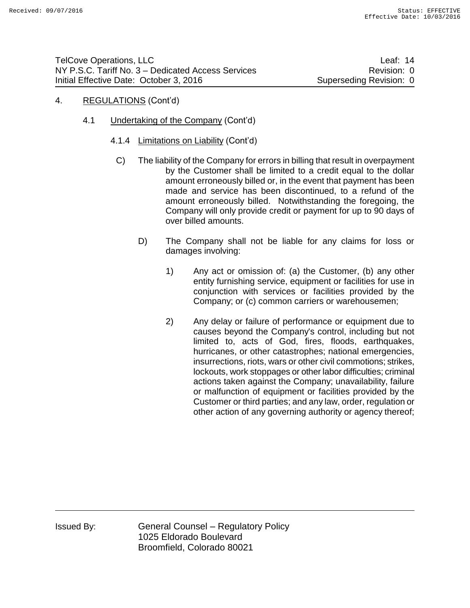- 4. REGULATIONS (Cont'd)
	- 4.1 Undertaking of the Company (Cont'd)
		- 4.1.4 Limitations on Liability (Cont'd)
			- C) The liability of the Company for errors in billing that result in overpayment by the Customer shall be limited to a credit equal to the dollar amount erroneously billed or, in the event that payment has been made and service has been discontinued, to a refund of the amount erroneously billed. Notwithstanding the foregoing, the Company will only provide credit or payment for up to 90 days of over billed amounts.
				- D) The Company shall not be liable for any claims for loss or damages involving:
					- 1) Any act or omission of: (a) the Customer, (b) any other entity furnishing service, equipment or facilities for use in conjunction with services or facilities provided by the Company; or (c) common carriers or warehousemen;
					- 2) Any delay or failure of performance or equipment due to causes beyond the Company's control, including but not limited to, acts of God, fires, floods, earthquakes, hurricanes, or other catastrophes; national emergencies, insurrections, riots, wars or other civil commotions; strikes, lockouts, work stoppages or other labor difficulties; criminal actions taken against the Company; unavailability, failure or malfunction of equipment or facilities provided by the Customer or third parties; and any law, order, regulation or other action of any governing authority or agency thereof;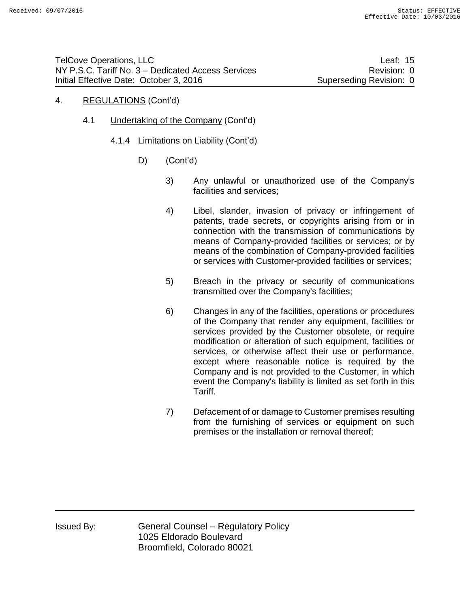### 4. REGULATIONS (Cont'd)

- 4.1 Undertaking of the Company (Cont'd)
	- 4.1.4 Limitations on Liability (Cont'd)
		- D) (Cont'd)
			- 3) Any unlawful or unauthorized use of the Company's facilities and services;
			- 4) Libel, slander, invasion of privacy or infringement of patents, trade secrets, or copyrights arising from or in connection with the transmission of communications by means of Company-provided facilities or services; or by means of the combination of Company-provided facilities or services with Customer-provided facilities or services;
			- 5) Breach in the privacy or security of communications transmitted over the Company's facilities;
			- 6) Changes in any of the facilities, operations or procedures of the Company that render any equipment, facilities or services provided by the Customer obsolete, or require modification or alteration of such equipment, facilities or services, or otherwise affect their use or performance, except where reasonable notice is required by the Company and is not provided to the Customer, in which event the Company's liability is limited as set forth in this Tariff.
			- 7) Defacement of or damage to Customer premises resulting from the furnishing of services or equipment on such premises or the installation or removal thereof;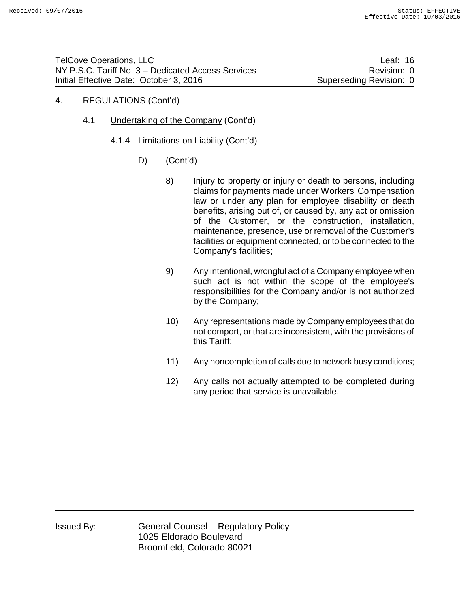- 4. REGULATIONS (Cont'd)
	- 4.1 Undertaking of the Company (Cont'd)
		- 4.1.4 Limitations on Liability (Cont'd)
			- D) (Cont'd)
				- 8) Injury to property or injury or death to persons, including claims for payments made under Workers' Compensation law or under any plan for employee disability or death benefits, arising out of, or caused by, any act or omission of the Customer, or the construction, installation, maintenance, presence, use or removal of the Customer's facilities or equipment connected, or to be connected to the Company's facilities;
				- 9) Any intentional, wrongful act of a Company employee when such act is not within the scope of the employee's responsibilities for the Company and/or is not authorized by the Company;
				- 10) Any representations made by Company employees that do not comport, or that are inconsistent, with the provisions of this Tariff;
				- 11) Any noncompletion of calls due to network busy conditions;
				- 12) Any calls not actually attempted to be completed during any period that service is unavailable.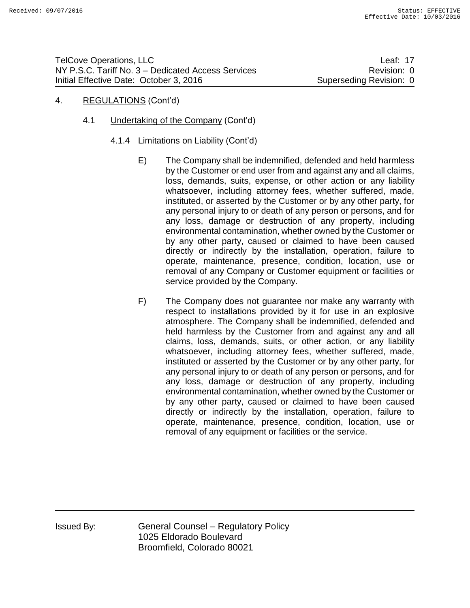## 4. REGULATIONS (Cont'd)

- 4.1 Undertaking of the Company (Cont'd)
	- 4.1.4 Limitations on Liability (Cont'd)
		- E) The Company shall be indemnified, defended and held harmless by the Customer or end user from and against any and all claims, loss, demands, suits, expense, or other action or any liability whatsoever, including attorney fees, whether suffered, made, instituted, or asserted by the Customer or by any other party, for any personal injury to or death of any person or persons, and for any loss, damage or destruction of any property, including environmental contamination, whether owned by the Customer or by any other party, caused or claimed to have been caused directly or indirectly by the installation, operation, failure to operate, maintenance, presence, condition, location, use or removal of any Company or Customer equipment or facilities or service provided by the Company.
		- F) The Company does not guarantee nor make any warranty with respect to installations provided by it for use in an explosive atmosphere. The Company shall be indemnified, defended and held harmless by the Customer from and against any and all claims, loss, demands, suits, or other action, or any liability whatsoever, including attorney fees, whether suffered, made, instituted or asserted by the Customer or by any other party, for any personal injury to or death of any person or persons, and for any loss, damage or destruction of any property, including environmental contamination, whether owned by the Customer or by any other party, caused or claimed to have been caused directly or indirectly by the installation, operation, failure to operate, maintenance, presence, condition, location, use or removal of any equipment or facilities or the service.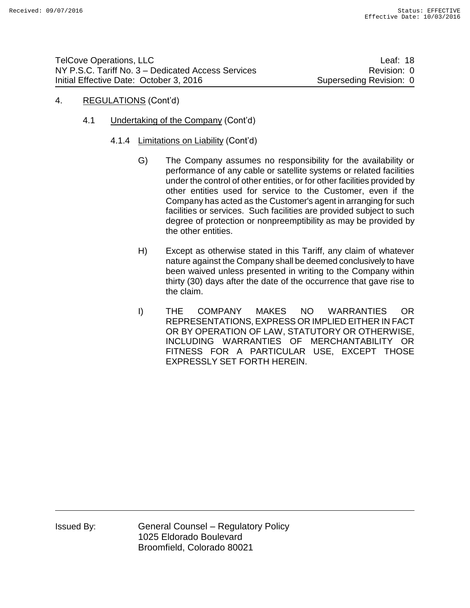## 4. REGULATIONS (Cont'd)

- 4.1 Undertaking of the Company (Cont'd)
	- 4.1.4 Limitations on Liability (Cont'd)
		- G) The Company assumes no responsibility for the availability or performance of any cable or satellite systems or related facilities under the control of other entities, or for other facilities provided by other entities used for service to the Customer, even if the Company has acted as the Customer's agent in arranging for such facilities or services. Such facilities are provided subject to such degree of protection or nonpreemptibility as may be provided by the other entities.
		- H) Except as otherwise stated in this Tariff, any claim of whatever nature against the Company shall be deemed conclusively to have been waived unless presented in writing to the Company within thirty (30) days after the date of the occurrence that gave rise to the claim.
		- I) THE COMPANY MAKES NO WARRANTIES OR REPRESENTATIONS, EXPRESS OR IMPLIED EITHER IN FACT OR BY OPERATION OF LAW, STATUTORY OR OTHERWISE, INCLUDING WARRANTIES OF MERCHANTABILITY OR FITNESS FOR A PARTICULAR USE, EXCEPT THOSE EXPRESSLY SET FORTH HEREIN.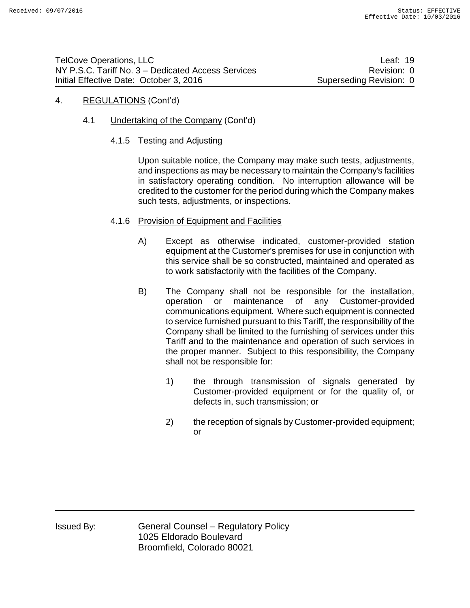## 4. REGULATIONS (Cont'd)

- 4.1 Undertaking of the Company (Cont'd)
	- 4.1.5 Testing and Adjusting

Upon suitable notice, the Company may make such tests, adjustments, and inspections as may be necessary to maintain the Company's facilities in satisfactory operating condition. No interruption allowance will be credited to the customer for the period during which the Company makes such tests, adjustments, or inspections.

- 4.1.6 Provision of Equipment and Facilities
	- A) Except as otherwise indicated, customer-provided station equipment at the Customer's premises for use in conjunction with this service shall be so constructed, maintained and operated as to work satisfactorily with the facilities of the Company.
	- B) The Company shall not be responsible for the installation, operation or maintenance of any Customer-provided communications equipment. Where such equipment is connected to service furnished pursuant to this Tariff, the responsibility of the Company shall be limited to the furnishing of services under this Tariff and to the maintenance and operation of such services in the proper manner. Subject to this responsibility, the Company shall not be responsible for:
		- 1) the through transmission of signals generated by Customer-provided equipment or for the quality of, or defects in, such transmission; or
		- 2) the reception of signals by Customer-provided equipment; or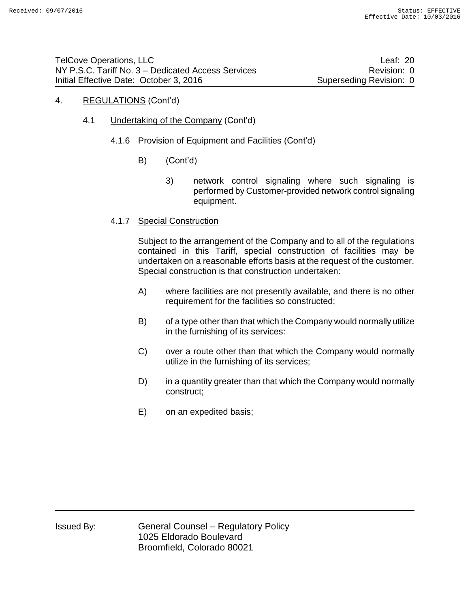## 4. REGULATIONS (Cont'd)

- 4.1 Undertaking of the Company (Cont'd)
	- 4.1.6 Provision of Equipment and Facilities (Cont'd)
		- B) (Cont'd)
			- 3) network control signaling where such signaling is performed by Customer-provided network control signaling equipment.
	- 4.1.7 Special Construction

Subject to the arrangement of the Company and to all of the regulations contained in this Tariff, special construction of facilities may be undertaken on a reasonable efforts basis at the request of the customer. Special construction is that construction undertaken:

- A) where facilities are not presently available, and there is no other requirement for the facilities so constructed;
- B) of a type other than that which the Company would normally utilize in the furnishing of its services:
- C) over a route other than that which the Company would normally utilize in the furnishing of its services;
- D) in a quantity greater than that which the Company would normally construct;
- E) on an expedited basis;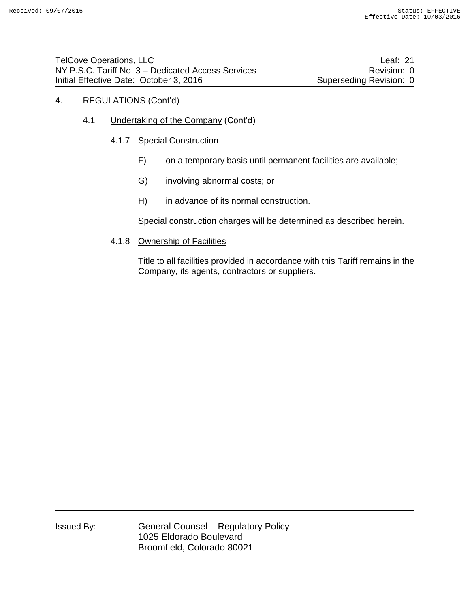- 4. REGULATIONS (Cont'd)
	- 4.1 Undertaking of the Company (Cont'd)
		- 4.1.7 Special Construction
			- F) on a temporary basis until permanent facilities are available;
			- G) involving abnormal costs; or
			- H) in advance of its normal construction.

Special construction charges will be determined as described herein.

4.1.8 Ownership of Facilities

Title to all facilities provided in accordance with this Tariff remains in the Company, its agents, contractors or suppliers.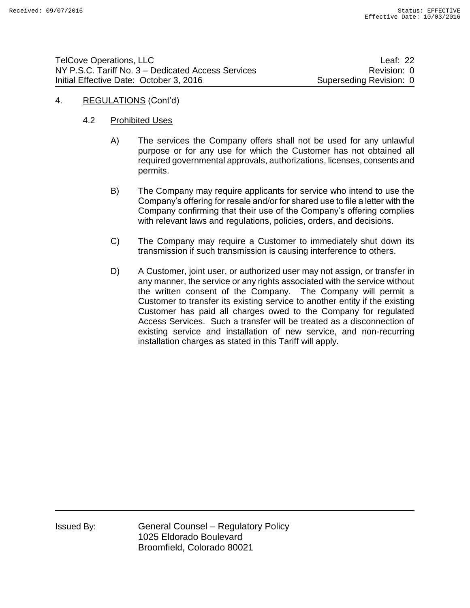| <b>TelCove Operations, LLC</b>                     | Leaf: $22$              |
|----------------------------------------------------|-------------------------|
| NY P.S.C. Tariff No. 3 – Dedicated Access Services | Revision: 0             |
| Initial Effective Date: October 3, 2016            | Superseding Revision: 0 |

4. REGULATIONS (Cont'd)

# 4.2 Prohibited Uses

- A) The services the Company offers shall not be used for any unlawful purpose or for any use for which the Customer has not obtained all required governmental approvals, authorizations, licenses, consents and permits.
- B) The Company may require applicants for service who intend to use the Company's offering for resale and/or for shared use to file a letter with the Company confirming that their use of the Company's offering complies with relevant laws and regulations, policies, orders, and decisions.
- C) The Company may require a Customer to immediately shut down its transmission if such transmission is causing interference to others.
- D) A Customer, joint user, or authorized user may not assign, or transfer in any manner, the service or any rights associated with the service without the written consent of the Company. The Company will permit a Customer to transfer its existing service to another entity if the existing Customer has paid all charges owed to the Company for regulated Access Services. Such a transfer will be treated as a disconnection of existing service and installation of new service, and non-recurring installation charges as stated in this Tariff will apply.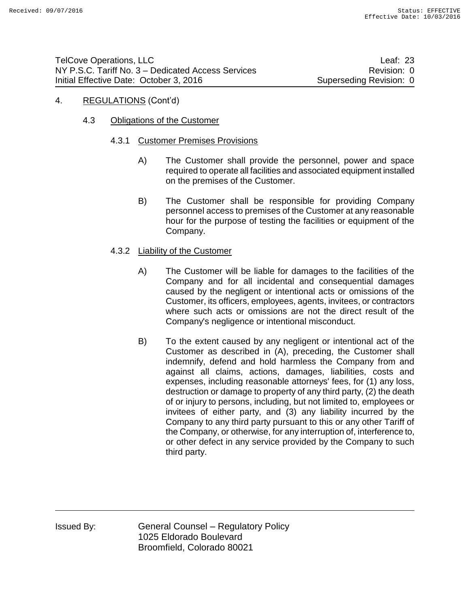## 4. REGULATIONS (Cont'd)

## 4.3 Obligations of the Customer

### 4.3.1 Customer Premises Provisions

- A) The Customer shall provide the personnel, power and space required to operate all facilities and associated equipment installed on the premises of the Customer.
- B) The Customer shall be responsible for providing Company personnel access to premises of the Customer at any reasonable hour for the purpose of testing the facilities or equipment of the Company.

## 4.3.2 Liability of the Customer

- A) The Customer will be liable for damages to the facilities of the Company and for all incidental and consequential damages caused by the negligent or intentional acts or omissions of the Customer, its officers, employees, agents, invitees, or contractors where such acts or omissions are not the direct result of the Company's negligence or intentional misconduct.
- B) To the extent caused by any negligent or intentional act of the Customer as described in (A), preceding, the Customer shall indemnify, defend and hold harmless the Company from and against all claims, actions, damages, liabilities, costs and expenses, including reasonable attorneys' fees, for (1) any loss, destruction or damage to property of any third party, (2) the death of or injury to persons, including, but not limited to, employees or invitees of either party, and (3) any liability incurred by the Company to any third party pursuant to this or any other Tariff of the Company, or otherwise, for any interruption of, interference to, or other defect in any service provided by the Company to such third party.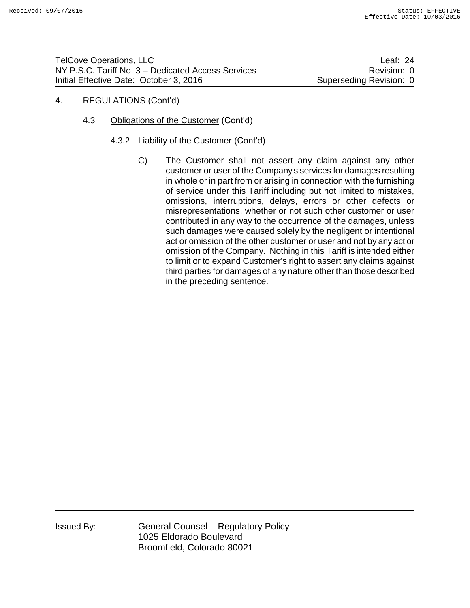# 4. REGULATIONS (Cont'd)

- 4.3 Obligations of the Customer (Cont'd)
	- 4.3.2 Liability of the Customer (Cont'd)
		- C) The Customer shall not assert any claim against any other customer or user of the Company's services for damages resulting in whole or in part from or arising in connection with the furnishing of service under this Tariff including but not limited to mistakes, omissions, interruptions, delays, errors or other defects or misrepresentations, whether or not such other customer or user contributed in any way to the occurrence of the damages, unless such damages were caused solely by the negligent or intentional act or omission of the other customer or user and not by any act or omission of the Company. Nothing in this Tariff is intended either to limit or to expand Customer's right to assert any claims against third parties for damages of any nature other than those described in the preceding sentence.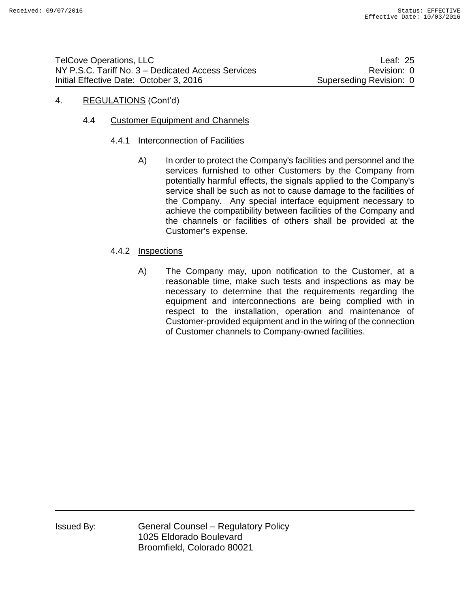# 4. REGULATIONS (Cont'd)

# 4.4 Customer Equipment and Channels

- 4.4.1 Interconnection of Facilities
	- A) In order to protect the Company's facilities and personnel and the services furnished to other Customers by the Company from potentially harmful effects, the signals applied to the Company's service shall be such as not to cause damage to the facilities of the Company. Any special interface equipment necessary to achieve the compatibility between facilities of the Company and the channels or facilities of others shall be provided at the Customer's expense.

# 4.4.2 Inspections

A) The Company may, upon notification to the Customer, at a reasonable time, make such tests and inspections as may be necessary to determine that the requirements regarding the equipment and interconnections are being complied with in respect to the installation, operation and maintenance of Customer-provided equipment and in the wiring of the connection of Customer channels to Company-owned facilities.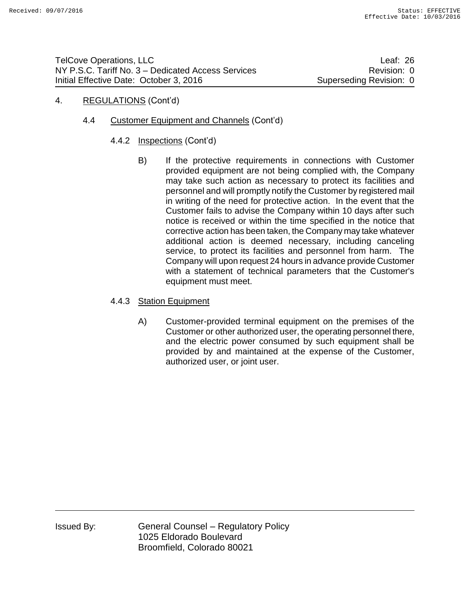## 4. REGULATIONS (Cont'd)

- 4.4 Customer Equipment and Channels (Cont'd)
	- 4.4.2 Inspections (Cont'd)
		- B) If the protective requirements in connections with Customer provided equipment are not being complied with, the Company may take such action as necessary to protect its facilities and personnel and will promptly notify the Customer by registered mail in writing of the need for protective action. In the event that the Customer fails to advise the Company within 10 days after such notice is received or within the time specified in the notice that corrective action has been taken, the Company may take whatever additional action is deemed necessary, including canceling service, to protect its facilities and personnel from harm. The Company will upon request 24 hours in advance provide Customer with a statement of technical parameters that the Customer's equipment must meet.
	- 4.4.3 Station Equipment
		- A) Customer-provided terminal equipment on the premises of the Customer or other authorized user, the operating personnel there, and the electric power consumed by such equipment shall be provided by and maintained at the expense of the Customer, authorized user, or joint user.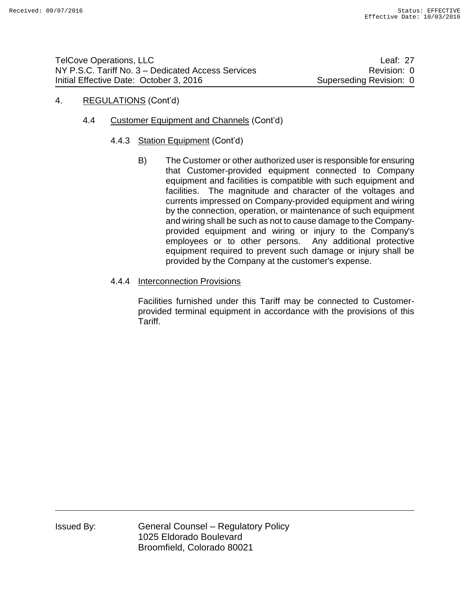## 4. REGULATIONS (Cont'd)

- 4.4 Customer Equipment and Channels (Cont'd)
	- 4.4.3 Station Equipment (Cont'd)
		- B) The Customer or other authorized user is responsible for ensuring that Customer-provided equipment connected to Company equipment and facilities is compatible with such equipment and facilities. The magnitude and character of the voltages and currents impressed on Company-provided equipment and wiring by the connection, operation, or maintenance of such equipment and wiring shall be such as not to cause damage to the Companyprovided equipment and wiring or injury to the Company's employees or to other persons. Any additional protective equipment required to prevent such damage or injury shall be provided by the Company at the customer's expense.
	- 4.4.4 Interconnection Provisions

Facilities furnished under this Tariff may be connected to Customerprovided terminal equipment in accordance with the provisions of this Tariff.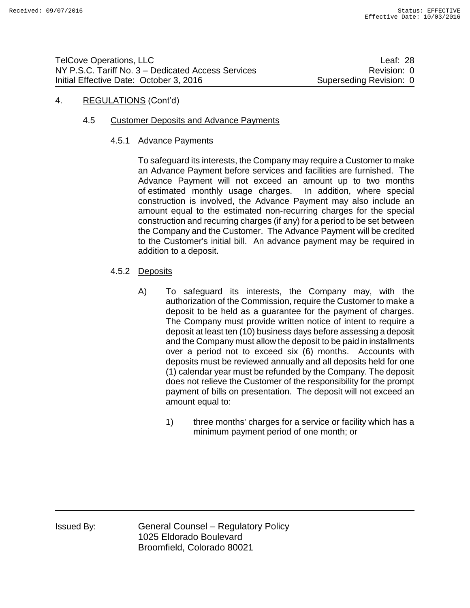## 4. REGULATIONS (Cont'd)

## 4.5 Customer Deposits and Advance Payments

## 4.5.1 Advance Payments

To safeguard its interests, the Company may require a Customer to make an Advance Payment before services and facilities are furnished. The Advance Payment will not exceed an amount up to two months of estimated monthly usage charges. In addition, where special construction is involved, the Advance Payment may also include an amount equal to the estimated non-recurring charges for the special construction and recurring charges (if any) for a period to be set between the Company and the Customer. The Advance Payment will be credited to the Customer's initial bill. An advance payment may be required in addition to a deposit.

- 4.5.2 Deposits
	- A) To safeguard its interests, the Company may, with the authorization of the Commission, require the Customer to make a deposit to be held as a guarantee for the payment of charges. The Company must provide written notice of intent to require a deposit at least ten (10) business days before assessing a deposit and the Company must allow the deposit to be paid in installments over a period not to exceed six (6) months. Accounts with deposits must be reviewed annually and all deposits held for one (1) calendar year must be refunded by the Company. The deposit does not relieve the Customer of the responsibility for the prompt payment of bills on presentation. The deposit will not exceed an amount equal to:
		- 1) three months' charges for a service or facility which has a minimum payment period of one month; or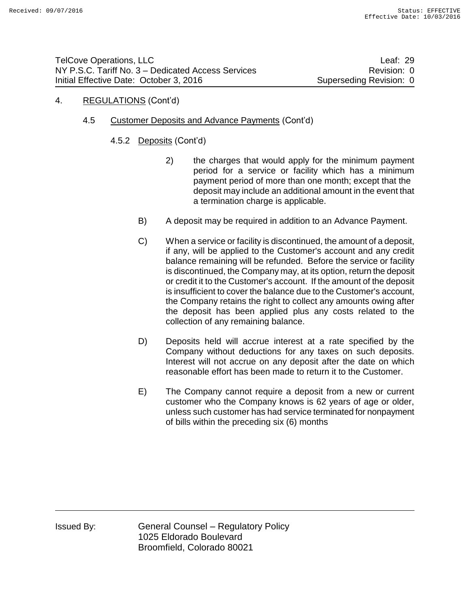# 4. REGULATIONS (Cont'd)

- 4.5 Customer Deposits and Advance Payments (Cont'd)
	- 4.5.2 Deposits (Cont'd)
		- 2) the charges that would apply for the minimum payment period for a service or facility which has a minimum payment period of more than one month; except that the deposit may include an additional amount in the event that a termination charge is applicable.
		- B) A deposit may be required in addition to an Advance Payment.
		- C) When a service or facility is discontinued, the amount of a deposit, if any, will be applied to the Customer's account and any credit balance remaining will be refunded. Before the service or facility is discontinued, the Company may, at its option, return the deposit or credit it to the Customer's account. If the amount of the deposit is insufficient to cover the balance due to the Customer's account, the Company retains the right to collect any amounts owing after the deposit has been applied plus any costs related to the collection of any remaining balance.
		- D) Deposits held will accrue interest at a rate specified by the Company without deductions for any taxes on such deposits. Interest will not accrue on any deposit after the date on which reasonable effort has been made to return it to the Customer.
		- E) The Company cannot require a deposit from a new or current customer who the Company knows is 62 years of age or older, unless such customer has had service terminated for nonpayment of bills within the preceding six (6) months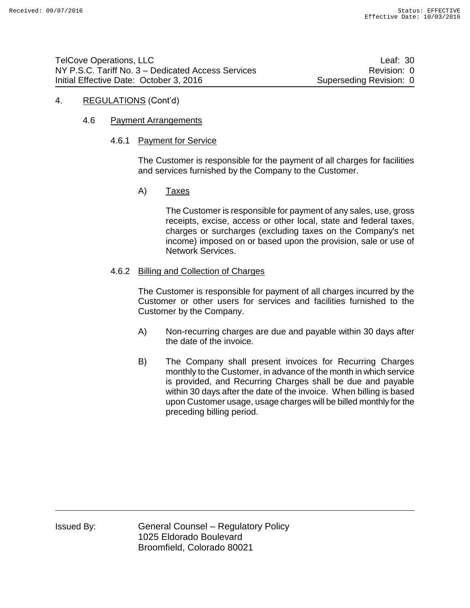### 4. REGULATIONS (Cont'd)

## 4.6 Payment Arrangements

### 4.6.1 Payment for Service

The Customer is responsible for the payment of all charges for facilities and services furnished by the Company to the Customer.

### A) Taxes

The Customer is responsible for payment of any sales, use, gross receipts, excise, access or other local, state and federal taxes, charges or surcharges (excluding taxes on the Company's net income) imposed on or based upon the provision, sale or use of Network Services.

## 4.6.2 Billing and Collection of Charges

The Customer is responsible for payment of all charges incurred by the Customer or other users for services and facilities furnished to the Customer by the Company.

- A) Non-recurring charges are due and payable within 30 days after the date of the invoice.
- B) The Company shall present invoices for Recurring Charges monthly to the Customer, in advance of the month in which service is provided, and Recurring Charges shall be due and payable within 30 days after the date of the invoice. When billing is based upon Customer usage, usage charges will be billed monthly for the preceding billing period.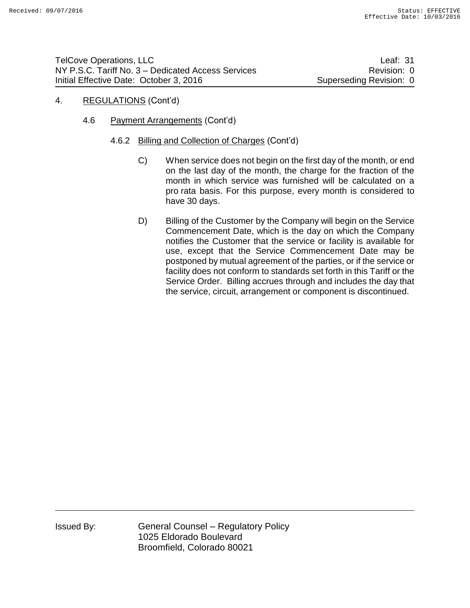## 4. REGULATIONS (Cont'd)

- 4.6 Payment Arrangements (Cont'd)
	- 4.6.2 Billing and Collection of Charges (Cont'd)
		- C) When service does not begin on the first day of the month, or end on the last day of the month, the charge for the fraction of the month in which service was furnished will be calculated on a pro rata basis. For this purpose, every month is considered to have 30 days.
		- D) Billing of the Customer by the Company will begin on the Service Commencement Date, which is the day on which the Company notifies the Customer that the service or facility is available for use, except that the Service Commencement Date may be postponed by mutual agreement of the parties, or if the service or facility does not conform to standards set forth in this Tariff or the Service Order. Billing accrues through and includes the day that the service, circuit, arrangement or component is discontinued.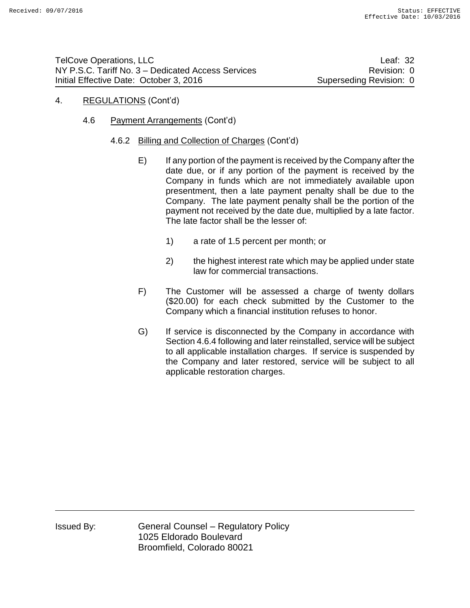## 4. REGULATIONS (Cont'd)

- 4.6 Payment Arrangements (Cont'd)
	- 4.6.2 Billing and Collection of Charges (Cont'd)
		- E) If any portion of the payment is received by the Company after the date due, or if any portion of the payment is received by the Company in funds which are not immediately available upon presentment, then a late payment penalty shall be due to the Company. The late payment penalty shall be the portion of the payment not received by the date due, multiplied by a late factor. The late factor shall be the lesser of:
			- 1) a rate of 1.5 percent per month; or
			- 2) the highest interest rate which may be applied under state law for commercial transactions.
		- F) The Customer will be assessed a charge of twenty dollars (\$20.00) for each check submitted by the Customer to the Company which a financial institution refuses to honor.
		- G) If service is disconnected by the Company in accordance with Section 4.6.4 following and later reinstalled, service will be subject to all applicable installation charges. If service is suspended by the Company and later restored, service will be subject to all applicable restoration charges.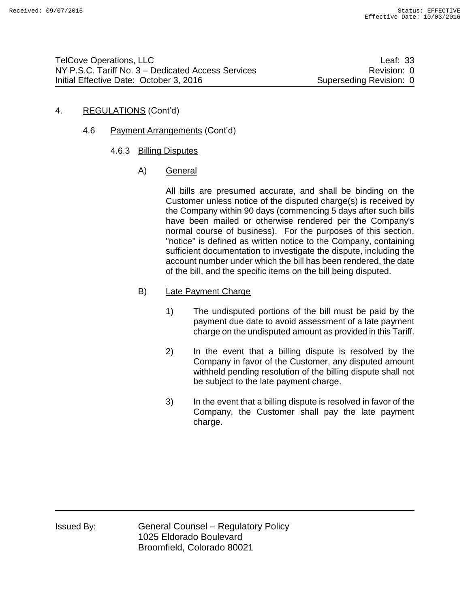# 4. REGULATIONS (Cont'd)

- 4.6 Payment Arrangements (Cont'd)
	- 4.6.3 Billing Disputes
		- A) General

All bills are presumed accurate, and shall be binding on the Customer unless notice of the disputed charge(s) is received by the Company within 90 days (commencing 5 days after such bills have been mailed or otherwise rendered per the Company's normal course of business). For the purposes of this section, "notice'' is defined as written notice to the Company, containing sufficient documentation to investigate the dispute, including the account number under which the bill has been rendered, the date of the bill, and the specific items on the bill being disputed.

# B) Late Payment Charge

- 1) The undisputed portions of the bill must be paid by the payment due date to avoid assessment of a late payment charge on the undisputed amount as provided in this Tariff.
- 2) In the event that a billing dispute is resolved by the Company in favor of the Customer, any disputed amount withheld pending resolution of the billing dispute shall not be subject to the late payment charge.
- 3) In the event that a billing dispute is resolved in favor of the Company, the Customer shall pay the late payment charge.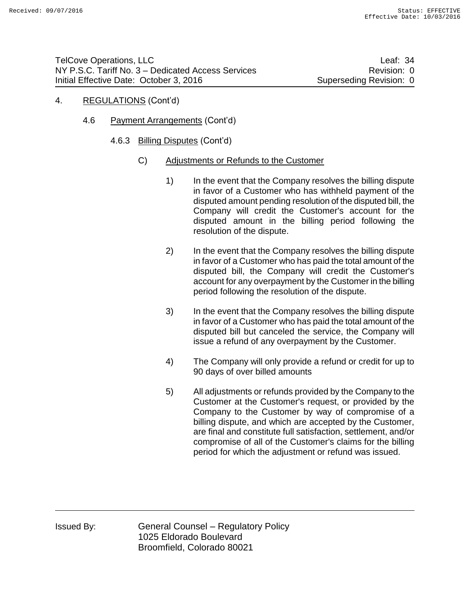- 4. REGULATIONS (Cont'd)
	- 4.6 Payment Arrangements (Cont'd)
		- 4.6.3 Billing Disputes (Cont'd)
			- C) Adjustments or Refunds to the Customer
				- 1) In the event that the Company resolves the billing dispute in favor of a Customer who has withheld payment of the disputed amount pending resolution of the disputed bill, the Company will credit the Customer's account for the disputed amount in the billing period following the resolution of the dispute.
				- 2) In the event that the Company resolves the billing dispute in favor of a Customer who has paid the total amount of the disputed bill, the Company will credit the Customer's account for any overpayment by the Customer in the billing period following the resolution of the dispute.
				- 3) In the event that the Company resolves the billing dispute in favor of a Customer who has paid the total amount of the disputed bill but canceled the service, the Company will issue a refund of any overpayment by the Customer.
				- 4) The Company will only provide a refund or credit for up to 90 days of over billed amounts
				- 5) All adjustments or refunds provided by the Company to the Customer at the Customer's request, or provided by the Company to the Customer by way of compromise of a billing dispute, and which are accepted by the Customer, are final and constitute full satisfaction, settlement, and/or compromise of all of the Customer's claims for the billing period for which the adjustment or refund was issued.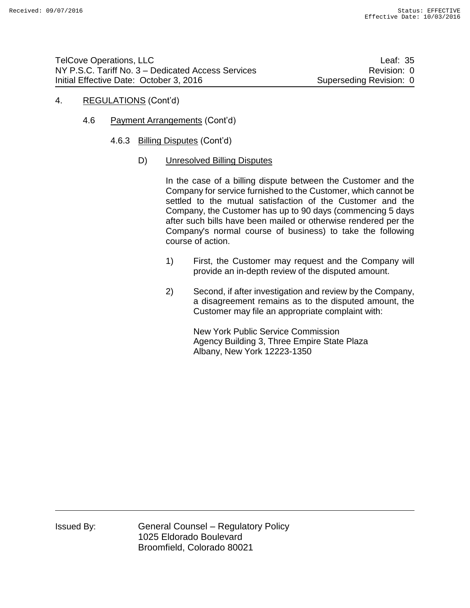- 4. REGULATIONS (Cont'd)
	- 4.6 Payment Arrangements (Cont'd)
		- 4.6.3 Billing Disputes (Cont'd)
			- D) Unresolved Billing Disputes

In the case of a billing dispute between the Customer and the Company for service furnished to the Customer, which cannot be settled to the mutual satisfaction of the Customer and the Company, the Customer has up to 90 days (commencing 5 days after such bills have been mailed or otherwise rendered per the Company's normal course of business) to take the following course of action.

- 1) First, the Customer may request and the Company will provide an in-depth review of the disputed amount.
- 2) Second, if after investigation and review by the Company, a disagreement remains as to the disputed amount, the Customer may file an appropriate complaint with:

New York Public Service Commission Agency Building 3, Three Empire State Plaza Albany, New York 12223-1350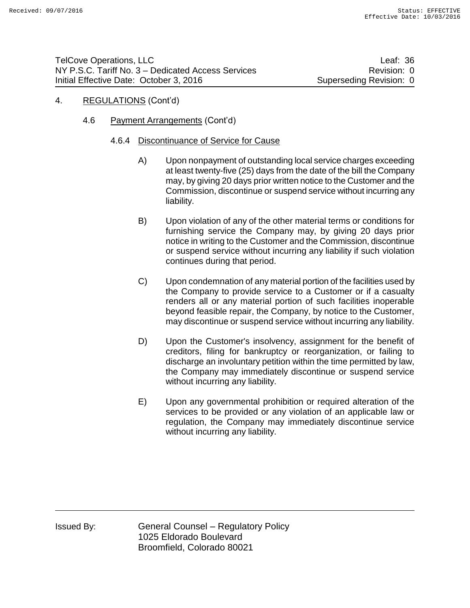# 4. REGULATIONS (Cont'd)

4.6 Payment Arrangements (Cont'd)

### 4.6.4 Discontinuance of Service for Cause

- A) Upon nonpayment of outstanding local service charges exceeding at least twenty-five (25) days from the date of the bill the Company may, by giving 20 days prior written notice to the Customer and the Commission, discontinue or suspend service without incurring any liability.
- B) Upon violation of any of the other material terms or conditions for furnishing service the Company may, by giving 20 days prior notice in writing to the Customer and the Commission, discontinue or suspend service without incurring any liability if such violation continues during that period.
- C) Upon condemnation of any material portion of the facilities used by the Company to provide service to a Customer or if a casualty renders all or any material portion of such facilities inoperable beyond feasible repair, the Company, by notice to the Customer, may discontinue or suspend service without incurring any liability.
- D) Upon the Customer's insolvency, assignment for the benefit of creditors, filing for bankruptcy or reorganization, or failing to discharge an involuntary petition within the time permitted by law, the Company may immediately discontinue or suspend service without incurring any liability.
- E) Upon any governmental prohibition or required alteration of the services to be provided or any violation of an applicable law or regulation, the Company may immediately discontinue service without incurring any liability.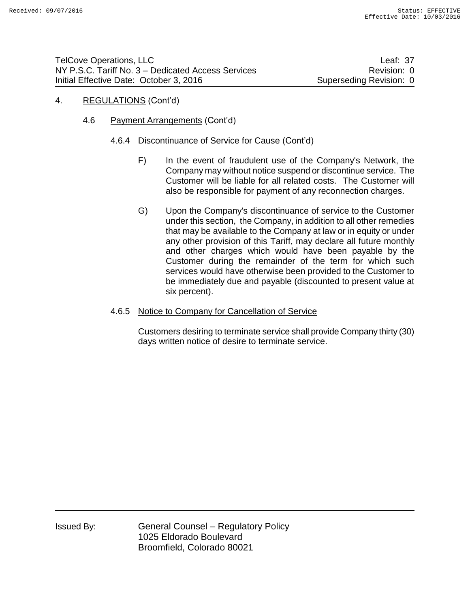### 4. REGULATIONS (Cont'd)

- 4.6 Payment Arrangements (Cont'd)
	- 4.6.4 Discontinuance of Service for Cause (Cont'd)
		- F) In the event of fraudulent use of the Company's Network, the Company may without notice suspend or discontinue service. The Customer will be liable for all related costs. The Customer will also be responsible for payment of any reconnection charges.
		- G) Upon the Company's discontinuance of service to the Customer under this section, the Company, in addition to all other remedies that may be available to the Company at law or in equity or under any other provision of this Tariff, may declare all future monthly and other charges which would have been payable by the Customer during the remainder of the term for which such services would have otherwise been provided to the Customer to be immediately due and payable (discounted to present value at six percent).
	- 4.6.5 Notice to Company for Cancellation of Service

Customers desiring to terminate service shall provide Company thirty (30) days written notice of desire to terminate service.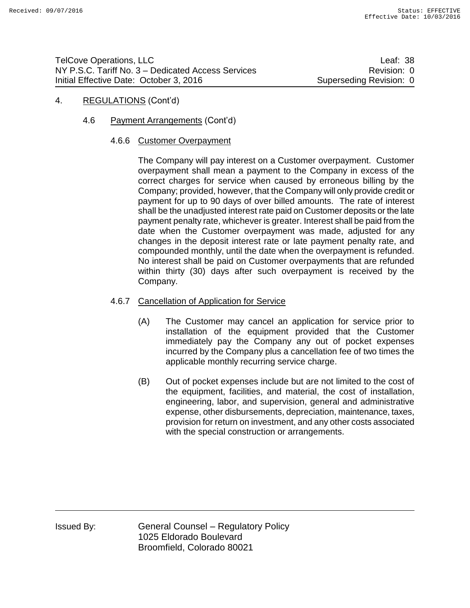### 4. REGULATIONS (Cont'd)

4.6 Payment Arrangements (Cont'd)

#### 4.6.6 Customer Overpayment

The Company will pay interest on a Customer overpayment. Customer overpayment shall mean a payment to the Company in excess of the correct charges for service when caused by erroneous billing by the Company; provided, however, that the Company will only provide credit or payment for up to 90 days of over billed amounts. The rate of interest shall be the unadjusted interest rate paid on Customer deposits or the late payment penalty rate, whichever is greater. Interest shall be paid from the date when the Customer overpayment was made, adjusted for any changes in the deposit interest rate or late payment penalty rate, and compounded monthly, until the date when the overpayment is refunded. No interest shall be paid on Customer overpayments that are refunded within thirty (30) days after such overpayment is received by the Company.

### 4.6.7 Cancellation of Application for Service

- (A) The Customer may cancel an application for service prior to installation of the equipment provided that the Customer immediately pay the Company any out of pocket expenses incurred by the Company plus a cancellation fee of two times the applicable monthly recurring service charge.
- (B) Out of pocket expenses include but are not limited to the cost of the equipment, facilities, and material, the cost of installation, engineering, labor, and supervision, general and administrative expense, other disbursements, depreciation, maintenance, taxes, provision for return on investment, and any other costs associated with the special construction or arrangements.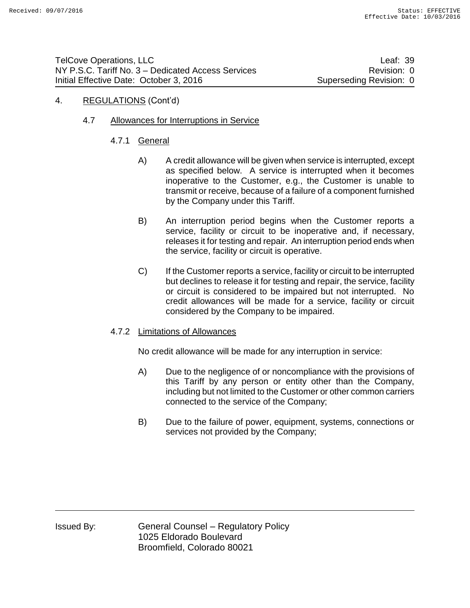### 4. REGULATIONS (Cont'd)

### 4.7 Allowances for Interruptions in Service

- 4.7.1 General
	- A) A credit allowance will be given when service is interrupted, except as specified below. A service is interrupted when it becomes inoperative to the Customer, e.g., the Customer is unable to transmit or receive, because of a failure of a component furnished by the Company under this Tariff.
	- B) An interruption period begins when the Customer reports a service, facility or circuit to be inoperative and, if necessary, releases it for testing and repair. An interruption period ends when the service, facility or circuit is operative.
	- C) If the Customer reports a service, facility or circuit to be interrupted but declines to release it for testing and repair, the service, facility or circuit is considered to be impaired but not interrupted. No credit allowances will be made for a service, facility or circuit considered by the Company to be impaired.

#### 4.7.2 Limitations of Allowances

No credit allowance will be made for any interruption in service:

- A) Due to the negligence of or noncompliance with the provisions of this Tariff by any person or entity other than the Company, including but not limited to the Customer or other common carriers connected to the service of the Company;
- B) Due to the failure of power, equipment, systems, connections or services not provided by the Company;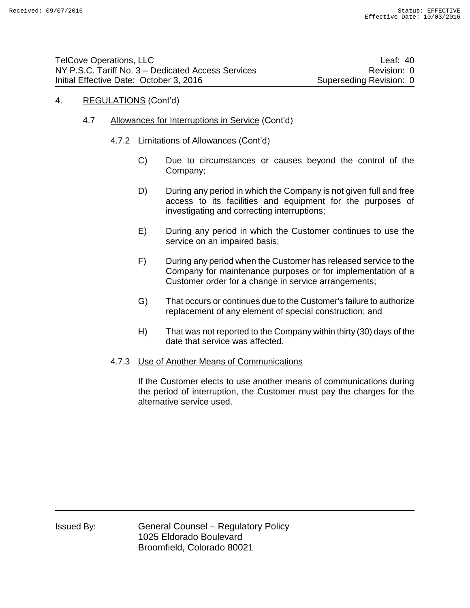- 4.7 Allowances for Interruptions in Service (Cont'd)
	- 4.7.2 Limitations of Allowances (Cont'd)
		- C) Due to circumstances or causes beyond the control of the Company;
		- D) During any period in which the Company is not given full and free access to its facilities and equipment for the purposes of investigating and correcting interruptions;
		- E) During any period in which the Customer continues to use the service on an impaired basis;
		- F) During any period when the Customer has released service to the Company for maintenance purposes or for implementation of a Customer order for a change in service arrangements;
		- G) That occurs or continues due to the Customer's failure to authorize replacement of any element of special construction; and
		- H) That was not reported to the Company within thirty (30) days of the date that service was affected.

#### 4.7.3 Use of Another Means of Communications

If the Customer elects to use another means of communications during the period of interruption, the Customer must pay the charges for the alternative service used.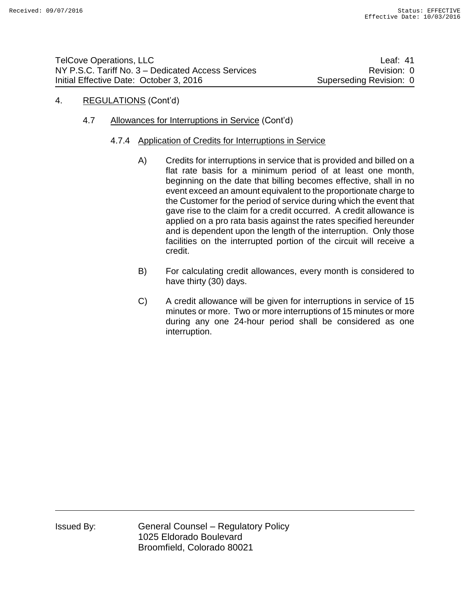### 4. REGULATIONS (Cont'd)

### 4.7 Allowances for Interruptions in Service (Cont'd)

#### 4.7.4 Application of Credits for Interruptions in Service

- A) Credits for interruptions in service that is provided and billed on a flat rate basis for a minimum period of at least one month, beginning on the date that billing becomes effective, shall in no event exceed an amount equivalent to the proportionate charge to the Customer for the period of service during which the event that gave rise to the claim for a credit occurred. A credit allowance is applied on a pro rata basis against the rates specified hereunder and is dependent upon the length of the interruption. Only those facilities on the interrupted portion of the circuit will receive a credit.
- B) For calculating credit allowances, every month is considered to have thirty (30) days.
- C) A credit allowance will be given for interruptions in service of 15 minutes or more. Two or more interruptions of 15 minutes or more during any one 24-hour period shall be considered as one interruption.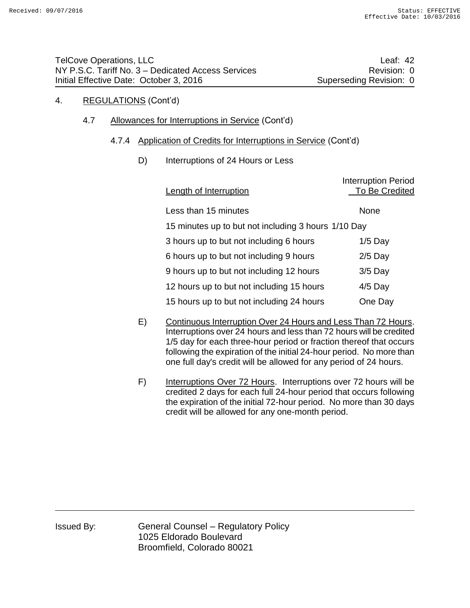### 4.7 Allowances for Interruptions in Service (Cont'd)

### 4.7.4 Application of Credits for Interruptions in Service (Cont'd)

### D) Interruptions of 24 Hours or Less

| Length of Interruption                              | <b>Interruption Period</b><br>To Be Credited |  |  |
|-----------------------------------------------------|----------------------------------------------|--|--|
| Less than 15 minutes                                | None                                         |  |  |
| 15 minutes up to but not including 3 hours 1/10 Day |                                              |  |  |
| 3 hours up to but not including 6 hours             | $1/5$ Day                                    |  |  |
| 6 hours up to but not including 9 hours             | $2/5$ Day                                    |  |  |
| 9 hours up to but not including 12 hours            | $3/5$ Day                                    |  |  |
| 12 hours up to but not including 15 hours           | $4/5$ Day                                    |  |  |
| 15 hours up to but not including 24 hours           | One Day                                      |  |  |

- E) Continuous Interruption Over 24 Hours and Less Than 72 Hours. Interruptions over 24 hours and less than 72 hours will be credited 1/5 day for each three-hour period or fraction thereof that occurs following the expiration of the initial 24-hour period. No more than one full day's credit will be allowed for any period of 24 hours.
- F) Interruptions Over 72 Hours. Interruptions over 72 hours will be credited 2 days for each full 24-hour period that occurs following the expiration of the initial 72-hour period. No more than 30 days credit will be allowed for any one-month period.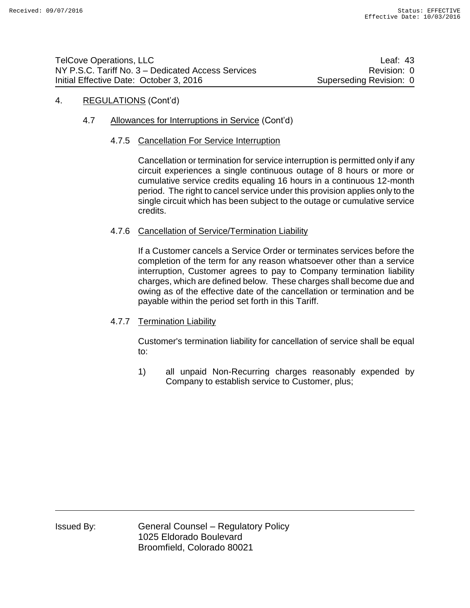## 4.7 Allowances for Interruptions in Service (Cont'd)

#### 4.7.5 Cancellation For Service Interruption

Cancellation or termination for service interruption is permitted only if any circuit experiences a single continuous outage of 8 hours or more or cumulative service credits equaling 16 hours in a continuous 12-month period. The right to cancel service under this provision applies only to the single circuit which has been subject to the outage or cumulative service credits.

### 4.7.6 Cancellation of Service/Termination Liability

If a Customer cancels a Service Order or terminates services before the completion of the term for any reason whatsoever other than a service interruption, Customer agrees to pay to Company termination liability charges, which are defined below. These charges shall become due and owing as of the effective date of the cancellation or termination and be payable within the period set forth in this Tariff.

### 4.7.7 Termination Liability

Customer's termination liability for cancellation of service shall be equal to:

1) all unpaid Non-Recurring charges reasonably expended by Company to establish service to Customer, plus;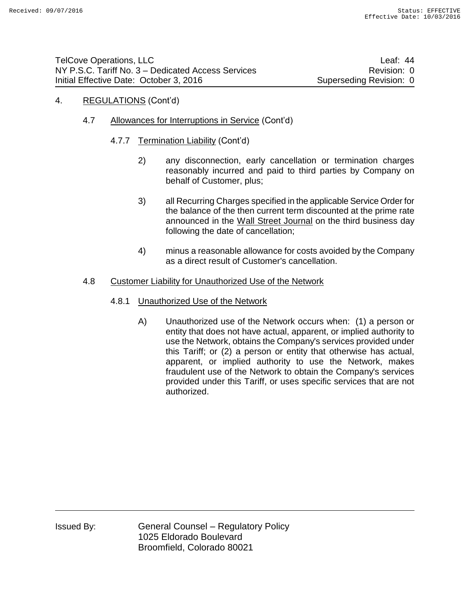- 4.7 Allowances for Interruptions in Service (Cont'd)
	- 4.7.7 Termination Liability (Cont'd)
		- 2) any disconnection, early cancellation or termination charges reasonably incurred and paid to third parties by Company on behalf of Customer, plus;
		- 3) all Recurring Charges specified in the applicable Service Order for the balance of the then current term discounted at the prime rate announced in the Wall Street Journal on the third business day following the date of cancellation;
		- 4) minus a reasonable allowance for costs avoided by the Company as a direct result of Customer's cancellation.

#### 4.8 Customer Liability for Unauthorized Use of the Network

- 4.8.1 Unauthorized Use of the Network
	- A) Unauthorized use of the Network occurs when: (1) a person or entity that does not have actual, apparent, or implied authority to use the Network, obtains the Company's services provided under this Tariff; or (2) a person or entity that otherwise has actual, apparent, or implied authority to use the Network, makes fraudulent use of the Network to obtain the Company's services provided under this Tariff, or uses specific services that are not authorized.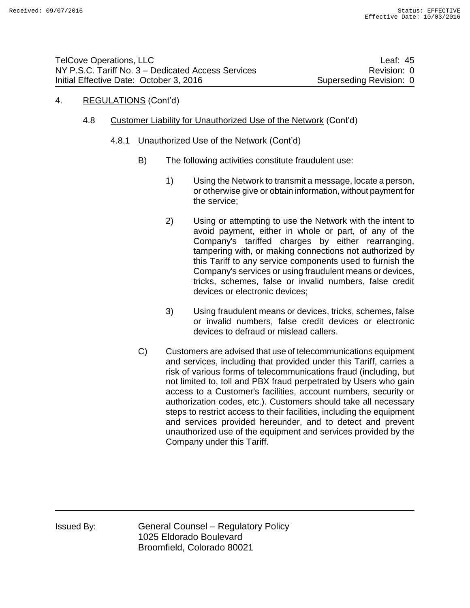- 4.8 Customer Liability for Unauthorized Use of the Network (Cont'd)
	- 4.8.1 Unauthorized Use of the Network (Cont'd)
		- B) The following activities constitute fraudulent use:
			- 1) Using the Network to transmit a message, locate a person, or otherwise give or obtain information, without payment for the service;
			- 2) Using or attempting to use the Network with the intent to avoid payment, either in whole or part, of any of the Company's tariffed charges by either rearranging, tampering with, or making connections not authorized by this Tariff to any service components used to furnish the Company's services or using fraudulent means or devices, tricks, schemes, false or invalid numbers, false credit devices or electronic devices;
			- 3) Using fraudulent means or devices, tricks, schemes, false or invalid numbers, false credit devices or electronic devices to defraud or mislead callers.
		- C) Customers are advised that use of telecommunications equipment and services, including that provided under this Tariff, carries a risk of various forms of telecommunications fraud (including, but not limited to, toll and PBX fraud perpetrated by Users who gain access to a Customer's facilities, account numbers, security or authorization codes, etc.). Customers should take all necessary steps to restrict access to their facilities, including the equipment and services provided hereunder, and to detect and prevent unauthorized use of the equipment and services provided by the Company under this Tariff.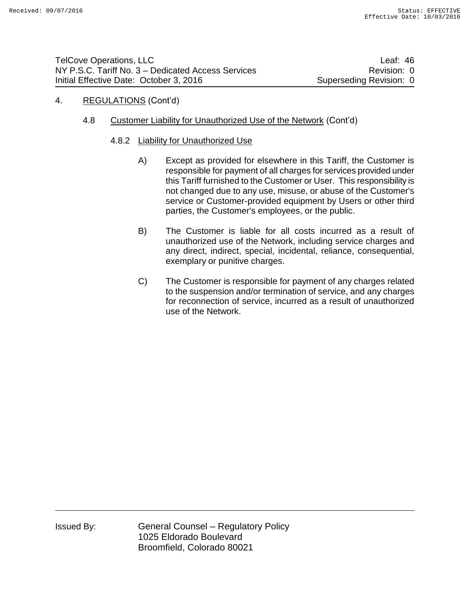| <b>TelCove Operations, LLC</b>                     | Leaf: 46                |
|----------------------------------------------------|-------------------------|
| NY P.S.C. Tariff No. 3 – Dedicated Access Services | Revision: 0             |
| Initial Effective Date: October 3, 2016            | Superseding Revision: 0 |

### 4.8 Customer Liability for Unauthorized Use of the Network (Cont'd)

#### 4.8.2 Liability for Unauthorized Use

- A) Except as provided for elsewhere in this Tariff, the Customer is responsible for payment of all charges for services provided under this Tariff furnished to the Customer or User. This responsibility is not changed due to any use, misuse, or abuse of the Customer's service or Customer-provided equipment by Users or other third parties, the Customer's employees, or the public.
- B) The Customer is liable for all costs incurred as a result of unauthorized use of the Network, including service charges and any direct, indirect, special, incidental, reliance, consequential, exemplary or punitive charges.
- C) The Customer is responsible for payment of any charges related to the suspension and/or termination of service, and any charges for reconnection of service, incurred as a result of unauthorized use of the Network.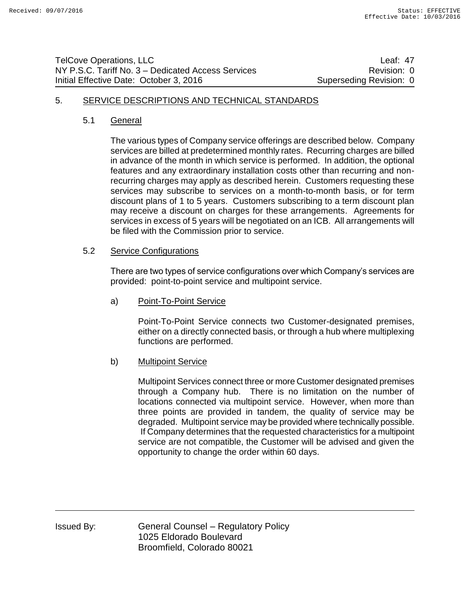| <b>TelCove Operations, LLC</b>                     | Leaf: 47                |
|----------------------------------------------------|-------------------------|
| NY P.S.C. Tariff No. 3 – Dedicated Access Services | Revision: 0             |
| Initial Effective Date: October 3, 2016            | Superseding Revision: 0 |

#### 5. SERVICE DESCRIPTIONS AND TECHNICAL STANDARDS

#### 5.1 General

The various types of Company service offerings are described below. Company services are billed at predetermined monthly rates. Recurring charges are billed in advance of the month in which service is performed. In addition, the optional features and any extraordinary installation costs other than recurring and nonrecurring charges may apply as described herein. Customers requesting these services may subscribe to services on a month-to-month basis, or for term discount plans of 1 to 5 years. Customers subscribing to a term discount plan may receive a discount on charges for these arrangements. Agreements for services in excess of 5 years will be negotiated on an ICB. All arrangements will be filed with the Commission prior to service.

### 5.2 Service Configurations

There are two types of service configurations over which Company's services are provided: point-to-point service and multipoint service.

a) Point-To-Point Service

Point-To-Point Service connects two Customer-designated premises, either on a directly connected basis, or through a hub where multiplexing functions are performed.

#### b) Multipoint Service

Multipoint Services connect three or more Customer designated premises through a Company hub. There is no limitation on the number of locations connected via multipoint service. However, when more than three points are provided in tandem, the quality of service may be degraded. Multipoint service may be provided where technically possible. If Company determines that the requested characteristics for a multipoint service are not compatible, the Customer will be advised and given the opportunity to change the order within 60 days.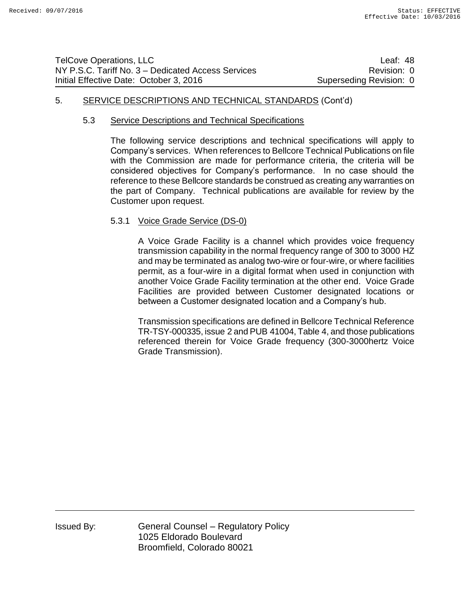| <b>TelCove Operations, LLC</b>                     | Leaf: $48$              |
|----------------------------------------------------|-------------------------|
| NY P.S.C. Tariff No. 3 – Dedicated Access Services | Revision: 0             |
| Initial Effective Date: October 3, 2016            | Superseding Revision: 0 |

### 5. SERVICE DESCRIPTIONS AND TECHNICAL STANDARDS (Cont'd)

#### 5.3 Service Descriptions and Technical Specifications

The following service descriptions and technical specifications will apply to Company's services. When references to Bellcore Technical Publications on file with the Commission are made for performance criteria, the criteria will be considered objectives for Company's performance. In no case should the reference to these Bellcore standards be construed as creating any warranties on the part of Company. Technical publications are available for review by the Customer upon request.

#### 5.3.1 Voice Grade Service (DS-0)

A Voice Grade Facility is a channel which provides voice frequency transmission capability in the normal frequency range of 300 to 3000 HZ and may be terminated as analog two-wire or four-wire, or where facilities permit, as a four-wire in a digital format when used in conjunction with another Voice Grade Facility termination at the other end. Voice Grade Facilities are provided between Customer designated locations or between a Customer designated location and a Company's hub.

Transmission specifications are defined in Bellcore Technical Reference TR-TSY-000335, issue 2 and PUB 41004, Table 4, and those publications referenced therein for Voice Grade frequency (300-3000hertz Voice Grade Transmission).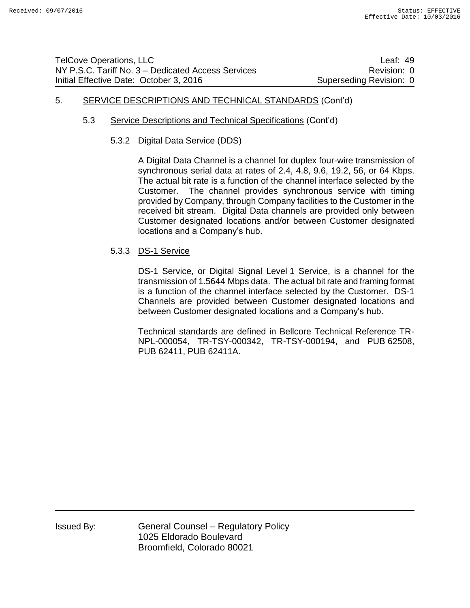# 5. SERVICE DESCRIPTIONS AND TECHNICAL STANDARDS (Cont'd)

### 5.3 Service Descriptions and Technical Specifications (Cont'd)

#### 5.3.2 Digital Data Service (DDS)

A Digital Data Channel is a channel for duplex four-wire transmission of synchronous serial data at rates of 2.4, 4.8, 9.6, 19.2, 56, or 64 Kbps. The actual bit rate is a function of the channel interface selected by the Customer. The channel provides synchronous service with timing provided by Company, through Company facilities to the Customer in the received bit stream. Digital Data channels are provided only between Customer designated locations and/or between Customer designated locations and a Company's hub.

### 5.3.3 DS-1 Service

DS-1 Service, or Digital Signal Level 1 Service, is a channel for the transmission of 1.5644 Mbps data. The actual bit rate and framing format is a function of the channel interface selected by the Customer. DS-1 Channels are provided between Customer designated locations and between Customer designated locations and a Company's hub.

Technical standards are defined in Bellcore Technical Reference TR-NPL-000054, TR-TSY-000342, TR-TSY-000194, and PUB 62508, PUB 62411, PUB 62411A.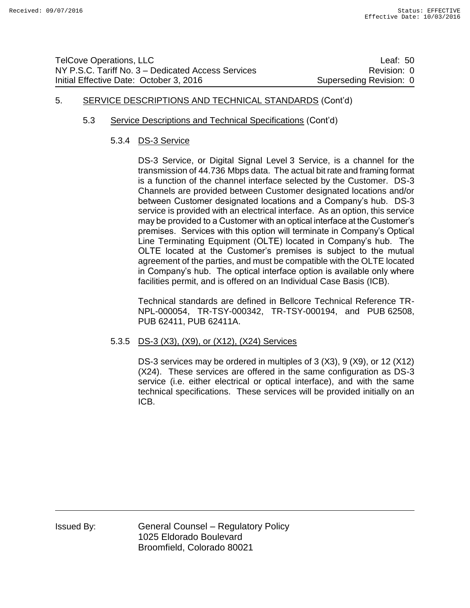# 5. SERVICE DESCRIPTIONS AND TECHNICAL STANDARDS (Cont'd)

### 5.3 Service Descriptions and Technical Specifications (Cont'd)

### 5.3.4 DS-3 Service

DS-3 Service, or Digital Signal Level 3 Service, is a channel for the transmission of 44.736 Mbps data. The actual bit rate and framing format is a function of the channel interface selected by the Customer. DS-3 Channels are provided between Customer designated locations and/or between Customer designated locations and a Company's hub. DS-3 service is provided with an electrical interface. As an option, this service may be provided to a Customer with an optical interface at the Customer's premises. Services with this option will terminate in Company's Optical Line Terminating Equipment (OLTE) located in Company's hub. The OLTE located at the Customer's premises is subject to the mutual agreement of the parties, and must be compatible with the OLTE located in Company's hub. The optical interface option is available only where facilities permit, and is offered on an Individual Case Basis (ICB).

Technical standards are defined in Bellcore Technical Reference TR-NPL-000054, TR-TSY-000342, TR-TSY-000194, and PUB 62508, PUB 62411, PUB 62411A.

### 5.3.5 DS-3 (X3), (X9), or (X12), (X24) Services

DS-3 services may be ordered in multiples of 3 (X3), 9 (X9), or 12 (X12) (X24). These services are offered in the same configuration as DS-3 service (i.e. either electrical or optical interface), and with the same technical specifications. These services will be provided initially on an ICB.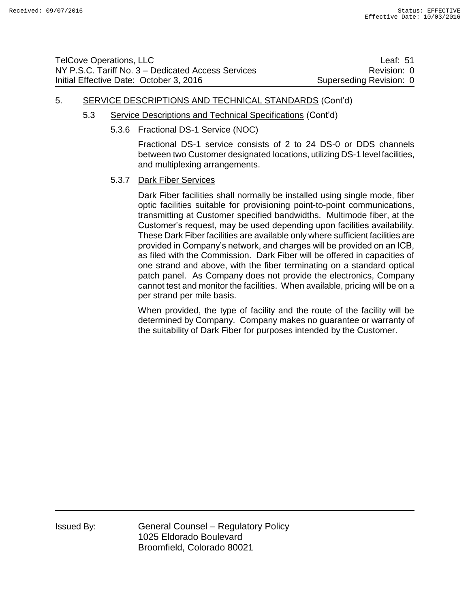| <b>TelCove Operations, LLC</b>                     | Leaf: $51$              |
|----------------------------------------------------|-------------------------|
| NY P.S.C. Tariff No. 3 – Dedicated Access Services | Revision: 0             |
| Initial Effective Date: October 3, 2016            | Superseding Revision: 0 |

### 5. SERVICE DESCRIPTIONS AND TECHNICAL STANDARDS (Cont'd)

- 5.3 Service Descriptions and Technical Specifications (Cont'd)
	- 5.3.6 Fractional DS-1 Service (NOC)

Fractional DS-1 service consists of 2 to 24 DS-0 or DDS channels between two Customer designated locations, utilizing DS-1 level facilities, and multiplexing arrangements.

#### 5.3.7 Dark Fiber Services

Dark Fiber facilities shall normally be installed using single mode, fiber optic facilities suitable for provisioning point-to-point communications, transmitting at Customer specified bandwidths. Multimode fiber, at the Customer's request, may be used depending upon facilities availability. These Dark Fiber facilities are available only where sufficient facilities are provided in Company's network, and charges will be provided on an ICB, as filed with the Commission. Dark Fiber will be offered in capacities of one strand and above, with the fiber terminating on a standard optical patch panel. As Company does not provide the electronics, Company cannot test and monitor the facilities. When available, pricing will be on a per strand per mile basis.

When provided, the type of facility and the route of the facility will be determined by Company. Company makes no guarantee or warranty of the suitability of Dark Fiber for purposes intended by the Customer.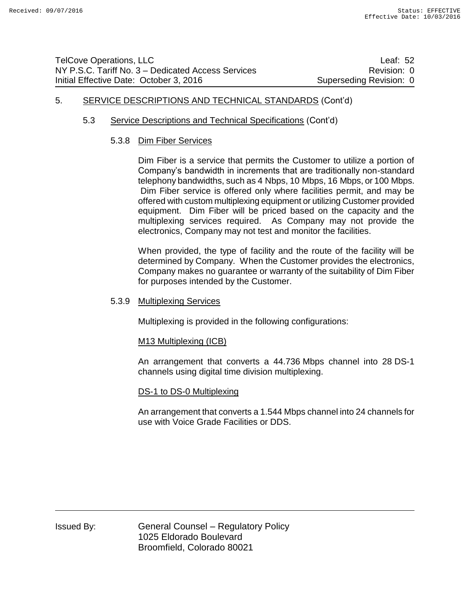# 5. SERVICE DESCRIPTIONS AND TECHNICAL STANDARDS (Cont'd)

### 5.3 Service Descriptions and Technical Specifications (Cont'd)

#### 5.3.8 Dim Fiber Services

Dim Fiber is a service that permits the Customer to utilize a portion of Company's bandwidth in increments that are traditionally non-standard telephony bandwidths, such as 4 Nbps, 10 Mbps, 16 Mbps, or 100 Mbps. Dim Fiber service is offered only where facilities permit, and may be offered with custom multiplexing equipment or utilizing Customer provided equipment. Dim Fiber will be priced based on the capacity and the multiplexing services required. As Company may not provide the electronics, Company may not test and monitor the facilities.

When provided, the type of facility and the route of the facility will be determined by Company. When the Customer provides the electronics, Company makes no guarantee or warranty of the suitability of Dim Fiber for purposes intended by the Customer.

#### 5.3.9 Multiplexing Services

Multiplexing is provided in the following configurations:

#### M13 Multiplexing (ICB)

An arrangement that converts a 44.736 Mbps channel into 28 DS-1 channels using digital time division multiplexing.

#### DS-1 to DS-0 Multiplexing

An arrangement that converts a 1.544 Mbps channel into 24 channels for use with Voice Grade Facilities or DDS.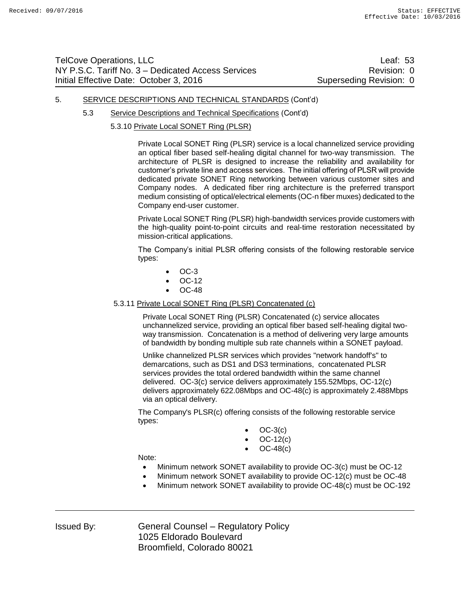| <b>TelCove Operations, LLC</b>                     | Leaf: 53                |
|----------------------------------------------------|-------------------------|
| NY P.S.C. Tariff No. 3 – Dedicated Access Services | Revision: 0             |
| Initial Effective Date: October 3, 2016            | Superseding Revision: 0 |

#### 5. SERVICE DESCRIPTIONS AND TECHNICAL STANDARDS (Cont'd)

- 5.3 Service Descriptions and Technical Specifications (Cont'd)
	- 5.3.10 Private Local SONET Ring (PLSR)

Private Local SONET Ring (PLSR) service is a local channelized service providing an optical fiber based self-healing digital channel for two-way transmission. The architecture of PLSR is designed to increase the reliability and availability for customer's private line and access services. The initial offering of PLSR will provide dedicated private SONET Ring networking between various customer sites and Company nodes. A dedicated fiber ring architecture is the preferred transport medium consisting of optical/electrical elements (OC-n fiber muxes) dedicated to the Company end-user customer.

Private Local SONET Ring (PLSR) high-bandwidth services provide customers with the high-quality point-to-point circuits and real-time restoration necessitated by mission-critical applications.

The Company's initial PLSR offering consists of the following restorable service types:

- OC-3
- OC-12
- OC-48

#### 5.3.11 Private Local SONET Ring (PLSR) Concatenated (c)

Private Local SONET Ring (PLSR) Concatenated (c) service allocates unchannelized service, providing an optical fiber based self-healing digital twoway transmission. Concatenation is a method of delivering very large amounts of bandwidth by bonding multiple sub rate channels within a SONET payload.

Unlike channelized PLSR services which provides "network handoff's" to demarcations, such as DS1 and DS3 terminations, concatenated PLSR services provides the total ordered bandwidth within the same channel delivered. OC-3(c) service delivers approximately 155.52Mbps, OC-12(c) delivers approximately 622.08Mbps and OC-48(c) is approximately 2.488Mbps via an optical delivery.

The Company's PLSR(c) offering consists of the following restorable service types:

- OC-3(c)
- OC-12(c)
- OC-48(c)

Note:

- Minimum network SONET availability to provide OC-3(c) must be OC-12
- Minimum network SONET availability to provide OC-12(c) must be OC-48
- Minimum network SONET availability to provide OC-48(c) must be OC-192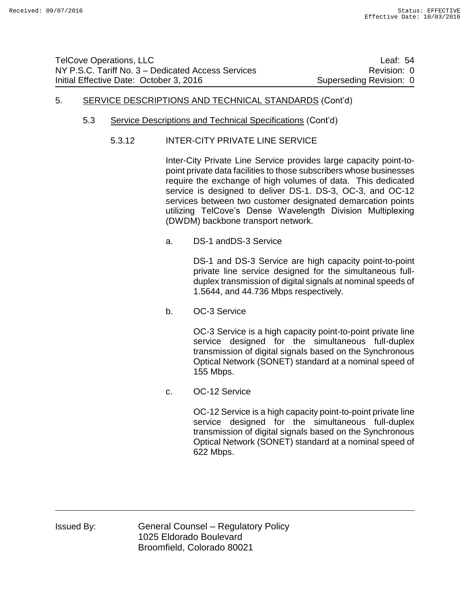| TelCove Operations, LLC                            | Leaf: 54                |
|----------------------------------------------------|-------------------------|
| NY P.S.C. Tariff No. 3 – Dedicated Access Services | Revision: 0             |
| Initial Effective Date: October 3, 2016            | Superseding Revision: 0 |

# 5. SERVICE DESCRIPTIONS AND TECHNICAL STANDARDS (Cont'd)

- 5.3 Service Descriptions and Technical Specifications (Cont'd)
	- 5.3.12 INTER-CITY PRIVATE LINE SERVICE

Inter-City Private Line Service provides large capacity point-topoint private data facilities to those subscribers whose businesses require the exchange of high volumes of data. This dedicated service is designed to deliver DS-1. DS-3, OC-3, and OC-12 services between two customer designated demarcation points utilizing TelCove's Dense Wavelength Division Multiplexing (DWDM) backbone transport network.

a. DS-1 andDS-3 Service

DS-1 and DS-3 Service are high capacity point-to-point private line service designed for the simultaneous fullduplex transmission of digital signals at nominal speeds of 1.5644, and 44.736 Mbps respectively.

b. OC-3 Service

OC-3 Service is a high capacity point-to-point private line service designed for the simultaneous full-duplex transmission of digital signals based on the Synchronous Optical Network (SONET) standard at a nominal speed of 155 Mbps.

c. OC-12 Service

OC-12 Service is a high capacity point-to-point private line service designed for the simultaneous full-duplex transmission of digital signals based on the Synchronous Optical Network (SONET) standard at a nominal speed of 622 Mbps.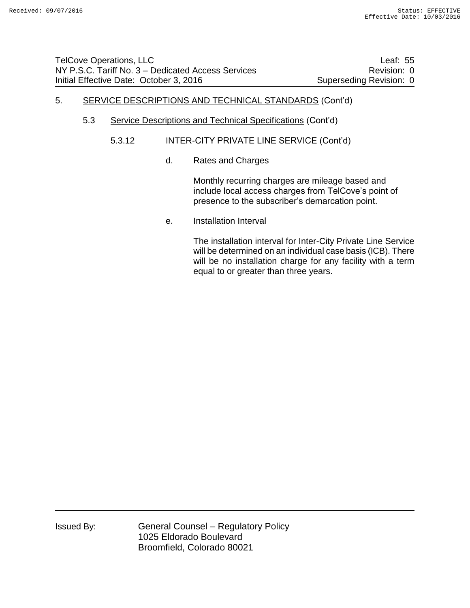# 5. SERVICE DESCRIPTIONS AND TECHNICAL STANDARDS (Cont'd)

- 5.3 Service Descriptions and Technical Specifications (Cont'd)
	- 5.3.12 INTER-CITY PRIVATE LINE SERVICE (Cont'd)
		- d. Rates and Charges

Monthly recurring charges are mileage based and include local access charges from TelCove's point of presence to the subscriber's demarcation point.

e. Installation Interval

The installation interval for Inter-City Private Line Service will be determined on an individual case basis (ICB). There will be no installation charge for any facility with a term equal to or greater than three years.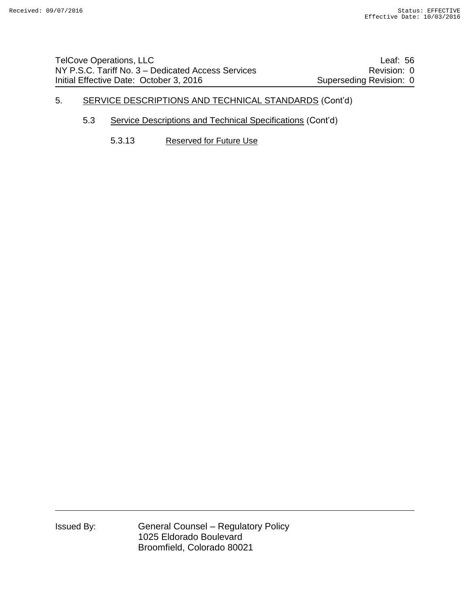TelCove Operations, LLC **Leaf: 56** NY P.S.C. Tariff No. 3 – Dedicated Access Services **Revision: 0** Revision: 0 Initial Effective Date: October 3, 2016 Superseding Revision: 0

# 5. SERVICE DESCRIPTIONS AND TECHNICAL STANDARDS (Cont'd)

- 5.3 Service Descriptions and Technical Specifications (Cont'd)
	- 5.3.13 Reserved for Future Use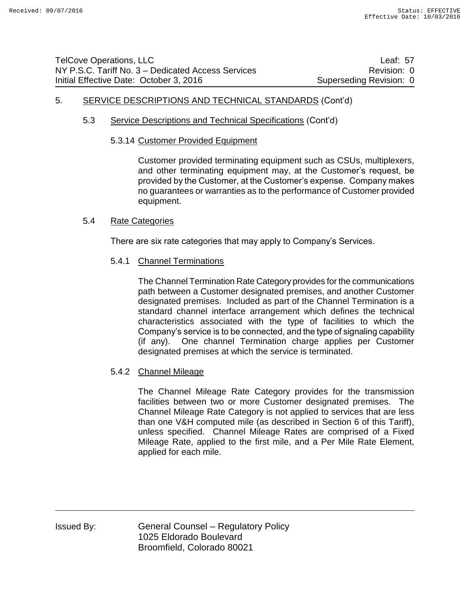# 5. SERVICE DESCRIPTIONS AND TECHNICAL STANDARDS (Cont'd)

### 5.3 Service Descriptions and Technical Specifications (Cont'd)

#### 5.3.14 Customer Provided Equipment

Customer provided terminating equipment such as CSUs, multiplexers, and other terminating equipment may, at the Customer's request, be provided by the Customer, at the Customer's expense. Company makes no guarantees or warranties as to the performance of Customer provided equipment.

### 5.4 Rate Categories

There are six rate categories that may apply to Company's Services.

### 5.4.1 Channel Terminations

The Channel Termination Rate Category provides for the communications path between a Customer designated premises, and another Customer designated premises. Included as part of the Channel Termination is a standard channel interface arrangement which defines the technical characteristics associated with the type of facilities to which the Company's service is to be connected, and the type of signaling capability (if any). One channel Termination charge applies per Customer designated premises at which the service is terminated.

### 5.4.2 Channel Mileage

The Channel Mileage Rate Category provides for the transmission facilities between two or more Customer designated premises. The Channel Mileage Rate Category is not applied to services that are less than one V&H computed mile (as described in Section 6 of this Tariff), unless specified. Channel Mileage Rates are comprised of a Fixed Mileage Rate, applied to the first mile, and a Per Mile Rate Element, applied for each mile.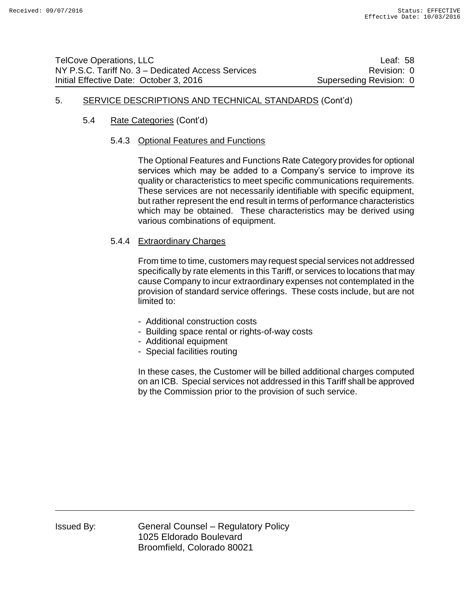# 5. SERVICE DESCRIPTIONS AND TECHNICAL STANDARDS (Cont'd)

# 5.4 Rate Categories (Cont'd)

### 5.4.3 Optional Features and Functions

The Optional Features and Functions Rate Category provides for optional services which may be added to a Company's service to improve its quality or characteristics to meet specific communications requirements. These services are not necessarily identifiable with specific equipment, but rather represent the end result in terms of performance characteristics which may be obtained. These characteristics may be derived using various combinations of equipment.

### 5.4.4 Extraordinary Charges

From time to time, customers may request special services not addressed specifically by rate elements in this Tariff, or services to locations that may cause Company to incur extraordinary expenses not contemplated in the provision of standard service offerings. These costs include, but are not limited to:

- Additional construction costs
- Building space rental or rights-of-way costs
- Additional equipment
- Special facilities routing

In these cases, the Customer will be billed additional charges computed on an ICB. Special services not addressed in this Tariff shall be approved by the Commission prior to the provision of such service.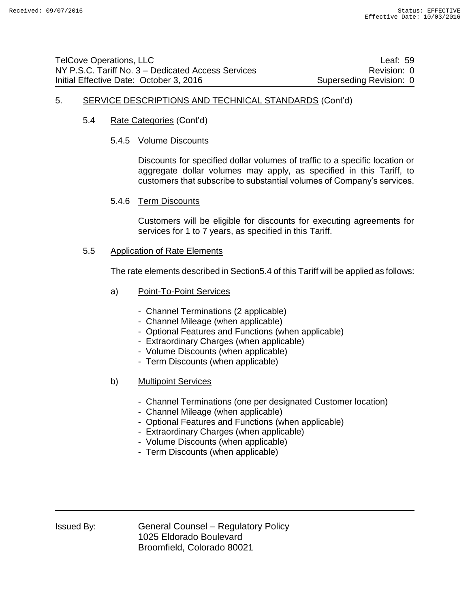### 5. SERVICE DESCRIPTIONS AND TECHNICAL STANDARDS (Cont'd)

- 5.4 Rate Categories (Cont'd)
	- 5.4.5 Volume Discounts

Discounts for specified dollar volumes of traffic to a specific location or aggregate dollar volumes may apply, as specified in this Tariff, to customers that subscribe to substantial volumes of Company's services.

5.4.6 Term Discounts

Customers will be eligible for discounts for executing agreements for services for 1 to 7 years, as specified in this Tariff.

5.5 Application of Rate Elements

The rate elements described in Section5.4 of this Tariff will be applied as follows:

- a) Point-To-Point Services
	- Channel Terminations (2 applicable)
	- Channel Mileage (when applicable)
	- Optional Features and Functions (when applicable)
	- Extraordinary Charges (when applicable)
	- Volume Discounts (when applicable)
	- Term Discounts (when applicable)
- b) Multipoint Services
	- Channel Terminations (one per designated Customer location)
	- Channel Mileage (when applicable)
	- Optional Features and Functions (when applicable)
	- Extraordinary Charges (when applicable)
	- Volume Discounts (when applicable)
	- Term Discounts (when applicable)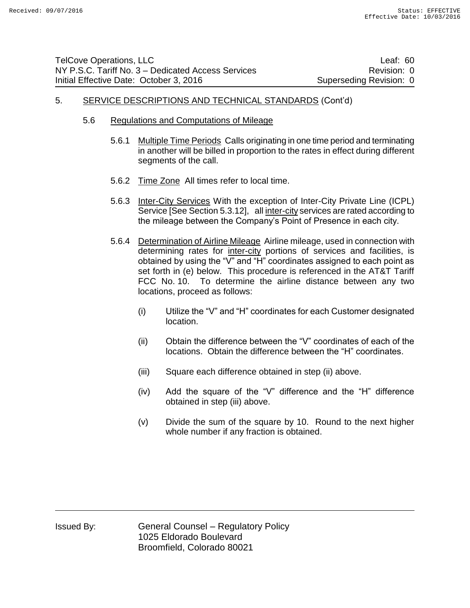| <b>TelCove Operations, LLC</b>                     | Leaf: $60$              |
|----------------------------------------------------|-------------------------|
| NY P.S.C. Tariff No. 3 – Dedicated Access Services | Revision: 0             |
| Initial Effective Date: October 3, 2016            | Superseding Revision: 0 |

#### 5. SERVICE DESCRIPTIONS AND TECHNICAL STANDARDS (Cont'd)

- 5.6 Regulations and Computations of Mileage
	- 5.6.1 Multiple Time Periods Calls originating in one time period and terminating in another will be billed in proportion to the rates in effect during different segments of the call.
	- 5.6.2 Time Zone All times refer to local time.
	- 5.6.3 Inter-City Services With the exception of Inter-City Private Line (ICPL) Service [See Section 5.3.12], all inter-city services are rated according to the mileage between the Company's Point of Presence in each city.
	- 5.6.4 Determination of Airline Mileage Airline mileage, used in connection with determining rates for inter-city portions of services and facilities, is obtained by using the "V" and "H" coordinates assigned to each point as set forth in (e) below. This procedure is referenced in the AT&T Tariff FCC No. 10. To determine the airline distance between any two locations, proceed as follows:
		- (i) Utilize the "V" and "H" coordinates for each Customer designated location.
		- (ii) Obtain the difference between the "V" coordinates of each of the locations. Obtain the difference between the "H" coordinates.
		- (iii) Square each difference obtained in step (ii) above.
		- (iv) Add the square of the "V" difference and the "H" difference obtained in step (iii) above.
		- (v) Divide the sum of the square by 10. Round to the next higher whole number if any fraction is obtained.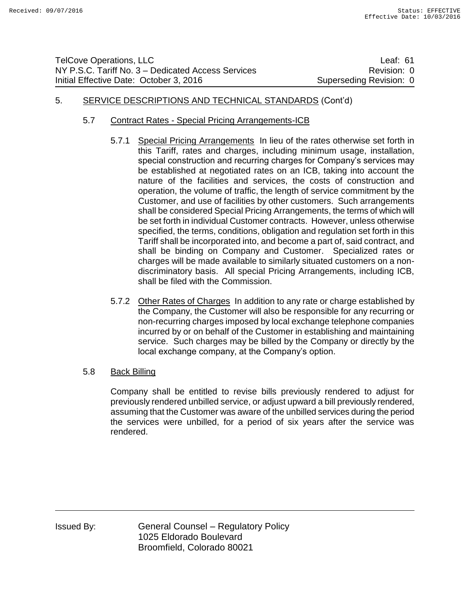| TelCove Operations, LLC                            | Leaf: $61$              |
|----------------------------------------------------|-------------------------|
| NY P.S.C. Tariff No. 3 – Dedicated Access Services | Revision: 0             |
| Initial Effective Date: October 3, 2016            | Superseding Revision: 0 |

# 5. SERVICE DESCRIPTIONS AND TECHNICAL STANDARDS (Cont'd)

- 5.7 Contract Rates Special Pricing Arrangements-ICB
	- 5.7.1 Special Pricing Arrangements In lieu of the rates otherwise set forth in this Tariff, rates and charges, including minimum usage, installation, special construction and recurring charges for Company's services may be established at negotiated rates on an ICB, taking into account the nature of the facilities and services, the costs of construction and operation, the volume of traffic, the length of service commitment by the Customer, and use of facilities by other customers. Such arrangements shall be considered Special Pricing Arrangements, the terms of which will be set forth in individual Customer contracts. However, unless otherwise specified, the terms, conditions, obligation and regulation set forth in this Tariff shall be incorporated into, and become a part of, said contract, and shall be binding on Company and Customer. Specialized rates or charges will be made available to similarly situated customers on a nondiscriminatory basis. All special Pricing Arrangements, including ICB, shall be filed with the Commission.
	- 5.7.2 Other Rates of Charges In addition to any rate or charge established by the Company, the Customer will also be responsible for any recurring or non-recurring charges imposed by local exchange telephone companies incurred by or on behalf of the Customer in establishing and maintaining service. Such charges may be billed by the Company or directly by the local exchange company, at the Company's option.
- 5.8 Back Billing

Company shall be entitled to revise bills previously rendered to adjust for previously rendered unbilled service, or adjust upward a bill previously rendered, assuming that the Customer was aware of the unbilled services during the period the services were unbilled, for a period of six years after the service was rendered.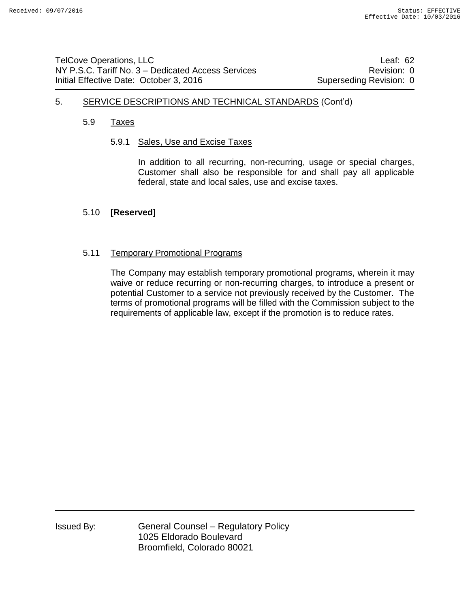# 5. SERVICE DESCRIPTIONS AND TECHNICAL STANDARDS (Cont'd)

### 5.9 Taxes

### 5.9.1 Sales, Use and Excise Taxes

In addition to all recurring, non-recurring, usage or special charges, Customer shall also be responsible for and shall pay all applicable federal, state and local sales, use and excise taxes.

### 5.10 **[Reserved]**

### 5.11 Temporary Promotional Programs

The Company may establish temporary promotional programs, wherein it may waive or reduce recurring or non-recurring charges, to introduce a present or potential Customer to a service not previously received by the Customer. The terms of promotional programs will be filled with the Commission subject to the requirements of applicable law, except if the promotion is to reduce rates.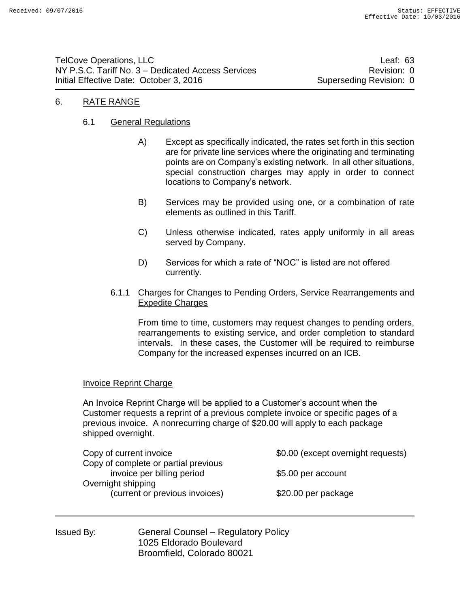TelCove Operations, LLC **Leaf: 63** NY P.S.C. Tariff No. 3 – Dedicated Access Services **Revision: 0** Revision: 0 Initial Effective Date: October 3, 2016 Superseding Revision: 0

# 6. RATE RANGE

### 6.1 General Regulations

- A) Except as specifically indicated, the rates set forth in this section are for private line services where the originating and terminating points are on Company's existing network. In all other situations, special construction charges may apply in order to connect locations to Company's network.
- B) Services may be provided using one, or a combination of rate elements as outlined in this Tariff.
- C) Unless otherwise indicated, rates apply uniformly in all areas served by Company.
- D) Services for which a rate of "NOC" is listed are not offered currently.

### 6.1.1 Charges for Changes to Pending Orders, Service Rearrangements and Expedite Charges

From time to time, customers may request changes to pending orders, rearrangements to existing service, and order completion to standard intervals. In these cases, the Customer will be required to reimburse Company for the increased expenses incurred on an ICB.

### Invoice Reprint Charge

An Invoice Reprint Charge will be applied to a Customer's account when the Customer requests a reprint of a previous complete invoice or specific pages of a previous invoice. A nonrecurring charge of \$20.00 will apply to each package shipped overnight.

| Copy of current invoice              | \$0.00 (except overnight requests) |
|--------------------------------------|------------------------------------|
| Copy of complete or partial previous |                                    |
| invoice per billing period           | \$5.00 per account                 |
| Overnight shipping                   |                                    |
| (current or previous invoices)       | \$20.00 per package                |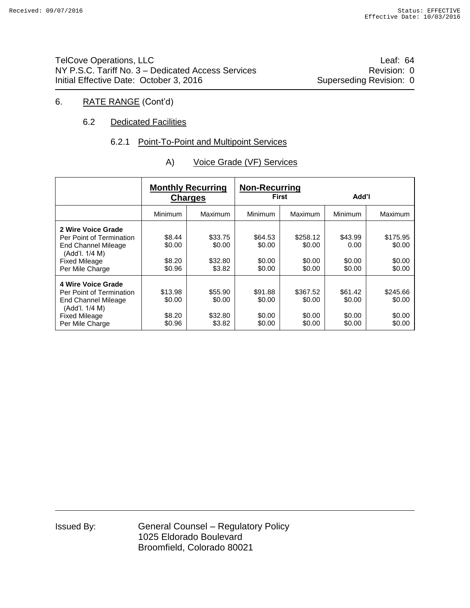TelCove Operations, LLC **Leaf: 64** NY P.S.C. Tariff No. 3 – Dedicated Access Services **Revision: 0** Revision: 0 Initial Effective Date: October 3, 2016 Superseding Revision: 0

# 6. RATE RANGE (Cont'd)

### 6.2 Dedicated Facilities

#### 6.2.1 Point-To-Point and Multipoint Services

|                                                                                                                                           |                                       | <b>Monthly Recurring</b><br><b>Charges</b> | <b>Non-Recurring</b><br>First         |                                        | Add'l                                 |                                        |  |
|-------------------------------------------------------------------------------------------------------------------------------------------|---------------------------------------|--------------------------------------------|---------------------------------------|----------------------------------------|---------------------------------------|----------------------------------------|--|
|                                                                                                                                           | Minimum                               | Maximum                                    | Minimum                               | Maximum                                | Minimum                               | Maximum                                |  |
| 2 Wire Voice Grade<br>Per Point of Termination<br><b>End Channel Mileage</b><br>(Add'l. 1/4 M)<br><b>Fixed Mileage</b><br>Per Mile Charge | \$8.44<br>\$0.00<br>\$8.20<br>\$0.96  | \$33.75<br>\$0.00<br>\$32.80<br>\$3.82     | \$64.53<br>\$0.00<br>\$0.00<br>\$0.00 | \$258.12<br>\$0.00<br>\$0.00<br>\$0.00 | \$43.99<br>0.00<br>\$0.00<br>\$0.00   | \$175.95<br>\$0.00<br>\$0.00<br>\$0.00 |  |
| 4 Wire Voice Grade<br>Per Point of Termination<br><b>End Channel Mileage</b><br>(Add'l, 1/4 M)<br><b>Fixed Mileage</b><br>Per Mile Charge | \$13.98<br>\$0.00<br>\$8.20<br>\$0.96 | \$55.90<br>\$0.00<br>\$32.80<br>\$3.82     | \$91.88<br>\$0.00<br>\$0.00<br>\$0.00 | \$367.52<br>\$0.00<br>\$0.00<br>\$0.00 | \$61.42<br>\$0.00<br>\$0.00<br>\$0.00 | \$245.66<br>\$0.00<br>\$0.00<br>\$0.00 |  |

### A) Voice Grade (VF) Services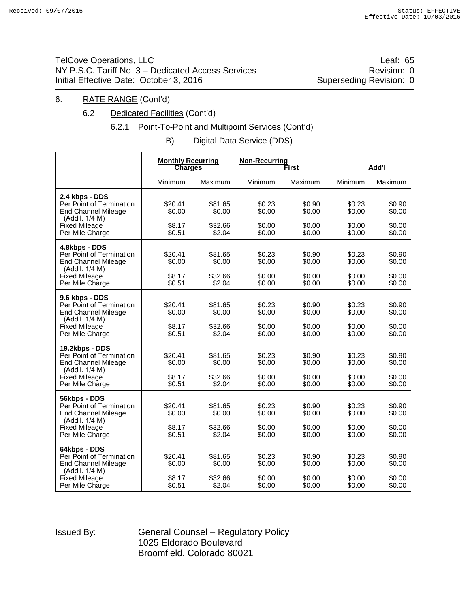# TelCove Operations, LLC **COVERSITY COVERSITY** COVER THE Leaf: 65 NY P.S.C. Tariff No. 3 – Dedicated Access Services **Revision: 0** Revision: 0 Initial Effective Date: October 3, 2016 Superseding Revision: 0

### 6. RATE RANGE (Cont'd)

6.2 Dedicated Facilities (Cont'd)

# 6.2.1 Point-To-Point and Multipoint Services (Cont'd)

B) Digital Data Service (DDS)

|                                                                                                                                       |                                       | <b>Monthly Recurring</b><br><b>Charges</b> |                                      | <b>Non-Recurring</b><br>First        |                                      | Add'l                                |
|---------------------------------------------------------------------------------------------------------------------------------------|---------------------------------------|--------------------------------------------|--------------------------------------|--------------------------------------|--------------------------------------|--------------------------------------|
|                                                                                                                                       | Minimum                               | Maximum                                    | Minimum                              | <b>Maximum</b>                       | Minimum                              | Maximum                              |
| 2.4 kbps - DDS<br>Per Point of Termination<br><b>End Channel Mileage</b><br>(Add'l. 1/4 M)<br><b>Fixed Mileage</b><br>Per Mile Charge | \$20.41<br>\$0.00<br>\$8.17<br>\$0.51 | \$81.65<br>\$0.00<br>\$32.66<br>\$2.04     | \$0.23<br>\$0.00<br>\$0.00<br>\$0.00 | \$0.90<br>\$0.00<br>\$0.00<br>\$0.00 | \$0.23<br>\$0.00<br>\$0.00<br>\$0.00 | \$0.90<br>\$0.00<br>\$0.00<br>\$0.00 |
| 4.8kbps - DDS<br>Per Point of Termination<br><b>End Channel Mileage</b><br>(Add'l. 1/4 M)<br><b>Fixed Mileage</b><br>Per Mile Charge  | \$20.41<br>\$0.00<br>\$8.17<br>\$0.51 | \$81.65<br>\$0.00<br>\$32.66<br>\$2.04     | \$0.23<br>\$0.00<br>\$0.00<br>\$0.00 | \$0.90<br>\$0.00<br>\$0.00<br>\$0.00 | \$0.23<br>\$0.00<br>\$0.00<br>\$0.00 | \$0.90<br>\$0.00<br>\$0.00<br>\$0.00 |
| 9.6 kbps - DDS<br>Per Point of Termination<br><b>End Channel Mileage</b><br>(Add'l. 1/4 M)<br><b>Fixed Mileage</b><br>Per Mile Charge | \$20.41<br>\$0.00<br>\$8.17<br>\$0.51 | \$81.65<br>\$0.00<br>\$32.66<br>\$2.04     | \$0.23<br>\$0.00<br>\$0.00<br>\$0.00 | \$0.90<br>\$0.00<br>\$0.00<br>\$0.00 | \$0.23<br>\$0.00<br>\$0.00<br>\$0.00 | \$0.90<br>\$0.00<br>\$0.00<br>\$0.00 |
| 19.2kbps - DDS<br>Per Point of Termination<br><b>End Channel Mileage</b><br>(Add'l. 1/4 M)<br><b>Fixed Mileage</b><br>Per Mile Charge | \$20.41<br>\$0.00<br>\$8.17<br>\$0.51 | \$81.65<br>\$0.00<br>\$32.66<br>\$2.04     | \$0.23<br>\$0.00<br>\$0.00<br>\$0.00 | \$0.90<br>\$0.00<br>\$0.00<br>\$0.00 | \$0.23<br>\$0.00<br>\$0.00<br>\$0.00 | \$0.90<br>\$0.00<br>\$0.00<br>\$0.00 |
| 56kbps - DDS<br>Per Point of Termination<br><b>End Channel Mileage</b><br>(Add'l. 1/4 M)<br><b>Fixed Mileage</b><br>Per Mile Charge   | \$20.41<br>\$0.00<br>\$8.17<br>\$0.51 | \$81.65<br>\$0.00<br>\$32.66<br>\$2.04     | \$0.23<br>\$0.00<br>\$0.00<br>\$0.00 | \$0.90<br>\$0.00<br>\$0.00<br>\$0.00 | \$0.23<br>\$0.00<br>\$0.00<br>\$0.00 | \$0.90<br>\$0.00<br>\$0.00<br>\$0.00 |
| 64kbps - DDS<br>Per Point of Termination<br><b>End Channel Mileage</b><br>(Add'l. 1/4 M)<br><b>Fixed Mileage</b><br>Per Mile Charge   | \$20.41<br>\$0.00<br>\$8.17<br>\$0.51 | \$81.65<br>\$0.00<br>\$32.66<br>\$2.04     | \$0.23<br>\$0.00<br>\$0.00<br>\$0.00 | \$0.90<br>\$0.00<br>\$0.00<br>\$0.00 | \$0.23<br>\$0.00<br>\$0.00<br>\$0.00 | \$0.90<br>\$0.00<br>\$0.00<br>\$0.00 |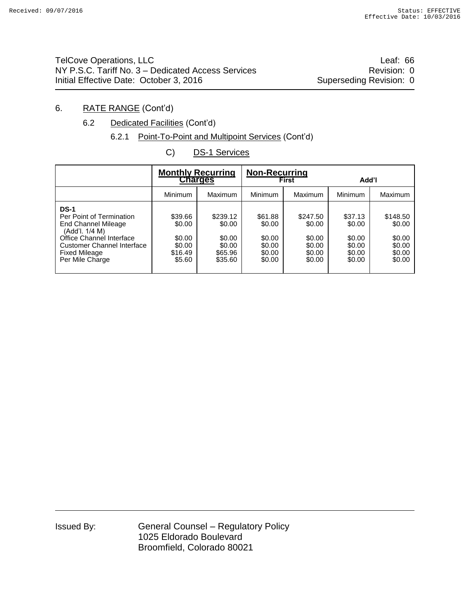TelCove Operations, LLC **Leaf: 66** NY P.S.C. Tariff No. 3 – Dedicated Access Services **Revision: 0** Revision: 0 Initial Effective Date: October 3, 2016 Superseding Revision: 0

# 6. RATE RANGE (Cont'd)

# 6.2 Dedicated Facilities (Cont'd)

# 6.2.1 Point-To-Point and Multipoint Services (Cont'd)

C) DS-1 Services

|                                                                                                                                                                                              | <b>Monthly Recurring</b><br><b>Charges</b>                 |                                                              | Non-Recurring<br>First                                    |                                                            | Add'l                                                     |                                                            |
|----------------------------------------------------------------------------------------------------------------------------------------------------------------------------------------------|------------------------------------------------------------|--------------------------------------------------------------|-----------------------------------------------------------|------------------------------------------------------------|-----------------------------------------------------------|------------------------------------------------------------|
|                                                                                                                                                                                              | Minimum                                                    | Maximum                                                      | Minimum                                                   | Maximum                                                    | Minimum                                                   | <b>Maximum</b>                                             |
| <b>DS-1</b><br>Per Point of Termination<br>End Channel Mileage<br>(Add'l. 1/4 M)<br>Office Channel Interface<br><b>Customer Channel Interface</b><br><b>Fixed Mileage</b><br>Per Mile Charge | \$39.66<br>\$0.00<br>\$0.00<br>\$0.00<br>\$16.49<br>\$5.60 | \$239.12<br>\$0.00<br>\$0.00<br>\$0.00<br>\$65.96<br>\$35.60 | \$61.88<br>\$0.00<br>\$0.00<br>\$0.00<br>\$0.00<br>\$0.00 | \$247.50<br>\$0.00<br>\$0.00<br>\$0.00<br>\$0.00<br>\$0.00 | \$37.13<br>\$0.00<br>\$0.00<br>\$0.00<br>\$0.00<br>\$0.00 | \$148.50<br>\$0.00<br>\$0.00<br>\$0.00<br>\$0.00<br>\$0.00 |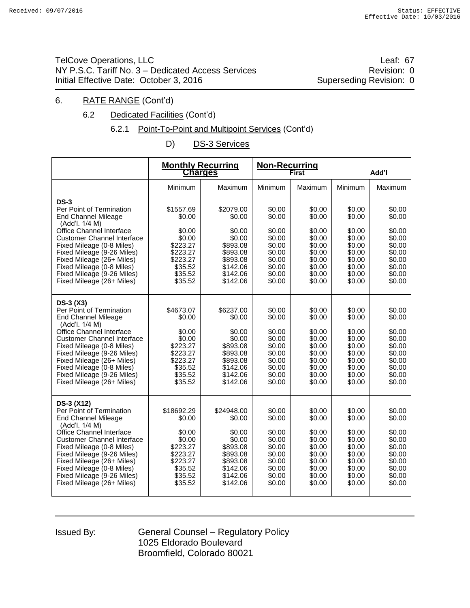TelCove Operations, LLC **Leaf: 67** NY P.S.C. Tariff No. 3 – Dedicated Access Services **Revision: 0** Revision: 0 Initial Effective Date: October 3, 2016 Superseding Revision: 0

### 6. RATE RANGE (Cont'd)

- 6.2 Dedicated Facilities (Cont'd)
	- 6.2.1 Point-To-Point and Multipoint Services (Cont'd)
		- D) DS-3 Services

|                                                                                                                                                                                                                                                                                                                                                | <b>Monthly Recurring</b><br><b>Charges</b>                                                                    |                                                                                                                  | Non-Recurring                                                                                    | <b>First</b>                                                                                     | Add'l                                                                                            |                                                                                                  |  |
|------------------------------------------------------------------------------------------------------------------------------------------------------------------------------------------------------------------------------------------------------------------------------------------------------------------------------------------------|---------------------------------------------------------------------------------------------------------------|------------------------------------------------------------------------------------------------------------------|--------------------------------------------------------------------------------------------------|--------------------------------------------------------------------------------------------------|--------------------------------------------------------------------------------------------------|--------------------------------------------------------------------------------------------------|--|
|                                                                                                                                                                                                                                                                                                                                                | Minimum                                                                                                       | Maximum                                                                                                          | Minimum                                                                                          | Maximum                                                                                          | Minimum                                                                                          | Maximum                                                                                          |  |
| $DS-3$<br>Per Point of Termination<br><b>End Channel Mileage</b><br>(Add'l. 1/4 M)<br>Office Channel Interface<br><b>Customer Channel Interface</b><br>Fixed Mileage (0-8 Miles)<br>Fixed Mileage (9-26 Miles)<br>Fixed Mileage (26+ Miles)<br>Fixed Mileage (0-8 Miles)<br>Fixed Mileage (9-26 Miles)<br>Fixed Mileage (26+ Miles)            | \$1557.69<br>\$0.00<br>\$0.00<br>\$0.00<br>\$223.27<br>\$223.27<br>\$223.27<br>\$35.52<br>\$35.52<br>\$35.52  | \$2079.00<br>\$0.00<br>\$0.00<br>\$0.00<br>\$893.08<br>\$893.08<br>\$893.08<br>\$142.06<br>\$142.06<br>\$142.06  | \$0.00<br>\$0.00<br>\$0.00<br>\$0.00<br>\$0.00<br>\$0.00<br>\$0.00<br>\$0.00<br>\$0.00<br>\$0.00 | \$0.00<br>\$0.00<br>\$0.00<br>\$0.00<br>\$0.00<br>\$0.00<br>\$0.00<br>\$0.00<br>\$0.00<br>\$0.00 | \$0.00<br>\$0.00<br>\$0.00<br>\$0.00<br>\$0.00<br>\$0.00<br>\$0.00<br>\$0.00<br>\$0.00<br>\$0.00 | \$0.00<br>\$0.00<br>\$0.00<br>\$0.00<br>\$0.00<br>\$0.00<br>\$0.00<br>\$0.00<br>\$0.00<br>\$0.00 |  |
| $DS-3(X3)$<br>Per Point of Termination<br><b>End Channel Mileage</b><br>(Add'l. 1/4 M)<br>Office Channel Interface<br><b>Customer Channel Interface</b><br>Fixed Mileage (0-8 Miles)<br>Fixed Mileage (9-26 Miles)<br>Fixed Mileage (26+ Miles)<br>Fixed Mileage (0-8 Miles)<br>Fixed Mileage (9-26 Miles)<br>Fixed Mileage (26+ Miles)        | \$4673.07<br>\$0.00<br>\$0.00<br>\$0.00<br>\$223.27<br>\$223.27<br>\$223.27<br>\$35.52<br>\$35.52<br>\$35.52  | \$6237.00<br>\$0.00<br>\$0.00<br>\$0.00<br>\$893.08<br>\$893.08<br>\$893.08<br>\$142.06<br>\$142.06<br>\$142.06  | \$0.00<br>\$0.00<br>\$0.00<br>\$0.00<br>\$0.00<br>\$0.00<br>\$0.00<br>\$0.00<br>\$0.00<br>\$0.00 | \$0.00<br>\$0.00<br>\$0.00<br>\$0.00<br>\$0.00<br>\$0.00<br>\$0.00<br>\$0.00<br>\$0.00<br>\$0.00 | \$0.00<br>\$0.00<br>\$0.00<br>\$0.00<br>\$0.00<br>\$0.00<br>\$0.00<br>\$0.00<br>\$0.00<br>\$0.00 | \$0.00<br>\$0.00<br>\$0.00<br>\$0.00<br>\$0.00<br>\$0.00<br>\$0.00<br>\$0.00<br>\$0.00<br>\$0.00 |  |
| <b>DS-3 (X12)</b><br>Per Point of Termination<br><b>End Channel Mileage</b><br>(Add'l. 1/4 M)<br>Office Channel Interface<br><b>Customer Channel Interface</b><br>Fixed Mileage (0-8 Miles)<br>Fixed Mileage (9-26 Miles)<br>Fixed Mileage (26+ Miles)<br>Fixed Mileage (0-8 Miles)<br>Fixed Mileage (9-26 Miles)<br>Fixed Mileage (26+ Miles) | \$18692.29<br>\$0.00<br>\$0.00<br>\$0.00<br>\$223.27<br>\$223.27<br>\$223.27<br>\$35.52<br>\$35.52<br>\$35.52 | \$24948.00<br>\$0.00<br>\$0.00<br>\$0.00<br>\$893.08<br>\$893.08<br>\$893.08<br>\$142.06<br>\$142.06<br>\$142.06 | \$0.00<br>\$0.00<br>\$0.00<br>\$0.00<br>\$0.00<br>\$0.00<br>\$0.00<br>\$0.00<br>\$0.00<br>\$0.00 | \$0.00<br>\$0.00<br>\$0.00<br>\$0.00<br>\$0.00<br>\$0.00<br>\$0.00<br>\$0.00<br>\$0.00<br>\$0.00 | \$0.00<br>\$0.00<br>\$0.00<br>\$0.00<br>\$0.00<br>\$0.00<br>\$0.00<br>\$0.00<br>\$0.00<br>\$0.00 | \$0.00<br>\$0.00<br>\$0.00<br>\$0.00<br>\$0.00<br>\$0.00<br>\$0.00<br>\$0.00<br>\$0.00<br>\$0.00 |  |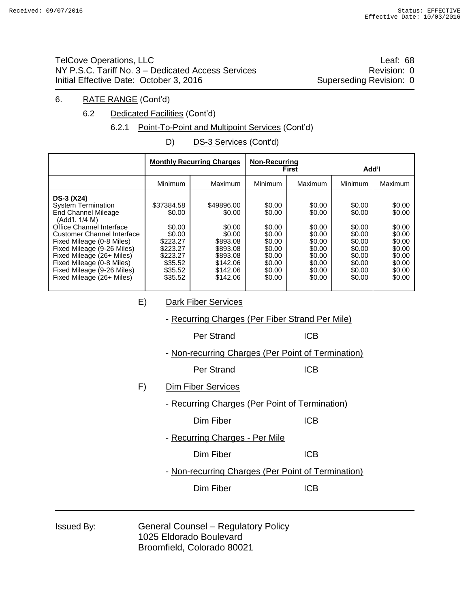TelCove Operations, LLC **Leaf: 68** NY P.S.C. Tariff No. 3 – Dedicated Access Services **Revision: 0** Revision: 0 Initial Effective Date: October 3, 2016 Superseding Revision: 0

#### 6. RATE RANGE (Cont'd)

6.2 Dedicated Facilities (Cont'd)

# 6.2.1 Point-To-Point and Multipoint Services (Cont'd)

D) DS-3 Services (Cont'd)

|                                                                                                                                                                                                                                                                                                                                   |                                                                                                               | <b>Monthly Recurring Charges</b>                                                                                 | <b>Non-Recurring</b>                                                                             | <b>First</b>                                                                                     | Add'l                                                                                            |                                                                                                  |
|-----------------------------------------------------------------------------------------------------------------------------------------------------------------------------------------------------------------------------------------------------------------------------------------------------------------------------------|---------------------------------------------------------------------------------------------------------------|------------------------------------------------------------------------------------------------------------------|--------------------------------------------------------------------------------------------------|--------------------------------------------------------------------------------------------------|--------------------------------------------------------------------------------------------------|--------------------------------------------------------------------------------------------------|
|                                                                                                                                                                                                                                                                                                                                   | Minimum                                                                                                       | Maximum                                                                                                          | Minimum                                                                                          | Maximum                                                                                          | Minimum                                                                                          | <b>Maximum</b>                                                                                   |
| DS-3 (X24)<br><b>System Termination</b><br>End Channel Mileage<br>(Add'l. 1/4 M)<br>Office Channel Interface<br><b>Customer Channel Interface</b><br>Fixed Mileage (0-8 Miles)<br>Fixed Mileage (9-26 Miles)<br>Fixed Mileage (26+ Miles)<br>Fixed Mileage (0-8 Miles)<br>Fixed Mileage (9-26 Miles)<br>Fixed Mileage (26+ Miles) | \$37384.58<br>\$0.00<br>\$0.00<br>\$0.00<br>\$223.27<br>\$223.27<br>\$223.27<br>\$35.52<br>\$35.52<br>\$35.52 | \$49896.00<br>\$0.00<br>\$0.00<br>\$0.00<br>\$893.08<br>\$893.08<br>\$893.08<br>\$142.06<br>\$142.06<br>\$142.06 | \$0.00<br>\$0.00<br>\$0.00<br>\$0.00<br>\$0.00<br>\$0.00<br>\$0.00<br>\$0.00<br>\$0.00<br>\$0.00 | \$0.00<br>\$0.00<br>\$0.00<br>\$0.00<br>\$0.00<br>\$0.00<br>\$0.00<br>\$0.00<br>\$0.00<br>\$0.00 | \$0.00<br>\$0.00<br>\$0.00<br>\$0.00<br>\$0.00<br>\$0.00<br>\$0.00<br>\$0.00<br>\$0.00<br>\$0.00 | \$0.00<br>\$0.00<br>\$0.00<br>\$0.00<br>\$0.00<br>\$0.00<br>\$0.00<br>\$0.00<br>\$0.00<br>\$0.00 |
| E)<br><b>Dark Fiber Services</b><br>- Recurring Charges (Per Fiber Strand Per Mile)                                                                                                                                                                                                                                               |                                                                                                               |                                                                                                                  |                                                                                                  |                                                                                                  |                                                                                                  |                                                                                                  |
|                                                                                                                                                                                                                                                                                                                                   |                                                                                                               | Per Strand                                                                                                       |                                                                                                  | <b>ICB</b>                                                                                       |                                                                                                  |                                                                                                  |
| - Non-recurring Charges (Per Point of Termination)                                                                                                                                                                                                                                                                                |                                                                                                               |                                                                                                                  |                                                                                                  |                                                                                                  |                                                                                                  |                                                                                                  |
|                                                                                                                                                                                                                                                                                                                                   |                                                                                                               | Per Strand                                                                                                       |                                                                                                  | <b>ICB</b>                                                                                       |                                                                                                  |                                                                                                  |
|                                                                                                                                                                                                                                                                                                                                   | <b>Dim Fiber Services</b><br>F)                                                                               |                                                                                                                  |                                                                                                  |                                                                                                  |                                                                                                  |                                                                                                  |
|                                                                                                                                                                                                                                                                                                                                   | - Recurring Charges (Per Point of Termination)                                                                |                                                                                                                  |                                                                                                  |                                                                                                  |                                                                                                  |                                                                                                  |
|                                                                                                                                                                                                                                                                                                                                   |                                                                                                               | Dim Fiber                                                                                                        |                                                                                                  | <b>ICB</b>                                                                                       |                                                                                                  |                                                                                                  |
|                                                                                                                                                                                                                                                                                                                                   |                                                                                                               | - Recurring Charges - Per Mile                                                                                   |                                                                                                  |                                                                                                  |                                                                                                  |                                                                                                  |
|                                                                                                                                                                                                                                                                                                                                   |                                                                                                               | Dim Fiber                                                                                                        |                                                                                                  | <b>ICB</b>                                                                                       |                                                                                                  |                                                                                                  |
|                                                                                                                                                                                                                                                                                                                                   |                                                                                                               | - Non-recurring Charges (Per Point of Termination)                                                               |                                                                                                  |                                                                                                  |                                                                                                  |                                                                                                  |
|                                                                                                                                                                                                                                                                                                                                   |                                                                                                               | Dim Fiber                                                                                                        |                                                                                                  | <b>ICB</b>                                                                                       |                                                                                                  |                                                                                                  |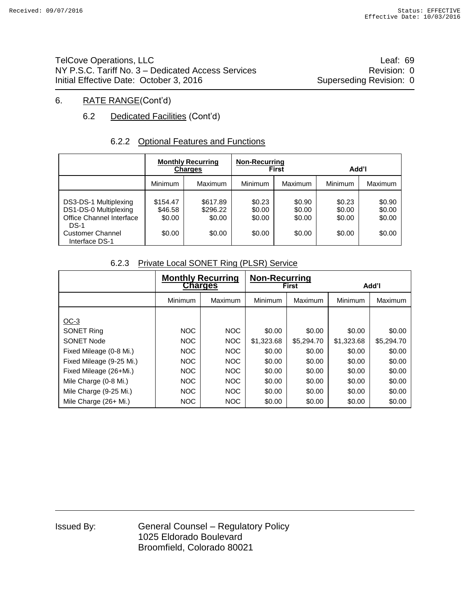TelCove Operations, LLC **Leaf: 69** NY P.S.C. Tariff No. 3 – Dedicated Access Services **Revision: 0** Revision: 0 Initial Effective Date: October 3, 2016 Superseding Revision: 0

# 6. RATE RANGE(Cont'd)

# 6.2 Dedicated Facilities (Cont'd)

# 6.2.2 Optional Features and Functions

|                                                                                    | <b>Monthly Recurring</b><br><b>Charges</b> |                                | <b>Non-Recurring</b>       | <b>First</b>               | Add'l                      |                            |  |
|------------------------------------------------------------------------------------|--------------------------------------------|--------------------------------|----------------------------|----------------------------|----------------------------|----------------------------|--|
|                                                                                    | Minimum                                    | Maximum                        | <b>Minimum</b>             | <b>Maximum</b>             | Minimum                    | <b>Maximum</b>             |  |
| DS3-DS-1 Multiplexing<br>DS1-DS-0 Multiplexing<br>Office Channel Interface<br>DS-1 | \$154.47<br>\$46.58<br>\$0.00              | \$617.89<br>\$296.22<br>\$0.00 | \$0.23<br>\$0.00<br>\$0.00 | \$0.90<br>\$0.00<br>\$0.00 | \$0.23<br>\$0.00<br>\$0.00 | \$0.90<br>\$0.00<br>\$0.00 |  |
| <b>Customer Channel</b><br>Interface DS-1                                          | \$0.00                                     | \$0.00                         | \$0.00                     | \$0.00                     | \$0.00                     | \$0.00                     |  |

### 6.2.3 Private Local SONET Ring (PLSR) Service

|                          | <b>Monthly Recurring</b><br><b>Charges</b> |            | <b>Non-Recurring</b><br><b>First</b> |            | Add'l      |            |
|--------------------------|--------------------------------------------|------------|--------------------------------------|------------|------------|------------|
|                          | Minimum                                    | Maximum    | Minimum                              | Maximum    | Minimum    | Maximum    |
| $OC-3$                   |                                            |            |                                      |            |            |            |
| <b>SONET Ring</b>        | <b>NOC</b>                                 | <b>NOC</b> | \$0.00                               | \$0.00     | \$0.00     | \$0.00     |
| SONET Node               | <b>NOC</b>                                 | <b>NOC</b> | \$1,323.68                           | \$5,294.70 | \$1,323.68 | \$5,294.70 |
| Fixed Mileage (0-8 Mi.)  | NOC                                        | NOC        | \$0.00                               | \$0.00     | \$0.00     | \$0.00     |
| Fixed Mileage (9-25 Mi.) | NOC                                        | NOC        | \$0.00                               | \$0.00     | \$0.00     | \$0.00     |
| Fixed Mileage (26+Mi.)   | <b>NOC</b>                                 | NOC.       | \$0.00                               | \$0.00     | \$0.00     | \$0.00     |
| Mile Charge (0-8 Mi.)    | <b>NOC</b>                                 | NOC        | \$0.00                               | \$0.00     | \$0.00     | \$0.00     |
| Mile Charge (9-25 Mi.)   | NOC                                        | NOC        | \$0.00                               | \$0.00     | \$0.00     | \$0.00     |
| Mile Charge (26+ Mi.)    | <b>NOC</b>                                 | NOC        | \$0.00                               | \$0.00     | \$0.00     | \$0.00     |

| Issued By: |  |
|------------|--|
|------------|--|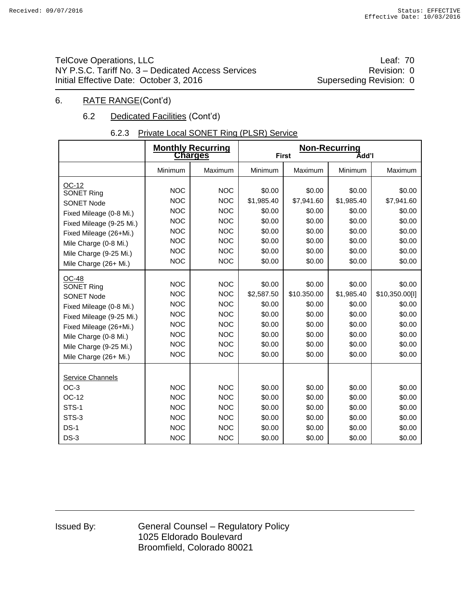TelCove Operations, LLC **Leaf: 70** NY P.S.C. Tariff No. 3 – Dedicated Access Services **Revision: 0** Revision: 0 Initial Effective Date: October 3, 2016 Superseding Revision: 0

### 6. RATE RANGE(Cont'd)

# 6.2 Dedicated Facilities (Cont'd)

# 6.2.3 Private Local SONET Ring (PLSR) Service

|                                                                                                                                                                                                              |                                                                                                              | <b>Monthly Recurring</b><br><b>Charges</b>                                                                   | <b>Non-Recurring</b><br><b>First</b><br>Add'l                                    |                                                                                   |                                                                                  |                                                                                      |  |
|--------------------------------------------------------------------------------------------------------------------------------------------------------------------------------------------------------------|--------------------------------------------------------------------------------------------------------------|--------------------------------------------------------------------------------------------------------------|----------------------------------------------------------------------------------|-----------------------------------------------------------------------------------|----------------------------------------------------------------------------------|--------------------------------------------------------------------------------------|--|
|                                                                                                                                                                                                              | Minimum                                                                                                      | Maximum                                                                                                      | Minimum                                                                          | Maximum                                                                           | Minimum                                                                          | Maximum                                                                              |  |
| OC-12<br><b>SONET Ring</b><br><b>SONET Node</b><br>Fixed Mileage (0-8 Mi.)<br>Fixed Mileage (9-25 Mi.)<br>Fixed Mileage (26+Mi.)<br>Mile Charge (0-8 Mi.)<br>Mile Charge (9-25 Mi.)<br>Mile Charge (26+ Mi.) | <b>NOC</b><br><b>NOC</b><br><b>NOC</b><br><b>NOC</b><br><b>NOC</b><br><b>NOC</b><br><b>NOC</b><br><b>NOC</b> | <b>NOC</b><br><b>NOC</b><br><b>NOC</b><br><b>NOC</b><br><b>NOC</b><br><b>NOC</b><br><b>NOC</b><br><b>NOC</b> | \$0.00<br>\$1,985.40<br>\$0.00<br>\$0.00<br>\$0.00<br>\$0.00<br>\$0.00<br>\$0.00 | \$0.00<br>\$7,941.60<br>\$0.00<br>\$0.00<br>\$0.00<br>\$0.00<br>\$0.00<br>\$0.00  | \$0.00<br>\$1,985.40<br>\$0.00<br>\$0.00<br>\$0.00<br>\$0.00<br>\$0.00<br>\$0.00 | \$0.00<br>\$7,941.60<br>\$0.00<br>\$0.00<br>\$0.00<br>\$0.00<br>\$0.00<br>\$0.00     |  |
| OC-48<br>SONET Ring<br><b>SONET Node</b><br>Fixed Mileage (0-8 Mi.)<br>Fixed Mileage (9-25 Mi.)<br>Fixed Mileage (26+Mi.)<br>Mile Charge (0-8 Mi.)<br>Mile Charge (9-25 Mi.)<br>Mile Charge (26+ Mi.)        | <b>NOC</b><br><b>NOC</b><br><b>NOC</b><br><b>NOC</b><br><b>NOC</b><br><b>NOC</b><br><b>NOC</b><br><b>NOC</b> | <b>NOC</b><br><b>NOC</b><br><b>NOC</b><br><b>NOC</b><br><b>NOC</b><br><b>NOC</b><br><b>NOC</b><br><b>NOC</b> | \$0.00<br>\$2,587.50<br>\$0.00<br>\$0.00<br>\$0.00<br>\$0.00<br>\$0.00<br>\$0.00 | \$0.00<br>\$10.350.00<br>\$0.00<br>\$0.00<br>\$0.00<br>\$0.00<br>\$0.00<br>\$0.00 | \$0.00<br>\$1,985.40<br>\$0.00<br>\$0.00<br>\$0.00<br>\$0.00<br>\$0.00<br>\$0.00 | \$0.00<br>\$10,350.00[I]<br>\$0.00<br>\$0.00<br>\$0.00<br>\$0.00<br>\$0.00<br>\$0.00 |  |
| Service Channels<br>$OC-3$<br>OC-12<br>STS-1<br>STS-3<br>$DS-1$<br>$DS-3$                                                                                                                                    | <b>NOC</b><br><b>NOC</b><br><b>NOC</b><br><b>NOC</b><br><b>NOC</b><br><b>NOC</b>                             | <b>NOC</b><br><b>NOC</b><br><b>NOC</b><br><b>NOC</b><br><b>NOC</b><br><b>NOC</b>                             | \$0.00<br>\$0.00<br>\$0.00<br>\$0.00<br>\$0.00<br>\$0.00                         | \$0.00<br>\$0.00<br>\$0.00<br>\$0.00<br>\$0.00<br>\$0.00                          | \$0.00<br>\$0.00<br>\$0.00<br>\$0.00<br>\$0.00<br>\$0.00                         | \$0.00<br>\$0.00<br>\$0.00<br>\$0.00<br>\$0.00<br>\$0.00                             |  |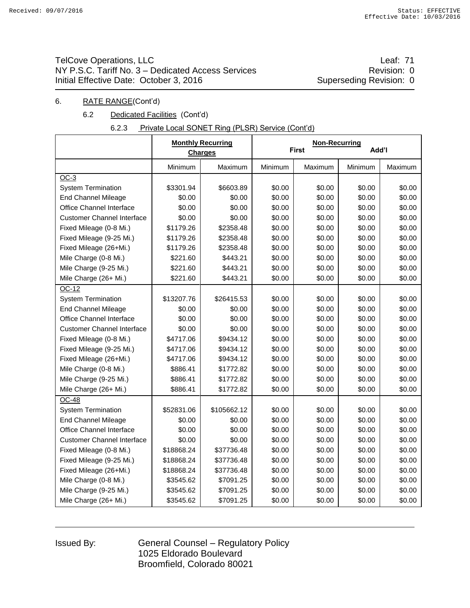# TelCove Operations, LLC **Leaf: 71** NY P.S.C. Tariff No. 3 – Dedicated Access Services **Revision: 0** Revision: 0 Initial Effective Date: October 3, 2016 Superseding Revision: 0

### 6. RATE RANGE(Cont'd)

### 6.2 Dedicated Facilities (Cont'd)

| 6.2.3 | Private Local SONET Ring (PLSR) Service (Cont'd) |  |
|-------|--------------------------------------------------|--|
|       |                                                  |  |

|                                   |            | <b>Monthly Recurring</b><br><b>Charges</b> |         | <b>Non-Recurring</b><br><b>First</b> | Add'l   |         |
|-----------------------------------|------------|--------------------------------------------|---------|--------------------------------------|---------|---------|
|                                   | Minimum    | Maximum                                    | Minimum | Maximum                              | Minimum | Maximum |
| $OC-3$                            |            |                                            |         |                                      |         |         |
| <b>System Termination</b>         | \$3301.94  | \$6603.89                                  | \$0.00  | \$0.00                               | \$0.00  | \$0.00  |
| <b>End Channel Mileage</b>        | \$0.00     | \$0.00                                     | \$0.00  | \$0.00                               | \$0.00  | \$0.00  |
| Office Channel Interface          | \$0.00     | \$0.00                                     | \$0.00  | \$0.00                               | \$0.00  | \$0.00  |
| <b>Customer Channel Interface</b> | \$0.00     | \$0.00                                     | \$0.00  | \$0.00                               | \$0.00  | \$0.00  |
| Fixed Mileage (0-8 Mi.)           | \$1179.26  | \$2358.48                                  | \$0.00  | \$0.00                               | \$0.00  | \$0.00  |
| Fixed Mileage (9-25 Mi.)          | \$1179.26  | \$2358.48                                  | \$0.00  | \$0.00                               | \$0.00  | \$0.00  |
| Fixed Mileage (26+Mi.)            | \$1179.26  | \$2358.48                                  | \$0.00  | \$0.00                               | \$0.00  | \$0.00  |
| Mile Charge (0-8 Mi.)             | \$221.60   | \$443.21                                   | \$0.00  | \$0.00                               | \$0.00  | \$0.00  |
| Mile Charge (9-25 Mi.)            | \$221.60   | \$443.21                                   | \$0.00  | \$0.00                               | \$0.00  | \$0.00  |
| Mile Charge (26+ Mi.)             | \$221.60   | \$443.21                                   | \$0.00  | \$0.00                               | \$0.00  | \$0.00  |
| OC-12                             |            |                                            |         |                                      |         |         |
| <b>System Termination</b>         | \$13207.76 | \$26415.53                                 | \$0.00  | \$0.00                               | \$0.00  | \$0.00  |
| <b>End Channel Mileage</b>        | \$0.00     | \$0.00                                     | \$0.00  | \$0.00                               | \$0.00  | \$0.00  |
| Office Channel Interface          | \$0.00     | \$0.00                                     | \$0.00  | \$0.00                               | \$0.00  | \$0.00  |
| <b>Customer Channel Interface</b> | \$0.00     | \$0.00                                     | \$0.00  | \$0.00                               | \$0.00  | \$0.00  |
| Fixed Mileage (0-8 Mi.)           | \$4717.06  | \$9434.12                                  | \$0.00  | \$0.00                               | \$0.00  | \$0.00  |
| Fixed Mileage (9-25 Mi.)          | \$4717.06  | \$9434.12                                  | \$0.00  | \$0.00                               | \$0.00  | \$0.00  |
| Fixed Mileage (26+Mi.)            | \$4717.06  | \$9434.12                                  | \$0.00  | \$0.00                               | \$0.00  | \$0.00  |
| Mile Charge (0-8 Mi.)             | \$886.41   | \$1772.82                                  | \$0.00  | \$0.00                               | \$0.00  | \$0.00  |
| Mile Charge (9-25 Mi.)            | \$886.41   | \$1772.82                                  | \$0.00  | \$0.00                               | \$0.00  | \$0.00  |
| Mile Charge (26+ Mi.)             | \$886.41   | \$1772.82                                  | \$0.00  | \$0.00                               | \$0.00  | \$0.00  |
| <b>OC-48</b>                      |            |                                            |         |                                      |         |         |
| <b>System Termination</b>         | \$52831.06 | \$105662.12                                | \$0.00  | \$0.00                               | \$0.00  | \$0.00  |
| <b>End Channel Mileage</b>        | \$0.00     | \$0.00                                     | \$0.00  | \$0.00                               | \$0.00  | \$0.00  |
| Office Channel Interface          | \$0.00     | \$0.00                                     | \$0.00  | \$0.00                               | \$0.00  | \$0.00  |
| <b>Customer Channel Interface</b> | \$0.00     | \$0.00                                     | \$0.00  | \$0.00                               | \$0.00  | \$0.00  |
| Fixed Mileage (0-8 Mi.)           | \$18868.24 | \$37736.48                                 | \$0.00  | \$0.00                               | \$0.00  | \$0.00  |
| Fixed Mileage (9-25 Mi.)          | \$18868.24 | \$37736.48                                 | \$0.00  | \$0.00                               | \$0.00  | \$0.00  |
| Fixed Mileage (26+Mi.)            | \$18868.24 | \$37736.48                                 | \$0.00  | \$0.00                               | \$0.00  | \$0.00  |
| Mile Charge (0-8 Mi.)             | \$3545.62  | \$7091.25                                  | \$0.00  | \$0.00                               | \$0.00  | \$0.00  |
| Mile Charge (9-25 Mi.)            | \$3545.62  | \$7091.25                                  | \$0.00  | \$0.00                               | \$0.00  | \$0.00  |
| Mile Charge (26+ Mi.)             | \$3545.62  | \$7091.25                                  | \$0.00  | \$0.00                               | \$0.00  | \$0.00  |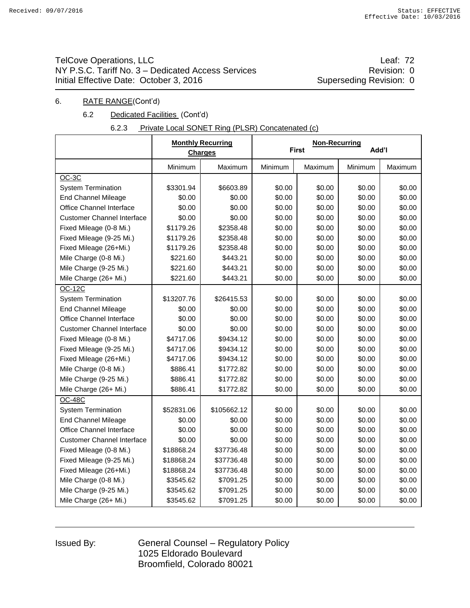# TelCove Operations, LLC **Leaf:** 72 NY P.S.C. Tariff No. 3 – Dedicated Access Services **Revision: 0** Revision: 0 Initial Effective Date: October 3, 2016 Superseding Revision: 0

### 6. RATE RANGE(Cont'd)

### 6.2 Dedicated Facilities (Cont'd)

| Private Local SONET Ring (PLSR) Concatenated (c) |
|--------------------------------------------------|
|--------------------------------------------------|

|                                   |            | <b>Monthly Recurring</b><br><b>Charges</b> |         | <b>Non-Recurring</b><br><b>First</b> | Add'l   |         |
|-----------------------------------|------------|--------------------------------------------|---------|--------------------------------------|---------|---------|
|                                   | Minimum    | Maximum                                    | Minimum | Maximum                              | Minimum | Maximum |
| OC-3C                             |            |                                            |         |                                      |         |         |
| <b>System Termination</b>         | \$3301.94  | \$6603.89                                  | \$0.00  | \$0.00                               | \$0.00  | \$0.00  |
| <b>End Channel Mileage</b>        | \$0.00     | \$0.00                                     | \$0.00  | \$0.00                               | \$0.00  | \$0.00  |
| Office Channel Interface          | \$0.00     | \$0.00                                     | \$0.00  | \$0.00                               | \$0.00  | \$0.00  |
| <b>Customer Channel Interface</b> | \$0.00     | \$0.00                                     | \$0.00  | \$0.00                               | \$0.00  | \$0.00  |
| Fixed Mileage (0-8 Mi.)           | \$1179.26  | \$2358.48                                  | \$0.00  | \$0.00                               | \$0.00  | \$0.00  |
| Fixed Mileage (9-25 Mi.)          | \$1179.26  | \$2358.48                                  | \$0.00  | \$0.00                               | \$0.00  | \$0.00  |
| Fixed Mileage (26+Mi.)            | \$1179.26  | \$2358.48                                  | \$0.00  | \$0.00                               | \$0.00  | \$0.00  |
| Mile Charge (0-8 Mi.)             | \$221.60   | \$443.21                                   | \$0.00  | \$0.00                               | \$0.00  | \$0.00  |
| Mile Charge (9-25 Mi.)            | \$221.60   | \$443.21                                   | \$0.00  | \$0.00                               | \$0.00  | \$0.00  |
| Mile Charge (26+ Mi.)             | \$221.60   | \$443.21                                   | \$0.00  | \$0.00                               | \$0.00  | \$0.00  |
| <b>OC-12C</b>                     |            |                                            |         |                                      |         |         |
| <b>System Termination</b>         | \$13207.76 | \$26415.53                                 | \$0.00  | \$0.00                               | \$0.00  | \$0.00  |
| <b>End Channel Mileage</b>        | \$0.00     | \$0.00                                     | \$0.00  | \$0.00                               | \$0.00  | \$0.00  |
| Office Channel Interface          | \$0.00     | \$0.00                                     | \$0.00  | \$0.00                               | \$0.00  | \$0.00  |
| <b>Customer Channel Interface</b> | \$0.00     | \$0.00                                     | \$0.00  | \$0.00                               | \$0.00  | \$0.00  |
| Fixed Mileage (0-8 Mi.)           | \$4717.06  | \$9434.12                                  | \$0.00  | \$0.00                               | \$0.00  | \$0.00  |
| Fixed Mileage (9-25 Mi.)          | \$4717.06  | \$9434.12                                  | \$0.00  | \$0.00                               | \$0.00  | \$0.00  |
| Fixed Mileage (26+Mi.)            | \$4717.06  | \$9434.12                                  | \$0.00  | \$0.00                               | \$0.00  | \$0.00  |
| Mile Charge (0-8 Mi.)             | \$886.41   | \$1772.82                                  | \$0.00  | \$0.00                               | \$0.00  | \$0.00  |
| Mile Charge (9-25 Mi.)            | \$886.41   | \$1772.82                                  | \$0.00  | \$0.00                               | \$0.00  | \$0.00  |
| Mile Charge (26+ Mi.)             | \$886.41   | \$1772.82                                  | \$0.00  | \$0.00                               | \$0.00  | \$0.00  |
| $OC-48C$                          |            |                                            |         |                                      |         |         |
| <b>System Termination</b>         | \$52831.06 | \$105662.12                                | \$0.00  | \$0.00                               | \$0.00  | \$0.00  |
| <b>End Channel Mileage</b>        | \$0.00     | \$0.00                                     | \$0.00  | \$0.00                               | \$0.00  | \$0.00  |
| Office Channel Interface          | \$0.00     | \$0.00                                     | \$0.00  | \$0.00                               | \$0.00  | \$0.00  |
| <b>Customer Channel Interface</b> | \$0.00     | \$0.00                                     | \$0.00  | \$0.00                               | \$0.00  | \$0.00  |
| Fixed Mileage (0-8 Mi.)           | \$18868.24 | \$37736.48                                 | \$0.00  | \$0.00                               | \$0.00  | \$0.00  |
| Fixed Mileage (9-25 Mi.)          | \$18868.24 | \$37736.48                                 | \$0.00  | \$0.00                               | \$0.00  | \$0.00  |
| Fixed Mileage (26+Mi.)            | \$18868.24 | \$37736.48                                 | \$0.00  | \$0.00                               | \$0.00  | \$0.00  |
| Mile Charge (0-8 Mi.)             | \$3545.62  | \$7091.25                                  | \$0.00  | \$0.00                               | \$0.00  | \$0.00  |
| Mile Charge (9-25 Mi.)            | \$3545.62  | \$7091.25                                  | \$0.00  | \$0.00                               | \$0.00  | \$0.00  |
| Mile Charge (26+ Mi.)             | \$3545.62  | \$7091.25                                  | \$0.00  | \$0.00                               | \$0.00  | \$0.00  |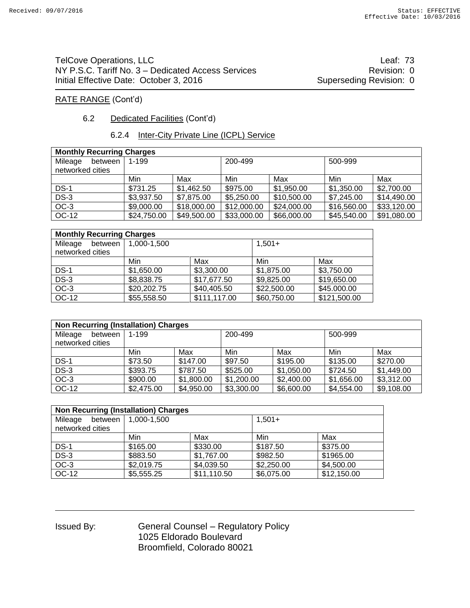TelCove Operations, LLC **Leaf:** 73 NY P.S.C. Tariff No. 3 – Dedicated Access Services **Revision: 0** Revision: 0 Initial Effective Date: October 3, 2016 Superseding Revision: 0

#### RATE RANGE (Cont'd)

#### 6.2 Dedicated Facilities (Cont'd)

#### 6.2.4 Inter-City Private Line (ICPL) Service

| <b>Monthly Recurring Charges</b> |             |             |             |             |             |             |  |  |  |
|----------------------------------|-------------|-------------|-------------|-------------|-------------|-------------|--|--|--|
| Mileage<br>between               | 1-199       |             | 200-499     |             |             | 500-999     |  |  |  |
| networked cities                 |             |             |             |             |             |             |  |  |  |
|                                  | Min         | Max         | Min         | Max         | Min         | Max         |  |  |  |
| <b>DS-1</b>                      | \$731.25    | \$1,462.50  | \$975.00    | \$1,950.00  | \$1,350.00  | \$2,700.00  |  |  |  |
| $DS-3$                           | \$3,937.50  | \$7,875.00  | \$5,250.00  | \$10,500.00 | \$7,245.00  | \$14,490.00 |  |  |  |
| $OC-3$                           | \$9,000.00  | \$18,000.00 | \$12,000.00 | \$24,000.00 | \$16,560.00 | \$33,120.00 |  |  |  |
| OC-12                            | \$24,750.00 | \$49,500.00 | \$33,000.00 | \$66,000.00 | \$45,540.00 | \$91,080.00 |  |  |  |

| <b>Monthly Recurring Charges</b> |             |              |             |              |  |  |  |  |
|----------------------------------|-------------|--------------|-------------|--------------|--|--|--|--|
| Mileage<br>between               | 1,000-1,500 |              | $1,501+$    |              |  |  |  |  |
| networked cities                 |             |              |             |              |  |  |  |  |
|                                  | Min         | Max          | Min         | Max          |  |  |  |  |
| $DS-1$                           | \$1,650.00  | \$3,300.00   | \$1,875.00  | \$3,750.00   |  |  |  |  |
| $DS-3$                           | \$8,838.75  | \$17,677.50  | \$9,825.00  | \$19,650.00  |  |  |  |  |
| $OC-3$                           | \$20,202.75 | \$40,405.50  | \$22,500.00 | \$45.000.00  |  |  |  |  |
| OC-12                            | \$55,558.50 | \$111,117.00 | \$60,750.00 | \$121,500.00 |  |  |  |  |

| <b>Non Recurring (Installation) Charges</b> |            |            |            |            |            |            |  |  |  |
|---------------------------------------------|------------|------------|------------|------------|------------|------------|--|--|--|
| Mileage<br>between                          | 1-199      |            | 200-499    |            | 500-999    |            |  |  |  |
| networked cities                            |            |            |            |            |            |            |  |  |  |
|                                             | Min        | Max        | Min        | Max        | Min        | Max        |  |  |  |
| $DS-1$                                      | \$73.50    | \$147.00   | \$97.50    | \$195.00   | \$135.00   | \$270.00   |  |  |  |
| $DS-3$                                      | \$393.75   | \$787.50   | \$525.00   | \$1,050.00 | \$724.50   | \$1,449.00 |  |  |  |
| $OC-3$                                      | \$900.00   | \$1,800.00 | \$1,200.00 | \$2,400.00 | \$1,656.00 | \$3,312.00 |  |  |  |
| OC-12                                       | \$2,475.00 | \$4,950.00 | \$3,300.00 | \$6,600.00 | \$4,554.00 | \$9,108.00 |  |  |  |

| <b>Non Recurring (Installation) Charges</b> |             |             |            |             |  |  |  |  |  |
|---------------------------------------------|-------------|-------------|------------|-------------|--|--|--|--|--|
| Mileage<br>between                          | 1.000-1.500 |             | $1,501+$   |             |  |  |  |  |  |
| networked cities                            |             |             |            |             |  |  |  |  |  |
|                                             | Min         | Max         | Min        | Max         |  |  |  |  |  |
| $DS-1$                                      | \$165.00    | \$330.00    | \$187.50   | \$375.00    |  |  |  |  |  |
| $DS-3$                                      | \$883.50    | \$1,767.00  | \$982.50   | \$1965.00   |  |  |  |  |  |
| $OC-3$                                      | \$2,019.75  | \$4,039.50  | \$2,250.00 | \$4,500.00  |  |  |  |  |  |
| OC-12                                       | \$5,555.25  | \$11,110.50 | \$6,075.00 | \$12,150.00 |  |  |  |  |  |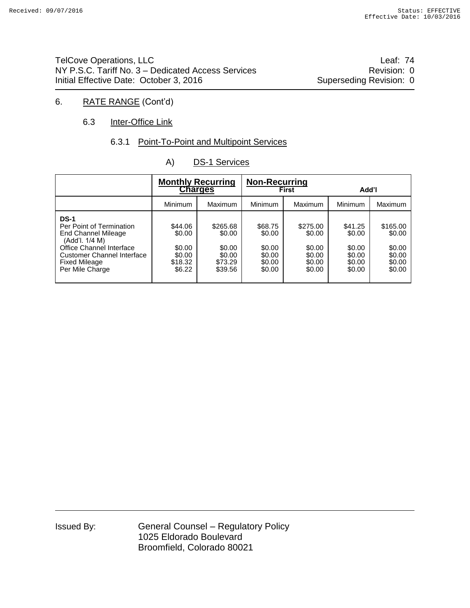TelCove Operations, LLC **Leaf: 74** NY P.S.C. Tariff No. 3 – Dedicated Access Services **Revision: 0** Revision: 0 Initial Effective Date: October 3, 2016 Superseding Revision: 0

## 6. RATE RANGE (Cont'd)

#### 6.3 Inter-Office Link

#### 6.3.1 Point-To-Point and Multipoint Services

| A) | <b>DS-1 Services</b> |
|----|----------------------|
|    |                      |

|                                                                                                                                                                                              | <b>Monthly Recurring</b><br><b>Charges</b>                 |                                                              | <b>Non-Recurring</b>                                      | <b>First</b>                                               | Add'l                                                     |                                                            |
|----------------------------------------------------------------------------------------------------------------------------------------------------------------------------------------------|------------------------------------------------------------|--------------------------------------------------------------|-----------------------------------------------------------|------------------------------------------------------------|-----------------------------------------------------------|------------------------------------------------------------|
|                                                                                                                                                                                              | <b>Minimum</b>                                             | Maximum                                                      | Minimum                                                   | Maximum                                                    | Minimum                                                   | Maximum                                                    |
| <b>DS-1</b><br>Per Point of Termination<br>End Channel Mileage<br>(Add'l. 1/4 M)<br>Office Channel Interface<br><b>Customer Channel Interface</b><br><b>Fixed Mileage</b><br>Per Mile Charge | \$44.06<br>\$0.00<br>\$0.00<br>\$0.00<br>\$18.32<br>\$6.22 | \$265.68<br>\$0.00<br>\$0.00<br>\$0.00<br>\$73.29<br>\$39.56 | \$68.75<br>\$0.00<br>\$0.00<br>\$0.00<br>\$0.00<br>\$0.00 | \$275.00<br>\$0.00<br>\$0.00<br>\$0.00<br>\$0.00<br>\$0.00 | \$41.25<br>\$0.00<br>\$0.00<br>\$0.00<br>\$0.00<br>\$0.00 | \$165.00<br>\$0.00<br>\$0.00<br>\$0.00<br>\$0.00<br>\$0.00 |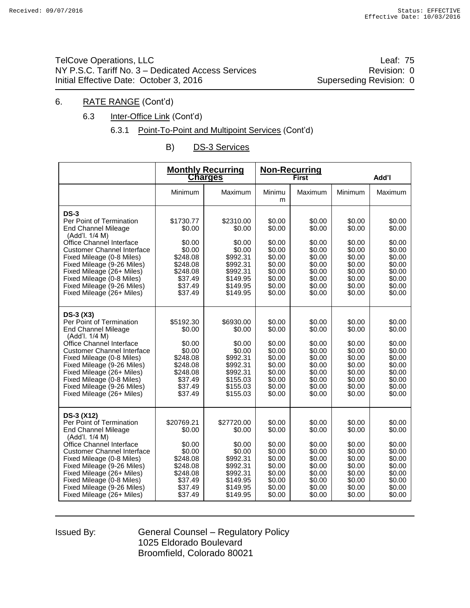TelCove Operations, LLC **Leaf: 75** NY P.S.C. Tariff No. 3 – Dedicated Access Services **Revision: 0** Revision: 0 Initial Effective Date: October 3, 2016 Superseding Revision: 0

#### 6. RATE RANGE (Cont'd)

6.3 Inter-Office Link (Cont'd)

#### 6.3.1 Point-To-Point and Multipoint Services (Cont'd)

B) DS-3 Services

|                                                                                                                                                                                                                                               |                                                                                       | <b>Monthly Recurring</b><br><b>Charges</b>                                               |                                                                              | <b>Non-Recurring</b><br><b>First</b>                                         | Add'l                                                                        |                                                                              |
|-----------------------------------------------------------------------------------------------------------------------------------------------------------------------------------------------------------------------------------------------|---------------------------------------------------------------------------------------|------------------------------------------------------------------------------------------|------------------------------------------------------------------------------|------------------------------------------------------------------------------|------------------------------------------------------------------------------|------------------------------------------------------------------------------|
|                                                                                                                                                                                                                                               | Minimum                                                                               | Maximum                                                                                  | Minimu<br>m                                                                  | Maximum                                                                      | Minimum                                                                      | Maximum                                                                      |
| <b>DS-3</b><br>Per Point of Termination<br><b>End Channel Mileage</b><br>(Add'l. 1/4 M)                                                                                                                                                       | \$1730.77<br>\$0.00                                                                   | \$2310.00<br>\$0.00                                                                      | \$0.00<br>\$0.00                                                             | \$0.00<br>\$0.00                                                             | \$0.00<br>\$0.00                                                             | \$0.00<br>\$0.00                                                             |
| Office Channel Interface<br><b>Customer Channel Interface</b><br>Fixed Mileage (0-8 Miles)<br>Fixed Mileage (9-26 Miles)<br>Fixed Mileage (26+ Miles)<br>Fixed Mileage (0-8 Miles)<br>Fixed Mileage (9-26 Miles)<br>Fixed Mileage (26+ Miles) | \$0.00<br>\$0.00<br>\$248.08<br>\$248.08<br>\$248.08<br>\$37.49<br>\$37.49<br>\$37.49 | \$0.00<br>\$0.00<br>\$992.31<br>\$992.31<br>\$992.31<br>\$149.95<br>\$149.95<br>\$149.95 | \$0.00<br>\$0.00<br>\$0.00<br>\$0.00<br>\$0.00<br>\$0.00<br>\$0.00<br>\$0.00 | \$0.00<br>\$0.00<br>\$0.00<br>\$0.00<br>\$0.00<br>\$0.00<br>\$0.00<br>\$0.00 | \$0.00<br>\$0.00<br>\$0.00<br>\$0.00<br>\$0.00<br>\$0.00<br>\$0.00<br>\$0.00 | \$0.00<br>\$0.00<br>\$0.00<br>\$0.00<br>\$0.00<br>\$0.00<br>\$0.00<br>\$0.00 |
| $DS-3(X3)$<br>Per Point of Termination<br><b>End Channel Mileage</b><br>(Add'l. 1/4 M)                                                                                                                                                        | \$5192.30<br>\$0.00                                                                   | \$6930.00<br>\$0.00                                                                      | \$0.00<br>\$0.00                                                             | \$0.00<br>\$0.00                                                             | \$0.00<br>\$0.00                                                             | \$0.00<br>\$0.00                                                             |
| Office Channel Interface<br><b>Customer Channel Interface</b><br>Fixed Mileage (0-8 Miles)<br>Fixed Mileage (9-26 Miles)<br>Fixed Mileage (26+ Miles)<br>Fixed Mileage (0-8 Miles)<br>Fixed Mileage (9-26 Miles)<br>Fixed Mileage (26+ Miles) | \$0.00<br>\$0.00<br>\$248.08<br>\$248.08<br>\$248.08<br>\$37.49<br>\$37.49<br>\$37.49 | \$0.00<br>\$0.00<br>\$992.31<br>\$992.31<br>\$992.31<br>\$155.03<br>\$155.03<br>\$155.03 | \$0.00<br>\$0.00<br>\$0.00<br>\$0.00<br>\$0.00<br>\$0.00<br>\$0.00<br>\$0.00 | \$0.00<br>\$0.00<br>\$0.00<br>\$0.00<br>\$0.00<br>\$0.00<br>\$0.00<br>\$0.00 | \$0.00<br>\$0.00<br>\$0.00<br>\$0.00<br>\$0.00<br>\$0.00<br>\$0.00<br>\$0.00 | \$0.00<br>\$0.00<br>\$0.00<br>\$0.00<br>\$0.00<br>\$0.00<br>\$0.00<br>\$0.00 |
| DS-3 (X12)<br>Per Point of Termination<br><b>End Channel Mileage</b><br>(Add'l. 1/4 M)                                                                                                                                                        | \$20769.21<br>\$0.00                                                                  | \$27720.00<br>\$0.00                                                                     | \$0.00<br>\$0.00                                                             | \$0.00<br>\$0.00                                                             | \$0.00<br>\$0.00                                                             | \$0.00<br>\$0.00                                                             |
| Office Channel Interface<br><b>Customer Channel Interface</b><br>Fixed Mileage (0-8 Miles)<br>Fixed Mileage (9-26 Miles)<br>Fixed Mileage (26+ Miles)<br>Fixed Mileage (0-8 Miles)<br>Fixed Mileage (9-26 Miles)<br>Fixed Mileage (26+ Miles) | \$0.00<br>\$0.00<br>\$248.08<br>\$248.08<br>\$248.08<br>\$37.49<br>\$37.49<br>\$37.49 | \$0.00<br>\$0.00<br>\$992.31<br>\$992.31<br>\$992.31<br>\$149.95<br>\$149.95<br>\$149.95 | \$0.00<br>\$0.00<br>\$0.00<br>\$0.00<br>\$0.00<br>\$0.00<br>\$0.00<br>\$0.00 | \$0.00<br>\$0.00<br>\$0.00<br>\$0.00<br>\$0.00<br>\$0.00<br>\$0.00<br>\$0.00 | \$0.00<br>\$0.00<br>\$0.00<br>\$0.00<br>\$0.00<br>\$0.00<br>\$0.00<br>\$0.00 | \$0.00<br>\$0.00<br>\$0.00<br>\$0.00<br>\$0.00<br>\$0.00<br>\$0.00<br>\$0.00 |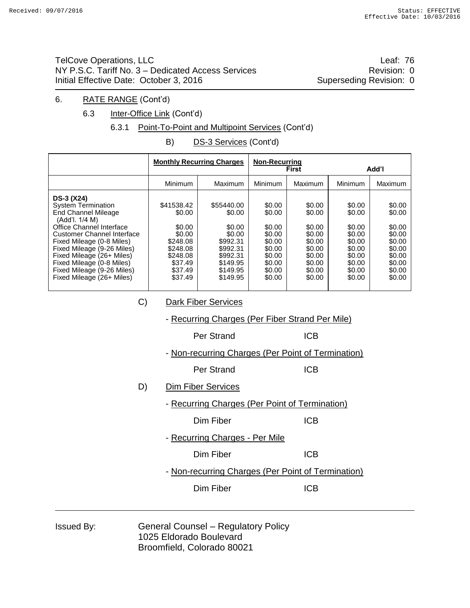TelCove Operations, LLC **Leaf: 76** NY P.S.C. Tariff No. 3 – Dedicated Access Services **Revision: 0** Revision: 0 Initial Effective Date: October 3, 2016 Superseding Revision: 0

#### 6. RATE RANGE (Cont'd)

6.3 Inter-Office Link (Cont'd)

#### 6.3.1 Point-To-Point and Multipoint Services (Cont'd)

B) DS-3 Services (Cont'd)

|                                                                                                                                                                                                                                                                                                                                   |                                                                                                               | <b>Monthly Recurring Charges</b>                                                                                 | <b>Non-Recurring</b>                                                                             | <b>First</b>                                                                                     | Add'l                                                                                            |                                                                                                  |
|-----------------------------------------------------------------------------------------------------------------------------------------------------------------------------------------------------------------------------------------------------------------------------------------------------------------------------------|---------------------------------------------------------------------------------------------------------------|------------------------------------------------------------------------------------------------------------------|--------------------------------------------------------------------------------------------------|--------------------------------------------------------------------------------------------------|--------------------------------------------------------------------------------------------------|--------------------------------------------------------------------------------------------------|
|                                                                                                                                                                                                                                                                                                                                   | <b>Minimum</b>                                                                                                | Maximum                                                                                                          | Minimum                                                                                          | <b>Maximum</b>                                                                                   | Minimum                                                                                          | Maximum                                                                                          |
| DS-3 (X24)<br>System Termination<br><b>End Channel Mileage</b><br>(Add'l. 1/4 M)<br>Office Channel Interface<br><b>Customer Channel Interface</b><br>Fixed Mileage (0-8 Miles)<br>Fixed Mileage (9-26 Miles)<br>Fixed Mileage (26+ Miles)<br>Fixed Mileage (0-8 Miles)<br>Fixed Mileage (9-26 Miles)<br>Fixed Mileage (26+ Miles) | \$41538.42<br>\$0.00<br>\$0.00<br>\$0.00<br>\$248.08<br>\$248.08<br>\$248.08<br>\$37.49<br>\$37.49<br>\$37.49 | \$55440.00<br>\$0.00<br>\$0.00<br>\$0.00<br>\$992.31<br>\$992.31<br>\$992.31<br>\$149.95<br>\$149.95<br>\$149.95 | \$0.00<br>\$0.00<br>\$0.00<br>\$0.00<br>\$0.00<br>\$0.00<br>\$0.00<br>\$0.00<br>\$0.00<br>\$0.00 | \$0.00<br>\$0.00<br>\$0.00<br>\$0.00<br>\$0.00<br>\$0.00<br>\$0.00<br>\$0.00<br>\$0.00<br>\$0.00 | \$0.00<br>\$0.00<br>\$0.00<br>\$0.00<br>\$0.00<br>\$0.00<br>\$0.00<br>\$0.00<br>\$0.00<br>\$0.00 | \$0.00<br>\$0.00<br>\$0.00<br>\$0.00<br>\$0.00<br>\$0.00<br>\$0.00<br>\$0.00<br>\$0.00<br>\$0.00 |
| C)<br>Dark Fiber Services                                                                                                                                                                                                                                                                                                         |                                                                                                               |                                                                                                                  |                                                                                                  |                                                                                                  |                                                                                                  |                                                                                                  |
|                                                                                                                                                                                                                                                                                                                                   |                                                                                                               | - Recurring Charges (Per Fiber Strand Per Mile)                                                                  |                                                                                                  |                                                                                                  |                                                                                                  |                                                                                                  |
|                                                                                                                                                                                                                                                                                                                                   |                                                                                                               | Per Strand                                                                                                       |                                                                                                  | <b>ICB</b>                                                                                       |                                                                                                  |                                                                                                  |
|                                                                                                                                                                                                                                                                                                                                   |                                                                                                               | - Non-recurring Charges (Per Point of Termination)                                                               |                                                                                                  |                                                                                                  |                                                                                                  |                                                                                                  |
|                                                                                                                                                                                                                                                                                                                                   |                                                                                                               | Per Strand                                                                                                       | <b>ICB</b>                                                                                       |                                                                                                  |                                                                                                  |                                                                                                  |
| D)                                                                                                                                                                                                                                                                                                                                |                                                                                                               | <b>Dim Fiber Services</b>                                                                                        |                                                                                                  |                                                                                                  |                                                                                                  |                                                                                                  |
|                                                                                                                                                                                                                                                                                                                                   |                                                                                                               | - Recurring Charges (Per Point of Termination)                                                                   |                                                                                                  |                                                                                                  |                                                                                                  |                                                                                                  |
|                                                                                                                                                                                                                                                                                                                                   |                                                                                                               | <b>ICB</b><br>Dim Fiber                                                                                          |                                                                                                  |                                                                                                  |                                                                                                  |                                                                                                  |
|                                                                                                                                                                                                                                                                                                                                   | - Recurring Charges - Per Mile                                                                                |                                                                                                                  |                                                                                                  |                                                                                                  |                                                                                                  |                                                                                                  |
|                                                                                                                                                                                                                                                                                                                                   |                                                                                                               | Dim Fiber                                                                                                        |                                                                                                  | <b>ICB</b>                                                                                       |                                                                                                  |                                                                                                  |
|                                                                                                                                                                                                                                                                                                                                   |                                                                                                               | - Non-recurring Charges (Per Point of Termination)                                                               |                                                                                                  |                                                                                                  |                                                                                                  |                                                                                                  |
|                                                                                                                                                                                                                                                                                                                                   |                                                                                                               | Dim Fiber                                                                                                        |                                                                                                  | <b>ICB</b>                                                                                       |                                                                                                  |                                                                                                  |
|                                                                                                                                                                                                                                                                                                                                   |                                                                                                               |                                                                                                                  |                                                                                                  |                                                                                                  |                                                                                                  |                                                                                                  |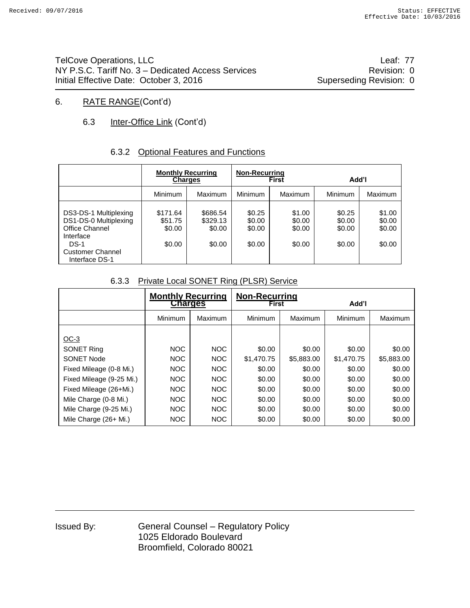TelCove Operations, LLC **Leaf: 77** NY P.S.C. Tariff No. 3 – Dedicated Access Services **Revision: 0** Revision: 0 Initial Effective Date: October 3, 2016 Superseding Revision: 0

#### 6. RATE RANGE(Cont'd)

## 6.3 Inter-Office Link (Cont'd)

#### 6.3.2 Optional Features and Functions

|                                                                                         | <b>Monthly Recurring</b><br><b>Charges</b> |                                          | <b>Non-Recurring</b>                 | <b>First</b>                         | Add'l                                |                                      |
|-----------------------------------------------------------------------------------------|--------------------------------------------|------------------------------------------|--------------------------------------|--------------------------------------|--------------------------------------|--------------------------------------|
|                                                                                         | Minimum                                    | Maximum                                  | <b>Minimum</b>                       | <b>Maximum</b>                       | Minimum                              | Maximum                              |
| DS3-DS-1 Multiplexing<br>DS1-DS-0 Multiplexing<br>Office Channel<br>Interface<br>$DS-1$ | \$171.64<br>\$51.75<br>\$0.00<br>\$0.00    | \$686.54<br>\$329.13<br>\$0.00<br>\$0.00 | \$0.25<br>\$0.00<br>\$0.00<br>\$0.00 | \$1.00<br>\$0.00<br>\$0.00<br>\$0.00 | \$0.25<br>\$0.00<br>\$0.00<br>\$0.00 | \$1.00<br>\$0.00<br>\$0.00<br>\$0.00 |
| <b>Customer Channel</b><br>Interface DS-1                                               |                                            |                                          |                                      |                                      |                                      |                                      |

#### 6.3.3 Private Local SONET Ring (PLSR) Service

|                          | <b>Monthly Recurring</b><br>Charges |            | <b>Non-Recurring</b><br><b>First</b> |                | Add'l      |            |
|--------------------------|-------------------------------------|------------|--------------------------------------|----------------|------------|------------|
|                          | Minimum                             | Maximum    | Minimum                              | <b>Maximum</b> | Minimum    | Maximum    |
| $OC-3$                   |                                     |            |                                      |                |            |            |
| <b>SONET Ring</b>        | <b>NOC</b>                          | <b>NOC</b> | \$0.00                               | \$0.00         | \$0.00     | \$0.00     |
| <b>SONET Node</b>        | NOC                                 | <b>NOC</b> | \$1,470.75                           | \$5,883.00     | \$1,470.75 | \$5,883.00 |
| Fixed Mileage (0-8 Mi.)  | NOC                                 | NOC        | \$0.00                               | \$0.00         | \$0.00     | \$0.00     |
| Fixed Mileage (9-25 Mi.) | NOC                                 | NOC.       | \$0.00                               | \$0.00         | \$0.00     | \$0.00     |
| Fixed Mileage (26+Mi.)   | NOC                                 | NOC        | \$0.00                               | \$0.00         | \$0.00     | \$0.00     |
| Mile Charge (0-8 Mi.)    | NOC.                                | NOC.       | \$0.00                               | \$0.00         | \$0.00     | \$0.00     |
| Mile Charge (9-25 Mi.)   | NOC                                 | NOC        | \$0.00                               | \$0.00         | \$0.00     | \$0.00     |
| Mile Charge $(26+Mi.)$   | NOC                                 | <b>NOC</b> | \$0.00                               | \$0.00         | \$0.00     | \$0.00     |

| Issued By: |  |
|------------|--|
|------------|--|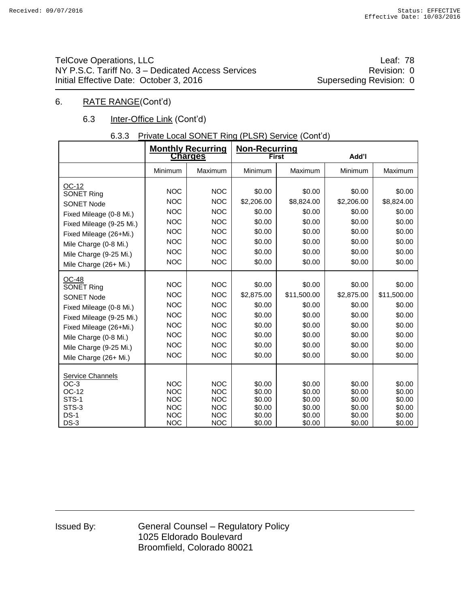TelCove Operations, LLC **Leaf: 78** NY P.S.C. Tariff No. 3 – Dedicated Access Services **Revision: 0** Revision: 0 Initial Effective Date: October 3, 2016 Superseding Revision: 0

#### 6. RATE RANGE(Cont'd)

## 6.3 Inter-Office Link (Cont'd)

## 6.3.3 Private Local SONET Ring (PLSR) Service (Cont'd)

|                                                                                                                                                                                                                                              |                                                                                                              | <b>Monthly Recurring</b><br><b>Charges</b>                                                                   | <b>Non-Recurring</b>                                                             | <b>First</b>                                                                      | Add'l                                                                            |                                                                                   |  |
|----------------------------------------------------------------------------------------------------------------------------------------------------------------------------------------------------------------------------------------------|--------------------------------------------------------------------------------------------------------------|--------------------------------------------------------------------------------------------------------------|----------------------------------------------------------------------------------|-----------------------------------------------------------------------------------|----------------------------------------------------------------------------------|-----------------------------------------------------------------------------------|--|
|                                                                                                                                                                                                                                              | Minimum                                                                                                      | Maximum                                                                                                      | Minimum                                                                          | Maximum                                                                           | Minimum                                                                          | Maximum                                                                           |  |
| OC-12<br>SONET Ring<br><b>SONET Node</b><br>Fixed Mileage (0-8 Mi.)<br>Fixed Mileage (9-25 Mi.)<br>Fixed Mileage (26+Mi.)<br>Mile Charge (0-8 Mi.)<br>Mile Charge (9-25 Mi.)                                                                 | <b>NOC</b><br><b>NOC</b><br><b>NOC</b><br><b>NOC</b><br><b>NOC</b><br><b>NOC</b><br><b>NOC</b><br><b>NOC</b> | <b>NOC</b><br><b>NOC</b><br><b>NOC</b><br><b>NOC</b><br><b>NOC</b><br><b>NOC</b><br><b>NOC</b><br><b>NOC</b> | \$0.00<br>\$2,206.00<br>\$0.00<br>\$0.00<br>\$0.00<br>\$0.00<br>\$0.00<br>\$0.00 | \$0.00<br>\$8,824.00<br>\$0.00<br>\$0.00<br>\$0.00<br>\$0.00<br>\$0.00<br>\$0.00  | \$0.00<br>\$2,206.00<br>\$0.00<br>\$0.00<br>\$0.00<br>\$0.00<br>\$0.00<br>\$0.00 | \$0.00<br>\$8,824.00<br>\$0.00<br>\$0.00<br>\$0.00<br>\$0.00<br>\$0.00<br>\$0.00  |  |
| Mile Charge (26+ Mi.)<br><b>OC-48</b><br><b>SONET Ring</b><br><b>SONET Node</b><br>Fixed Mileage (0-8 Mi.)<br>Fixed Mileage (9-25 Mi.)<br>Fixed Mileage (26+Mi.)<br>Mile Charge (0-8 Mi.)<br>Mile Charge (9-25 Mi.)<br>Mile Charge (26+ Mi.) | <b>NOC</b><br><b>NOC</b><br><b>NOC</b><br><b>NOC</b><br><b>NOC</b><br><b>NOC</b><br><b>NOC</b><br><b>NOC</b> | <b>NOC</b><br><b>NOC</b><br><b>NOC</b><br><b>NOC</b><br><b>NOC</b><br><b>NOC</b><br><b>NOC</b><br><b>NOC</b> | \$0.00<br>\$2,875.00<br>\$0.00<br>\$0.00<br>\$0.00<br>\$0.00<br>\$0.00<br>\$0.00 | \$0.00<br>\$11,500.00<br>\$0.00<br>\$0.00<br>\$0.00<br>\$0.00<br>\$0.00<br>\$0.00 | \$0.00<br>\$2,875.00<br>\$0.00<br>\$0.00<br>\$0.00<br>\$0.00<br>\$0.00<br>\$0.00 | \$0.00<br>\$11,500.00<br>\$0.00<br>\$0.00<br>\$0.00<br>\$0.00<br>\$0.00<br>\$0.00 |  |
| <b>Service Channels</b><br>$OC-3$<br>OC-12<br>STS-1<br>STS-3<br>$DS-1$<br>$DS-3$                                                                                                                                                             | <b>NOC</b><br><b>NOC</b><br><b>NOC</b><br><b>NOC</b><br><b>NOC</b><br><b>NOC</b>                             | <b>NOC</b><br><b>NOC</b><br><b>NOC</b><br><b>NOC</b><br><b>NOC</b><br><b>NOC</b>                             | \$0.00<br>\$0.00<br>\$0.00<br>\$0.00<br>\$0.00<br>\$0.00                         | \$0.00<br>\$0.00<br>\$0.00<br>\$0.00<br>\$0.00<br>\$0.00                          | \$0.00<br>\$0.00<br>\$0.00<br>\$0.00<br>\$0.00<br>\$0.00                         | \$0.00<br>\$0.00<br>\$0.00<br>\$0.00<br>\$0.00<br>\$0.00                          |  |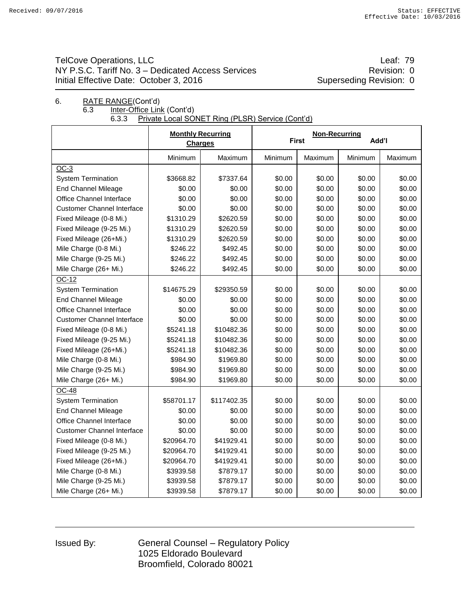## TelCove Operations, LLC **Leaf:** 79 NY P.S.C. Tariff No. 3 – Dedicated Access Services **Revision: 0** Revision: 0 Initial Effective Date: October 3, 2016 Superseding Revision: 0

# 6. RATE RANGE(Cont'd) 6.3 Inter-Office Link (Cont'd)<br>6.3.3 Private Local SOI

Private Local SONET Ring (PLSR) Service (Cont'd)

|                                   | <b>Monthly Recurring</b><br><b>Charges</b> |             |         | Non-Recurring<br><b>First</b> | Add'l   |         |
|-----------------------------------|--------------------------------------------|-------------|---------|-------------------------------|---------|---------|
|                                   | Minimum                                    | Maximum     | Minimum | Maximum                       | Minimum | Maximum |
| $OC-3$                            |                                            |             |         |                               |         |         |
| <b>System Termination</b>         | \$3668.82                                  | \$7337.64   | \$0.00  | \$0.00                        | \$0.00  | \$0.00  |
| <b>End Channel Mileage</b>        | \$0.00                                     | \$0.00      | \$0.00  | \$0.00                        | \$0.00  | \$0.00  |
| Office Channel Interface          | \$0.00                                     | \$0.00      | \$0.00  | \$0.00                        | \$0.00  | \$0.00  |
| <b>Customer Channel Interface</b> | \$0.00                                     | \$0.00      | \$0.00  | \$0.00                        | \$0.00  | \$0.00  |
| Fixed Mileage (0-8 Mi.)           | \$1310.29                                  | \$2620.59   | \$0.00  | \$0.00                        | \$0.00  | \$0.00  |
| Fixed Mileage (9-25 Mi.)          | \$1310.29                                  | \$2620.59   | \$0.00  | \$0.00                        | \$0.00  | \$0.00  |
| Fixed Mileage (26+Mi.)            | \$1310.29                                  | \$2620.59   | \$0.00  | \$0.00                        | \$0.00  | \$0.00  |
| Mile Charge (0-8 Mi.)             | \$246.22                                   | \$492.45    | \$0.00  | \$0.00                        | \$0.00  | \$0.00  |
| Mile Charge (9-25 Mi.)            | \$246.22                                   | \$492.45    | \$0.00  | \$0.00                        | \$0.00  | \$0.00  |
| Mile Charge (26+ Mi.)             | \$246.22                                   | \$492.45    | \$0.00  | \$0.00                        | \$0.00  | \$0.00  |
| $OC-12$                           |                                            |             |         |                               |         |         |
| <b>System Termination</b>         | \$14675.29                                 | \$29350.59  | \$0.00  | \$0.00                        | \$0.00  | \$0.00  |
| <b>End Channel Mileage</b>        | \$0.00                                     | \$0.00      | \$0.00  | \$0.00                        | \$0.00  | \$0.00  |
| Office Channel Interface          | \$0.00                                     | \$0.00      | \$0.00  | \$0.00                        | \$0.00  | \$0.00  |
| <b>Customer Channel Interface</b> | \$0.00                                     | \$0.00      | \$0.00  | \$0.00                        | \$0.00  | \$0.00  |
| Fixed Mileage (0-8 Mi.)           | \$5241.18                                  | \$10482.36  | \$0.00  | \$0.00                        | \$0.00  | \$0.00  |
| Fixed Mileage (9-25 Mi.)          | \$5241.18                                  | \$10482.36  | \$0.00  | \$0.00                        | \$0.00  | \$0.00  |
| Fixed Mileage (26+Mi.)            | \$5241.18                                  | \$10482.36  | \$0.00  | \$0.00                        | \$0.00  | \$0.00  |
| Mile Charge (0-8 Mi.)             | \$984.90                                   | \$1969.80   | \$0.00  | \$0.00                        | \$0.00  | \$0.00  |
| Mile Charge (9-25 Mi.)            | \$984.90                                   | \$1969.80   | \$0.00  | \$0.00                        | \$0.00  | \$0.00  |
| Mile Charge (26+ Mi.)             | \$984.90                                   | \$1969.80   | \$0.00  | \$0.00                        | \$0.00  | \$0.00  |
| <b>OC-48</b>                      |                                            |             |         |                               |         |         |
| <b>System Termination</b>         | \$58701.17                                 | \$117402.35 | \$0.00  | \$0.00                        | \$0.00  | \$0.00  |
| <b>End Channel Mileage</b>        | \$0.00                                     | \$0.00      | \$0.00  | \$0.00                        | \$0.00  | \$0.00  |
| Office Channel Interface          | \$0.00                                     | \$0.00      | \$0.00  | \$0.00                        | \$0.00  | \$0.00  |
| <b>Customer Channel Interface</b> | \$0.00                                     | \$0.00      | \$0.00  | \$0.00                        | \$0.00  | \$0.00  |
| Fixed Mileage (0-8 Mi.)           | \$20964.70                                 | \$41929.41  | \$0.00  | \$0.00                        | \$0.00  | \$0.00  |
| Fixed Mileage (9-25 Mi.)          | \$20964.70                                 | \$41929.41  | \$0.00  | \$0.00                        | \$0.00  | \$0.00  |
| Fixed Mileage (26+Mi.)            | \$20964.70                                 | \$41929.41  | \$0.00  | \$0.00                        | \$0.00  | \$0.00  |
| Mile Charge (0-8 Mi.)             | \$3939.58                                  | \$7879.17   | \$0.00  | \$0.00                        | \$0.00  | \$0.00  |
| Mile Charge (9-25 Mi.)            | \$3939.58                                  | \$7879.17   | \$0.00  | \$0.00                        | \$0.00  | \$0.00  |
| Mile Charge (26+ Mi.)             | \$3939.58                                  | \$7879.17   | \$0.00  | \$0.00                        | \$0.00  | \$0.00  |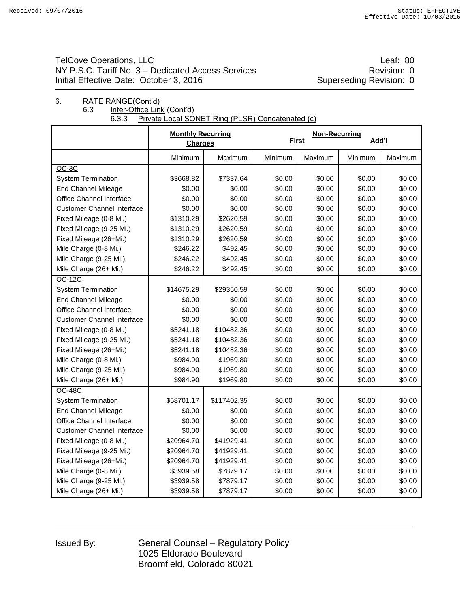## TelCove Operations, LLC **Leaf: 80** NY P.S.C. Tariff No. 3 – Dedicated Access Services **Revision: 0** Revision: 0 Initial Effective Date: October 3, 2016 Superseding Revision: 0

# 6. RATE RANGE(Cont'd) 6.3 Inter-Office Link (Cont'd)<br>6.3.3 Private Local SOI

Private Local SONET Ring (PLSR) Concatenated (c)

|                                   | <b>Monthly Recurring</b><br><b>Charges</b> |             |         | <b>Non-Recurring</b><br><b>First</b> | Add'l   |         |
|-----------------------------------|--------------------------------------------|-------------|---------|--------------------------------------|---------|---------|
|                                   | Minimum                                    | Maximum     | Minimum | Maximum                              | Minimum | Maximum |
| $OC-3C$                           |                                            |             |         |                                      |         |         |
| <b>System Termination</b>         | \$3668.82                                  | \$7337.64   | \$0.00  | \$0.00                               | \$0.00  | \$0.00  |
| <b>End Channel Mileage</b>        | \$0.00                                     | \$0.00      | \$0.00  | \$0.00                               | \$0.00  | \$0.00  |
| Office Channel Interface          | \$0.00                                     | \$0.00      | \$0.00  | \$0.00                               | \$0.00  | \$0.00  |
| <b>Customer Channel Interface</b> | \$0.00                                     | \$0.00      | \$0.00  | \$0.00                               | \$0.00  | \$0.00  |
| Fixed Mileage (0-8 Mi.)           | \$1310.29                                  | \$2620.59   | \$0.00  | \$0.00                               | \$0.00  | \$0.00  |
| Fixed Mileage (9-25 Mi.)          | \$1310.29                                  | \$2620.59   | \$0.00  | \$0.00                               | \$0.00  | \$0.00  |
| Fixed Mileage (26+Mi.)            | \$1310.29                                  | \$2620.59   | \$0.00  | \$0.00                               | \$0.00  | \$0.00  |
| Mile Charge (0-8 Mi.)             | \$246.22                                   | \$492.45    | \$0.00  | \$0.00                               | \$0.00  | \$0.00  |
| Mile Charge (9-25 Mi.)            | \$246.22                                   | \$492.45    | \$0.00  | \$0.00                               | \$0.00  | \$0.00  |
| Mile Charge (26+ Mi.)             | \$246.22                                   | \$492.45    | \$0.00  | \$0.00                               | \$0.00  | \$0.00  |
| <b>OC-12C</b>                     |                                            |             |         |                                      |         |         |
| <b>System Termination</b>         | \$14675.29                                 | \$29350.59  | \$0.00  | \$0.00                               | \$0.00  | \$0.00  |
| <b>End Channel Mileage</b>        | \$0.00                                     | \$0.00      | \$0.00  | \$0.00                               | \$0.00  | \$0.00  |
| Office Channel Interface          | \$0.00                                     | \$0.00      | \$0.00  | \$0.00                               | \$0.00  | \$0.00  |
| <b>Customer Channel Interface</b> | \$0.00                                     | \$0.00      | \$0.00  | \$0.00                               | \$0.00  | \$0.00  |
| Fixed Mileage (0-8 Mi.)           | \$5241.18                                  | \$10482.36  | \$0.00  | \$0.00                               | \$0.00  | \$0.00  |
| Fixed Mileage (9-25 Mi.)          | \$5241.18                                  | \$10482.36  | \$0.00  | \$0.00                               | \$0.00  | \$0.00  |
| Fixed Mileage (26+Mi.)            | \$5241.18                                  | \$10482.36  | \$0.00  | \$0.00                               | \$0.00  | \$0.00  |
| Mile Charge (0-8 Mi.)             | \$984.90                                   | \$1969.80   | \$0.00  | \$0.00                               | \$0.00  | \$0.00  |
| Mile Charge (9-25 Mi.)            | \$984.90                                   | \$1969.80   | \$0.00  | \$0.00                               | \$0.00  | \$0.00  |
| Mile Charge (26+ Mi.)             | \$984.90                                   | \$1969.80   | \$0.00  | \$0.00                               | \$0.00  | \$0.00  |
| <b>OC-48C</b>                     |                                            |             |         |                                      |         |         |
| <b>System Termination</b>         | \$58701.17                                 | \$117402.35 | \$0.00  | \$0.00                               | \$0.00  | \$0.00  |
| <b>End Channel Mileage</b>        | \$0.00                                     | \$0.00      | \$0.00  | \$0.00                               | \$0.00  | \$0.00  |
| Office Channel Interface          | \$0.00                                     | \$0.00      | \$0.00  | \$0.00                               | \$0.00  | \$0.00  |
| <b>Customer Channel Interface</b> | \$0.00                                     | \$0.00      | \$0.00  | \$0.00                               | \$0.00  | \$0.00  |
| Fixed Mileage (0-8 Mi.)           | \$20964.70                                 | \$41929.41  | \$0.00  | \$0.00                               | \$0.00  | \$0.00  |
| Fixed Mileage (9-25 Mi.)          | \$20964.70                                 | \$41929.41  | \$0.00  | \$0.00                               | \$0.00  | \$0.00  |
| Fixed Mileage (26+Mi.)            | \$20964.70                                 | \$41929.41  | \$0.00  | \$0.00                               | \$0.00  | \$0.00  |
| Mile Charge (0-8 Mi.)             | \$3939.58                                  | \$7879.17   | \$0.00  | \$0.00                               | \$0.00  | \$0.00  |
| Mile Charge (9-25 Mi.)            | \$3939.58                                  | \$7879.17   | \$0.00  | \$0.00                               | \$0.00  | \$0.00  |
| Mile Charge (26+ Mi.)             | \$3939.58                                  | \$7879.17   | \$0.00  | \$0.00                               | \$0.00  | \$0.00  |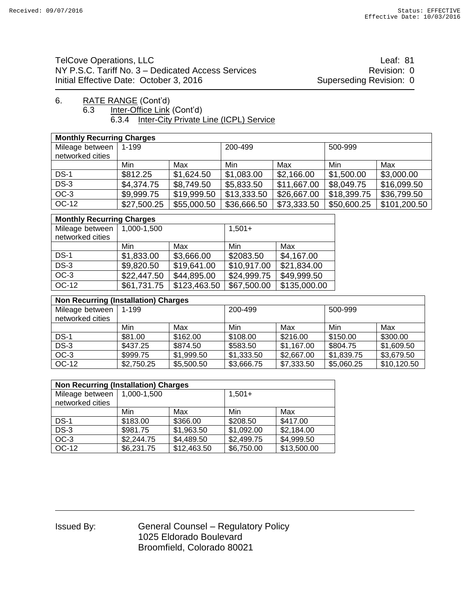TelCove Operations, LLC **Leaf: 81** NY P.S.C. Tariff No. 3 – Dedicated Access Services **Revision: 0** Revision: 0 Initial Effective Date: October 3, 2016 Superseding Revision: 0

#### 6. RATE RANGE (Cont'd)<br>6.3 Inter-Office Link Inter-Office Link (Cont'd) 6.3.4 Inter-City Private Line (ICPL) Service

| <b>Monthly Recurring Charges</b> |             |             |             |             |             |              |  |  |
|----------------------------------|-------------|-------------|-------------|-------------|-------------|--------------|--|--|
| Mileage between                  | 1-199       |             | 200-499     |             | 500-999     |              |  |  |
| networked cities                 |             |             |             |             |             |              |  |  |
|                                  | Min         | Max         | Min         | Max         | Min         | Max          |  |  |
| $DS-1$                           | \$812.25    | \$1,624.50  | \$1,083.00  | \$2,166.00  | \$1,500.00  | \$3,000.00   |  |  |
| $DS-3$                           | \$4,374.75  | \$8,749.50  | \$5,833.50  | \$11,667.00 | \$8,049.75  | \$16,099.50  |  |  |
| $OC-3$                           | \$9,999.75  | \$19,999.50 | \$13,333.50 | \$26,667.00 | \$18,399.75 | \$36,799.50  |  |  |
| OC-12                            | \$27,500.25 | \$55,000.50 | \$36,666.50 | \$73,333.50 | \$50,600.25 | \$101,200.50 |  |  |

| <b>Monthly Recurring Charges</b> |             |              |             |              |  |  |  |  |
|----------------------------------|-------------|--------------|-------------|--------------|--|--|--|--|
| Mileage between                  | 1,000-1,500 |              | $1,501+$    |              |  |  |  |  |
| networked cities                 |             |              |             |              |  |  |  |  |
|                                  | Min         | Max          | Min         | Max          |  |  |  |  |
| $DS-1$                           | \$1,833.00  | \$3,666.00   | \$2083.50   | \$4,167.00   |  |  |  |  |
| $DS-3$                           | \$9,820.50  | \$19,641.00  | \$10,917.00 | \$21,834.00  |  |  |  |  |
| $OC-3$                           | \$22,447.50 | \$44,895.00  | \$24,999.75 | \$49,999.50  |  |  |  |  |
| OC-12                            | \$61,731.75 | \$123,463.50 | \$67,500.00 | \$135,000.00 |  |  |  |  |

| <b>Non Recurring (Installation) Charges</b> |            |            |            |            |            |             |  |  |  |
|---------------------------------------------|------------|------------|------------|------------|------------|-------------|--|--|--|
| Mileage between                             | 1-199      |            | 200-499    |            |            | 500-999     |  |  |  |
| networked cities                            |            |            |            |            |            |             |  |  |  |
|                                             | Min        | Max        | Min        | Max        | Min        | Max         |  |  |  |
| $DS-1$                                      | \$81.00    | \$162.00   | \$108.00   | \$216.00   | \$150.00   | \$300.00    |  |  |  |
| $DS-3$                                      | \$437.25   | \$874.50   | \$583.50   | \$1,167.00 | \$804.75   | \$1,609.50  |  |  |  |
| OC-3                                        | \$999.75   | \$1,999.50 | \$1,333.50 | \$2,667.00 | \$1,839.75 | \$3,679.50  |  |  |  |
| OC-12                                       | \$2,750.25 | \$5,500.50 | \$3,666.75 | \$7,333.50 | \$5,060.25 | \$10,120.50 |  |  |  |

| <b>Non Recurring (Installation) Charges</b> |             |             |            |             |  |  |  |  |
|---------------------------------------------|-------------|-------------|------------|-------------|--|--|--|--|
| Mileage between<br>networked cities         | 1,000-1,500 |             | $1,501+$   |             |  |  |  |  |
|                                             |             |             |            |             |  |  |  |  |
|                                             | Min         | Max         | Min        | Max         |  |  |  |  |
| $DS-1$                                      | \$183.00    | \$366.00    | \$208.50   | \$417.00    |  |  |  |  |
| $DS-3$                                      | \$981.75    | \$1,963.50  | \$1,092.00 | \$2,184.00  |  |  |  |  |
| $OC-3$                                      | \$2,244.75  | \$4,489.50  | \$2,499.75 | \$4,999.50  |  |  |  |  |
| OC-12                                       | \$6,231.75  | \$12,463.50 | \$6,750.00 | \$13,500.00 |  |  |  |  |

| <b>Issued By:</b> |  |
|-------------------|--|
|-------------------|--|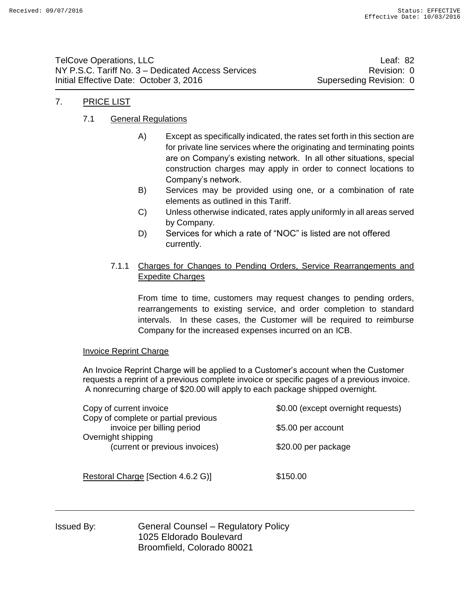TelCove Operations, LLC and the contract of the contract of the contract of the contract of the contract of the contract of the contract of the contract of the contract of the contract of the contract of the contract of th NY P.S.C. Tariff No. 3 – Dedicated Access Services **Revision: 0** Revision: 0 Initial Effective Date: October 3, 2016 Superseding Revision: 0

## 7. PRICE LIST

#### 7.1 General Regulations

- A) Except as specifically indicated, the rates set forth in this section are for private line services where the originating and terminating points are on Company's existing network. In all other situations, special construction charges may apply in order to connect locations to Company's network.
- B) Services may be provided using one, or a combination of rate elements as outlined in this Tariff.
- C) Unless otherwise indicated, rates apply uniformly in all areas served by Company.
- D) Services for which a rate of "NOC" is listed are not offered currently.

#### 7.1.1 Charges for Changes to Pending Orders, Service Rearrangements and Expedite Charges

From time to time, customers may request changes to pending orders, rearrangements to existing service, and order completion to standard intervals. In these cases, the Customer will be required to reimburse Company for the increased expenses incurred on an ICB.

#### Invoice Reprint Charge

An Invoice Reprint Charge will be applied to a Customer's account when the Customer requests a reprint of a previous complete invoice or specific pages of a previous invoice. A nonrecurring charge of \$20.00 will apply to each package shipped overnight.

| Copy of current invoice              | \$0.00 (except overnight requests) |  |  |  |
|--------------------------------------|------------------------------------|--|--|--|
| Copy of complete or partial previous |                                    |  |  |  |
| invoice per billing period           | \$5.00 per account                 |  |  |  |
| Overnight shipping                   |                                    |  |  |  |
| (current or previous invoices)       | \$20.00 per package                |  |  |  |
|                                      |                                    |  |  |  |
|                                      |                                    |  |  |  |
| Restoral Charge [Section 4.6.2 G)]   | \$150.00                           |  |  |  |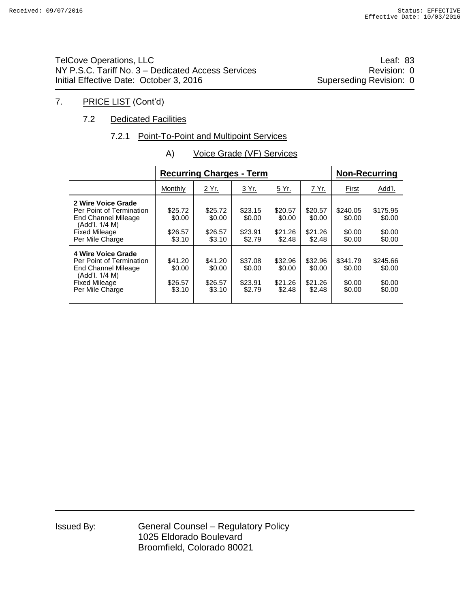TelCove Operations, LLC **Leaf: 83** NY P.S.C. Tariff No. 3 – Dedicated Access Services **Revision: 0** Revision: 0 Initial Effective Date: October 3, 2016 Superseding Revision: 0

## 7. PRICE LIST (Cont'd)

#### 7.2 Dedicated Facilities

#### 7.2.1 Point-To-Point and Multipoint Services

|                                                                                                                                           |                                        | <b>Recurring Charges - Term</b>        | <b>Non-Recurring</b>                   |                                        |                                        |                                        |                                        |
|-------------------------------------------------------------------------------------------------------------------------------------------|----------------------------------------|----------------------------------------|----------------------------------------|----------------------------------------|----------------------------------------|----------------------------------------|----------------------------------------|
|                                                                                                                                           | Monthly                                | 2 Yr.                                  | 3 Yr.                                  | 5 Yr.                                  | 7 Yr.                                  | First                                  | Add'l.                                 |
| 2 Wire Voice Grade<br>Per Point of Termination<br><b>End Channel Mileage</b><br>(Add'l, 1/4 M)<br><b>Fixed Mileage</b><br>Per Mile Charge | \$25.72<br>\$0.00<br>\$26.57<br>\$3.10 | \$25.72<br>\$0.00<br>\$26.57<br>\$3.10 | \$23.15<br>\$0.00<br>\$23.91<br>\$2.79 | \$20.57<br>\$0.00<br>\$21.26<br>\$2.48 | \$20.57<br>\$0.00<br>\$21.26<br>\$2.48 | \$240.05<br>\$0.00<br>\$0.00<br>\$0.00 | \$175.95<br>\$0.00<br>\$0.00<br>\$0.00 |
| 4 Wire Voice Grade<br>Per Point of Termination<br><b>End Channel Mileage</b><br>(Add'l, 1/4 M)<br><b>Fixed Mileage</b><br>Per Mile Charge | \$41.20<br>\$0.00<br>\$26.57<br>\$3.10 | \$41.20<br>\$0.00<br>\$26.57<br>\$3.10 | \$37.08<br>\$0.00<br>\$23.91<br>\$2.79 | \$32.96<br>\$0.00<br>\$21.26<br>\$2.48 | \$32.96<br>\$0.00<br>\$21.26<br>\$2.48 | \$341.79<br>\$0.00<br>\$0.00<br>\$0.00 | \$245.66<br>\$0.00<br>\$0.00<br>\$0.00 |

A) Voice Grade (VF) Services

| Issued By: |  |
|------------|--|
|------------|--|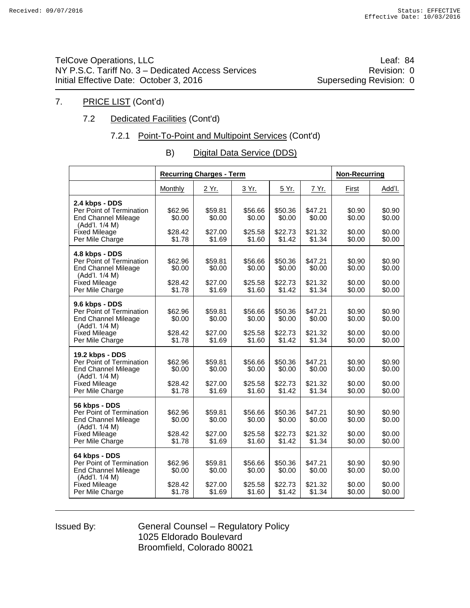TelCove Operations, LLC **Leaf: 84** NY P.S.C. Tariff No. 3 – Dedicated Access Services **Revision: 0** Revision: 0 Initial Effective Date: October 3, 2016 Superseding Revision: 0

## 7. PRICE LIST (Cont'd)

## 7.2 Dedicated Facilities (Cont'd)

## 7.2.1 Point-To-Point and Multipoint Services (Cont'd)

| B) | Digital Data Service (DDS) |
|----|----------------------------|
|    |                            |

|                                                                                                                                        |                                        | <b>Recurring Charges - Term</b>        |                                        |                                        |                                        | <b>Non-Recurring</b>                 |                                      |
|----------------------------------------------------------------------------------------------------------------------------------------|----------------------------------------|----------------------------------------|----------------------------------------|----------------------------------------|----------------------------------------|--------------------------------------|--------------------------------------|
|                                                                                                                                        | Monthly                                | 2 Yr.                                  | 3 Yr.                                  | 5 Yr.                                  | 7 Yr.                                  | First                                | Add'l.                               |
| 2.4 kbps - DDS<br>Per Point of Termination<br><b>End Channel Mileage</b><br>(Add'l. 1/4 M)<br><b>Fixed Mileage</b><br>Per Mile Charge  | \$62.96<br>\$0.00<br>\$28.42<br>\$1.78 | \$59.81<br>\$0.00<br>\$27.00<br>\$1.69 | \$56.66<br>\$0.00<br>\$25.58<br>\$1.60 | \$50.36<br>\$0.00<br>\$22.73<br>\$1.42 | \$47.21<br>\$0.00<br>\$21.32<br>\$1.34 | \$0.90<br>\$0.00<br>\$0.00<br>\$0.00 | \$0.90<br>\$0.00<br>\$0.00<br>\$0.00 |
| 4.8 kbps - DDS<br>Per Point of Termination<br><b>End Channel Mileage</b><br>(Add'l. 1/4 M)<br><b>Fixed Mileage</b><br>Per Mile Charge  | \$62.96<br>\$0.00<br>\$28.42<br>\$1.78 | \$59.81<br>\$0.00<br>\$27.00<br>\$1.69 | \$56.66<br>\$0.00<br>\$25.58<br>\$1.60 | \$50.36<br>\$0.00<br>\$22.73<br>\$1.42 | \$47.21<br>\$0.00<br>\$21.32<br>\$1.34 | \$0.90<br>\$0.00<br>\$0.00<br>\$0.00 | \$0.90<br>\$0.00<br>\$0.00<br>\$0.00 |
| 9.6 kbps - DDS<br>Per Point of Termination<br><b>End Channel Mileage</b><br>(Add'l. 1/4 M)<br><b>Fixed Mileage</b><br>Per Mile Charge  | \$62.96<br>\$0.00<br>\$28.42<br>\$1.78 | \$59.81<br>\$0.00<br>\$27.00<br>\$1.69 | \$56.66<br>\$0.00<br>\$25.58<br>\$1.60 | \$50.36<br>\$0.00<br>\$22.73<br>\$1.42 | \$47.21<br>\$0.00<br>\$21.32<br>\$1.34 | \$0.90<br>\$0.00<br>\$0.00<br>\$0.00 | \$0.90<br>\$0.00<br>\$0.00<br>\$0.00 |
| 19.2 kbps - DDS<br>Per Point of Termination<br><b>End Channel Mileage</b><br>(Add'l. 1/4 M)<br><b>Fixed Mileage</b><br>Per Mile Charge | \$62.96<br>\$0.00<br>\$28.42<br>\$1.78 | \$59.81<br>\$0.00<br>\$27.00<br>\$1.69 | \$56.66<br>\$0.00<br>\$25.58<br>\$1.60 | \$50.36<br>\$0.00<br>\$22.73<br>\$1.42 | \$47.21<br>\$0.00<br>\$21.32<br>\$1.34 | \$0.90<br>\$0.00<br>\$0.00<br>\$0.00 | \$0.90<br>\$0.00<br>\$0.00<br>\$0.00 |
| 56 kbps - DDS<br>Per Point of Termination<br><b>End Channel Mileage</b><br>(Add'l. 1/4 M)<br><b>Fixed Mileage</b><br>Per Mile Charge   | \$62.96<br>\$0.00<br>\$28.42<br>\$1.78 | \$59.81<br>\$0.00<br>\$27.00<br>\$1.69 | \$56.66<br>\$0.00<br>\$25.58<br>\$1.60 | \$50.36<br>\$0.00<br>\$22.73<br>\$1.42 | \$47.21<br>\$0.00<br>\$21.32<br>\$1.34 | \$0.90<br>\$0.00<br>\$0.00<br>\$0.00 | \$0.90<br>\$0.00<br>\$0.00<br>\$0.00 |
| 64 kbps - DDS<br>Per Point of Termination<br><b>End Channel Mileage</b><br>(Add'l. 1/4 M)<br><b>Fixed Mileage</b><br>Per Mile Charge   | \$62.96<br>\$0.00<br>\$28.42<br>\$1.78 | \$59.81<br>\$0.00<br>\$27.00<br>\$1.69 | \$56.66<br>\$0.00<br>\$25.58<br>\$1.60 | \$50.36<br>\$0.00<br>\$22.73<br>\$1.42 | \$47.21<br>\$0.00<br>\$21.32<br>\$1.34 | \$0.90<br>\$0.00<br>\$0.00<br>\$0.00 | \$0.90<br>\$0.00<br>\$0.00<br>\$0.00 |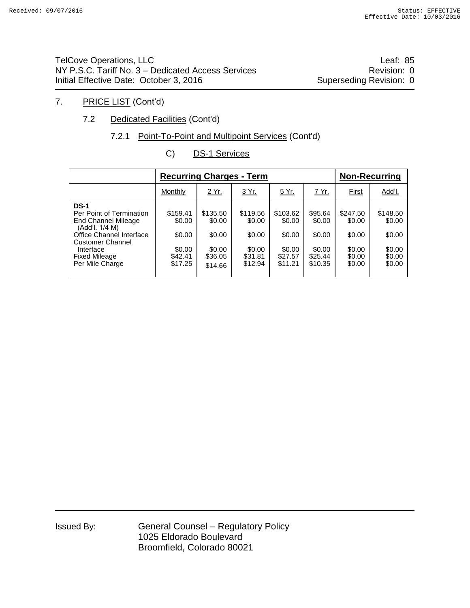TelCove Operations, LLC **Leaf: 85** NY P.S.C. Tariff No. 3 – Dedicated Access Services **Revision: 0** Revision: 0 Initial Effective Date: October 3, 2016 Superseding Revision: 0

## 7. PRICE LIST (Cont'd)

## 7.2 Dedicated Facilities (Cont'd)

## 7.2.1 Point-To-Point and Multipoint Services (Cont'd)

| C) | <b>DS-1 Services</b> |
|----|----------------------|
|    |                      |

|                                                                                                                                                                                                 | <b>Recurring Charges - Term</b>                              |                                                              |                                                              | <b>Non-Recurring</b>                                         |                                                             |                                                            |                                                            |
|-------------------------------------------------------------------------------------------------------------------------------------------------------------------------------------------------|--------------------------------------------------------------|--------------------------------------------------------------|--------------------------------------------------------------|--------------------------------------------------------------|-------------------------------------------------------------|------------------------------------------------------------|------------------------------------------------------------|
|                                                                                                                                                                                                 | Monthly                                                      | 2 Yr.                                                        | <u>3 Yr.</u>                                                 | 5 Yr.                                                        | 7 Yr.                                                       | <b>First</b>                                               | Add'l.                                                     |
| <b>DS-1</b><br>Per Point of Termination<br>End Channel Mileage<br>(Add'l. 1/4 M)<br>Office Channel Interface<br><b>Customer Channel</b><br>Interface<br><b>Fixed Mileage</b><br>Per Mile Charge | \$159.41<br>\$0.00<br>\$0.00<br>\$0.00<br>\$42.41<br>\$17.25 | \$135.50<br>\$0.00<br>\$0.00<br>\$0.00<br>\$36.05<br>\$14.66 | \$119.56<br>\$0.00<br>\$0.00<br>\$0.00<br>\$31.81<br>\$12.94 | \$103.62<br>\$0.00<br>\$0.00<br>\$0.00<br>\$27.57<br>\$11.21 | \$95.64<br>\$0.00<br>\$0.00<br>\$0.00<br>\$25.44<br>\$10.35 | \$247.50<br>\$0.00<br>\$0.00<br>\$0.00<br>\$0.00<br>\$0.00 | \$148.50<br>\$0.00<br>\$0.00<br>\$0.00<br>\$0.00<br>\$0.00 |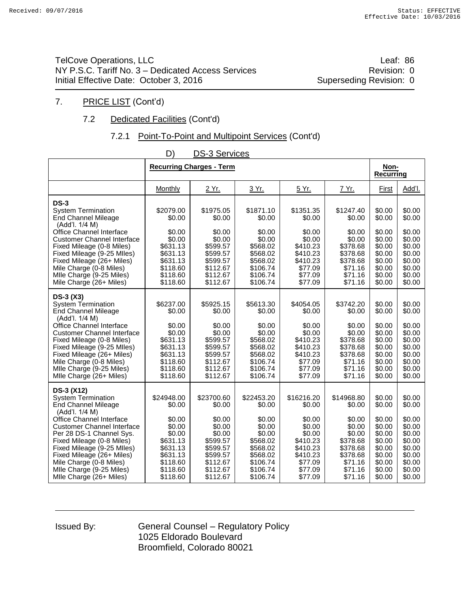TelCove Operations, LLC **Leaf: 86** NY P.S.C. Tariff No. 3 – Dedicated Access Services **Revision: 0** Revision: 0 Initial Effective Date: October 3, 2016 Superseding Revision: 0

## 7. PRICE LIST (Cont'd)

## 7.2 Dedicated Facilities (Cont'd)

## 7.2.1 Point-To-Point and Multipoint Services (Cont'd)

| ◡<br>בסטוויוסט טיט                                                                                                                                                                                                                                                                                                                                             |                                                                                                                            |                                                                                                                            |                                                                                                                            |                                                                                                                         |                                                                                                                         |                                                                                                            |                                                                                                            |  |  |
|----------------------------------------------------------------------------------------------------------------------------------------------------------------------------------------------------------------------------------------------------------------------------------------------------------------------------------------------------------------|----------------------------------------------------------------------------------------------------------------------------|----------------------------------------------------------------------------------------------------------------------------|----------------------------------------------------------------------------------------------------------------------------|-------------------------------------------------------------------------------------------------------------------------|-------------------------------------------------------------------------------------------------------------------------|------------------------------------------------------------------------------------------------------------|------------------------------------------------------------------------------------------------------------|--|--|
|                                                                                                                                                                                                                                                                                                                                                                |                                                                                                                            | <b>Recurring Charges - Term</b>                                                                                            |                                                                                                                            |                                                                                                                         |                                                                                                                         | Non-<br><b>Recurring</b>                                                                                   |                                                                                                            |  |  |
|                                                                                                                                                                                                                                                                                                                                                                | Monthly                                                                                                                    | 2 Yr.                                                                                                                      | 3 Yr.                                                                                                                      | 5 Yr.                                                                                                                   | 7 Yr.                                                                                                                   | <b>First</b>                                                                                               | Add'l.                                                                                                     |  |  |
| $DS-3$<br><b>System Termination</b><br><b>End Channel Mileage</b><br>(Add'l. 1/4 M)<br><b>Office Channel Interface</b>                                                                                                                                                                                                                                         | \$2079.00<br>\$0.00<br>\$0.00                                                                                              | \$1975.05<br>\$0.00<br>\$0.00                                                                                              | \$1871.10<br>\$0.00<br>\$0.00                                                                                              | \$1351.35<br>\$0.00<br>\$0.00                                                                                           | \$1247.40<br>\$0.00<br>\$0.00                                                                                           | \$0.00<br>\$0.00<br>\$0.00                                                                                 | \$0.00<br>\$0.00<br>\$0.00                                                                                 |  |  |
| <b>Customer Channel Interface</b><br>Fixed Mileage (0-8 Miles)<br>Fixed Mileage (9-25 MIles)<br>Fixed Mileage (26+ Miles)<br>Mile Charge (0-8 Miles)<br>Mile Charge (9-25 Miles)<br>Mile Charge (26+ Miles)                                                                                                                                                    | \$0.00<br>\$631.13<br>\$631.13<br>\$631.13<br>\$118.60<br>\$118.60<br>\$118.60                                             | \$0.00<br>\$599.57<br>\$599.57<br>\$599.57<br>\$112.67<br>\$112.67<br>\$112.67                                             | \$0.00<br>\$568.02<br>\$568.02<br>\$568.02<br>\$106.74<br>\$106.74<br>\$106.74                                             | \$0.00<br>\$410.23<br>\$410.23<br>\$410.23<br>\$77.09<br>\$77.09<br>\$77.09                                             | \$0.00<br>\$378.68<br>\$378.68<br>\$378.68<br>\$71.16<br>\$71.16<br>\$71.16                                             | \$0.00<br>\$0.00<br>\$0.00<br>\$0.00<br>\$0.00<br>\$0.00<br>\$0.00                                         | \$0.00<br>\$0.00<br>\$0.00<br>\$0.00<br>\$0.00<br>\$0.00<br>\$0.00                                         |  |  |
| <b>DS-3 (X3)</b><br><b>System Termination</b><br><b>End Channel Mileage</b><br>(Add'l. 1/4 M)<br>Office Channel Interface<br><b>Customer Channel Interface</b><br>Fixed Mileage (0-8 Miles)<br>Fixed Mileage (9-25 MIles)<br>Fixed Mileage (26+ Miles)<br>Mile Charge (0-8 Miles)<br>Mile Charge (9-25 Miles)<br>Mile Charge (26+ Miles)                       | \$6237.00<br>\$0.00<br>\$0.00<br>\$0.00<br>\$631.13<br>\$631.13<br>\$631.13<br>\$118.60<br>\$118.60<br>\$118.60            | \$5925.15<br>\$0.00<br>\$0.00<br>\$0.00<br>\$599.57<br>\$599.57<br>\$599.57<br>\$112.67<br>\$112.67<br>\$112.67            | \$5613.30<br>\$0.00<br>\$0.00<br>\$0.00<br>\$568.02<br>\$568.02<br>\$568.02<br>\$106.74<br>\$106.74<br>\$106.74            | \$4054.05<br>\$0.00<br>\$0.00<br>\$0.00<br>\$410.23<br>\$410.23<br>\$410.23<br>\$77.09<br>\$77.09<br>\$77.09            | \$3742.20<br>\$0.00<br>\$0.00<br>\$0.00<br>\$378.68<br>\$378.68<br>\$378.68<br>\$71.16<br>\$71.16<br>\$71.16            | \$0.00<br>\$0.00<br>\$0.00<br>\$0.00<br>\$0.00<br>\$0.00<br>\$0.00<br>\$0.00<br>\$0.00<br>\$0.00           | \$0.00<br>\$0.00<br>\$0.00<br>\$0.00<br>\$0.00<br>\$0.00<br>\$0.00<br>\$0.00<br>\$0.00<br>\$0.00           |  |  |
| DS-3 (X12)<br><b>System Termination</b><br><b>End Channel Mileage</b><br>(Add'l. 1/4 M)<br>Office Channel Interface<br><b>Customer Channel Interface</b><br>Per 28 DS-1 Channel Sys.<br>Fixed Mileage (0-8 Miles)<br>Fixed Mileage (9-25 MIles)<br>Fixed Mileage (26+ Miles)<br>Mile Charge (0-8 Miles)<br>Mile Charge (9-25 Miles)<br>Mile Charge (26+ Miles) | \$24948.00<br>\$0.00<br>\$0.00<br>\$0.00<br>\$0.00<br>\$631.13<br>\$631.13<br>\$631.13<br>\$118.60<br>\$118.60<br>\$118.60 | \$23700.60<br>\$0.00<br>\$0.00<br>\$0.00<br>\$0.00<br>\$599.57<br>\$599.57<br>\$599.57<br>\$112.67<br>\$112.67<br>\$112.67 | \$22453.20<br>\$0.00<br>\$0.00<br>\$0.00<br>\$0.00<br>\$568.02<br>\$568.02<br>\$568.02<br>\$106.74<br>\$106.74<br>\$106.74 | \$16216.20<br>\$0.00<br>\$0.00<br>\$0.00<br>\$0.00<br>\$410.23<br>\$410.23<br>\$410.23<br>\$77.09<br>\$77.09<br>\$77.09 | \$14968.80<br>\$0.00<br>\$0.00<br>\$0.00<br>\$0.00<br>\$378.68<br>\$378.68<br>\$378.68<br>\$71.16<br>\$71.16<br>\$71.16 | \$0.00<br>\$0.00<br>\$0.00<br>\$0.00<br>\$0.00<br>\$0.00<br>\$0.00<br>\$0.00<br>\$0.00<br>\$0.00<br>\$0.00 | \$0.00<br>\$0.00<br>\$0.00<br>\$0.00<br>\$0.00<br>\$0.00<br>\$0.00<br>\$0.00<br>\$0.00<br>\$0.00<br>\$0.00 |  |  |

## D) DS-3 Services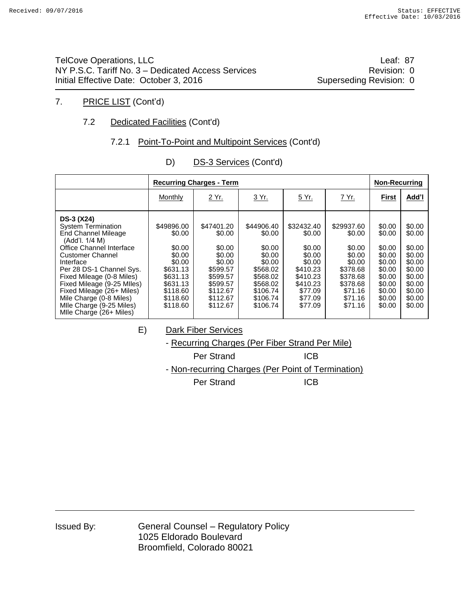TelCove Operations, LLC **Leaf: 87** NY P.S.C. Tariff No. 3 – Dedicated Access Services Manual Access 3 (Revision: 0 Initial Effective Date: October 3, 2016 Superseding Revision: 0

## 7. PRICE LIST (Cont'd)

## 7.2 Dedicated Facilities (Cont'd)

#### 7.2.1 Point-To-Point and Multipoint Services (Cont'd)

|                                                                                                                                                                                                                                                                                                                                                            |                                                                                                                            | <b>Recurring Charges - Term</b>                                                                                            |                                                                                                                            |                                                                                                                         |                                                                                                                         | Non-Recurring                                                                                              |                                                                                                            |
|------------------------------------------------------------------------------------------------------------------------------------------------------------------------------------------------------------------------------------------------------------------------------------------------------------------------------------------------------------|----------------------------------------------------------------------------------------------------------------------------|----------------------------------------------------------------------------------------------------------------------------|----------------------------------------------------------------------------------------------------------------------------|-------------------------------------------------------------------------------------------------------------------------|-------------------------------------------------------------------------------------------------------------------------|------------------------------------------------------------------------------------------------------------|------------------------------------------------------------------------------------------------------------|
|                                                                                                                                                                                                                                                                                                                                                            | Monthly                                                                                                                    | <u>2 Yr.</u>                                                                                                               | 3 Yr.                                                                                                                      | <u>5 Yr.</u>                                                                                                            | 7 Yr.                                                                                                                   | First                                                                                                      | Add'l                                                                                                      |
| DS-3 (X24)<br><b>System Termination</b><br>End Channel Mileage<br>(Add'l, 1/4 M)<br>Office Channel Interface<br><b>Customer Channel</b><br>Interface<br>Per 28 DS-1 Channel Sys.<br>Fixed Mileage (0-8 Miles)<br>Fixed Mileage (9-25 MIles)<br>Fixed Mileage (26+ Miles)<br>Mile Charge (0-8 Miles)<br>Mile Charge (9-25 Miles)<br>Mile Charge (26+ Miles) | \$49896.00<br>\$0.00<br>\$0.00<br>\$0.00<br>\$0.00<br>\$631.13<br>\$631.13<br>\$631.13<br>\$118.60<br>\$118.60<br>\$118.60 | \$47401.20<br>\$0.00<br>\$0.00<br>\$0.00<br>\$0.00<br>\$599.57<br>\$599.57<br>\$599.57<br>\$112.67<br>\$112.67<br>\$112.67 | \$44906.40<br>\$0.00<br>\$0.00<br>\$0.00<br>\$0.00<br>\$568.02<br>\$568.02<br>\$568.02<br>\$106.74<br>\$106.74<br>\$106.74 | \$32432.40<br>\$0.00<br>\$0.00<br>\$0.00<br>\$0.00<br>\$410.23<br>\$410.23<br>\$410.23<br>\$77.09<br>\$77.09<br>\$77.09 | \$29937.60<br>\$0.00<br>\$0.00<br>\$0.00<br>\$0.00<br>\$378.68<br>\$378.68<br>\$378.68<br>\$71.16<br>\$71.16<br>\$71.16 | \$0.00<br>\$0.00<br>\$0.00<br>\$0.00<br>\$0.00<br>\$0.00<br>\$0.00<br>\$0.00<br>\$0.00<br>\$0.00<br>\$0.00 | \$0.00<br>\$0.00<br>\$0.00<br>\$0.00<br>\$0.00<br>\$0.00<br>\$0.00<br>\$0.00<br>\$0.00<br>\$0.00<br>\$0.00 |

D) DS-3 Services (Cont'd)

E) Dark Fiber Services

- Recurring Charges (Per Fiber Strand Per Mile)

Per Strand ICB

- Non-recurring Charges (Per Point of Termination)

Per Strand ICB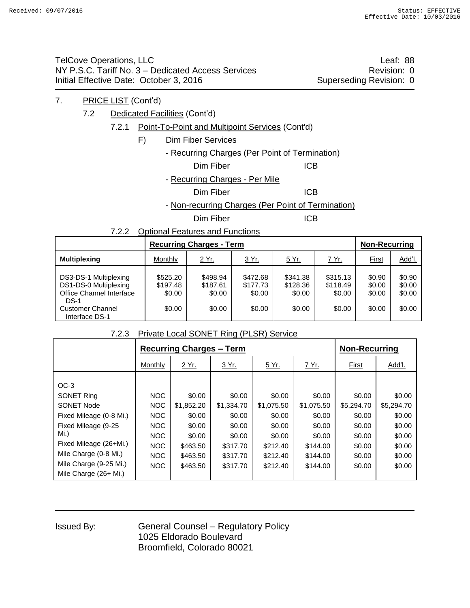TelCove Operations, LLC **Leaf: 88** NY P.S.C. Tariff No. 3 – Dedicated Access Services Manual Access 3 (Revision: 0 Initial Effective Date: October 3, 2016 Superseding Revision: 0

- 7. PRICE LIST (Cont'd)
	- 7.2 Dedicated Facilities (Cont'd)
		- 7.2.1 Point-To-Point and Multipoint Services (Cont'd)
			- F) Dim Fiber Services
				- Recurring Charges (Per Point of Termination)

Dim Fiber **ICB** 

- Recurring Charges - Per Mile

Dim Fiber **ICB** 

- Non-recurring Charges (Per Point of Termination)

Dim Fiber **ICB** 

7.2.2 Optional Features and Functions

|                                                                                                                                   |                                          | <b>Recurring Charges - Term</b>          |                                          |                                          |                                          |                                      |                                      |  |
|-----------------------------------------------------------------------------------------------------------------------------------|------------------------------------------|------------------------------------------|------------------------------------------|------------------------------------------|------------------------------------------|--------------------------------------|--------------------------------------|--|
| <b>Multiplexing</b>                                                                                                               | Monthly                                  | 2 Yr.                                    | 3 Yr.                                    | <u>5 Yr.</u>                             | 7 Yr.                                    | First                                | Add'l.                               |  |
| DS3-DS-1 Multiplexing<br>DS1-DS-0 Multiplexing<br>Office Channel Interface<br>$DS-1$<br><b>Customer Channel</b><br>Interface DS-1 | \$525.20<br>\$197.48<br>\$0.00<br>\$0.00 | \$498.94<br>\$187.61<br>\$0.00<br>\$0.00 | \$472.68<br>\$177.73<br>\$0.00<br>\$0.00 | \$341.38<br>\$128.36<br>\$0.00<br>\$0.00 | \$315.13<br>\$118.49<br>\$0.00<br>\$0.00 | \$0.90<br>\$0.00<br>\$0.00<br>\$0.00 | \$0.90<br>\$0.00<br>\$0.00<br>\$0.00 |  |

#### 7.2.3 Private Local SONET Ring (PLSR) Service

|                                                                                                                                                                                        |                                                                                  | <b>Recurring Charges - Term</b>                                                        |                                                                                        | <b>Non-Recurring</b>                                                                   |                                                                                        |                                                                                  |                                                                                  |
|----------------------------------------------------------------------------------------------------------------------------------------------------------------------------------------|----------------------------------------------------------------------------------|----------------------------------------------------------------------------------------|----------------------------------------------------------------------------------------|----------------------------------------------------------------------------------------|----------------------------------------------------------------------------------------|----------------------------------------------------------------------------------|----------------------------------------------------------------------------------|
|                                                                                                                                                                                        | Monthly                                                                          | 2 Yr.                                                                                  | 3 Yr.<br>5 Yr.                                                                         |                                                                                        | <u>7 Yr.</u>                                                                           | First                                                                            | Add'l.                                                                           |
| $OC-3$<br><b>SONET Ring</b><br><b>SONET Node</b><br>Fixed Mileage (0-8 Mi.)<br>Fixed Mileage (9-25<br>Mi.<br>Fixed Mileage (26+Mi.)<br>Mile Charge (0-8 Mi.)<br>Mile Charge (9-25 Mi.) | NOC<br><b>NOC</b><br>NOC<br>NOC<br><b>NOC</b><br><b>NOC</b><br>NOC<br><b>NOC</b> | \$0.00<br>\$1,852.20<br>\$0.00<br>\$0.00<br>\$0.00<br>\$463.50<br>\$463.50<br>\$463.50 | \$0.00<br>\$1,334.70<br>\$0.00<br>\$0.00<br>\$0.00<br>\$317.70<br>\$317.70<br>\$317.70 | \$0.00<br>\$1,075.50<br>\$0.00<br>\$0.00<br>\$0.00<br>\$212.40<br>\$212.40<br>\$212.40 | \$0.00<br>\$1,075.50<br>\$0.00<br>\$0.00<br>\$0.00<br>\$144.00<br>\$144.00<br>\$144.00 | \$0.00<br>\$5,294.70<br>\$0.00<br>\$0.00<br>\$0.00<br>\$0.00<br>\$0.00<br>\$0.00 | \$0.00<br>\$5,294.70<br>\$0.00<br>\$0.00<br>\$0.00<br>\$0.00<br>\$0.00<br>\$0.00 |
| Mile Charge $(26 + Mi.)$                                                                                                                                                               |                                                                                  |                                                                                        |                                                                                        |                                                                                        |                                                                                        |                                                                                  |                                                                                  |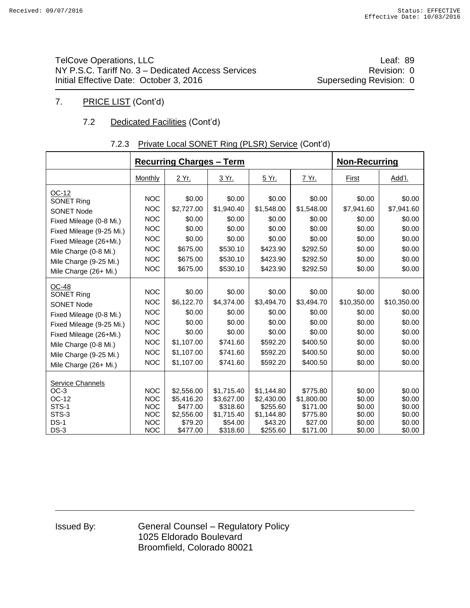TelCove Operations, LLC and the contract of the contract of the contract of the contract of the contract of the contract of the contract of the contract of the contract of the contract of the contract of the contract of th NY P.S.C. Tariff No. 3 – Dedicated Access Services **Revision: 0** Revision: 0 Initial Effective Date: October 3, 2016 Superseding Revision: 0

## 7. PRICE LIST (Cont'd)

## 7.2 Dedicated Facilities (Cont'd)

#### **Recurring Charges – Term** Non-Recurring <u>Monthly | 2 Yr. | 3 Yr. | 5 Yr. | 7 Yr. | First</u> | Add'l. OC-12 SONET Ring SONET Node Fixed Mileage (0-8 Mi.) Fixed Mileage (9-25 Mi.) Fixed Mileage (26+Mi.) Mile Charge (0-8 Mi.) Mile Charge (9-25 Mi.) Mile Charge (26+ Mi.) NOC NOC NOC NOC NOC NOC NOC NOC \$0.00 \$2,727.00 \$0.00 \$0.00 \$0.00 \$675.00 \$675.00 \$675.00 \$0.00 \$1,940.40 \$0.00 \$0.00 \$0.00 \$530.10 \$530.10 \$530.10 \$0.00 \$1,548.00 \$0.00 \$0.00 \$0.00 \$423.90 \$423.90 \$423.90 \$0.00 \$1,548.00 \$0.00 \$0.00 \$0.00 \$292.50 \$292.50 \$292.50 \$0.00 \$7,941.60 \$0.00 \$0.00 \$0.00 \$0.00 \$0.00 \$0.00 \$0.00 \$7,941.60 \$0.00 \$0.00 \$0.00 \$0.00 \$0.00 \$0.00 OC-48 SONET Ring SONET Node Fixed Mileage (0-8 Mi.) Fixed Mileage (9-25 Mi.) Fixed Mileage (26+Mi.) Mile Charge (0-8 Mi.) Mile Charge (9-25 Mi.) Mile Charge (26+ Mi.) NOC NOC NOC NOC NOC NOC NOC NOC \$0.00 \$6,122.70 \$0.00 \$0.00 \$0.00 \$1,107.00 \$1,107.00 \$1,107.00 \$0.00 \$4,374.00 \$0.00 \$0.00 \$0.00 \$741.60 \$741.60 \$741.60 \$0.00 \$3,494.70 \$0.00 \$0.00 \$0.00 \$592.20 \$592.20 \$592.20 \$0.00 \$3,494.70 \$0.00 \$0.00 \$0.00 \$400.50 \$400.50 \$400.50 \$0.00 \$10,350.00 \$0.00 \$0.00 \$0.00 \$0.00 \$0.00 \$0.00 \$0.00 \$10,350.00 \$0.00 \$0.00 \$0.00 \$0.00 \$0.00 \$0.00 Service Channels OC-3 OC-12 STS-1 STS-3 DS-1 DS-3 NOC NOC NOC NOC NOC NOC \$2,556.00 \$5,416.20 \$477.00 \$2,556.00 \$79.20 \$477.00 \$1,715.40 \$3,627.00 \$318.60 \$1,715.40 \$54.00 \$318.60 \$1,144.80 \$2,430.00 \$255.60 \$1,144.80 \$43.20 \$255.60 \$775.80 \$1,800.00 \$171.00 \$775.80 \$27.00 \$171.00 \$0.00 \$0.00 \$0.00 \$0.00 \$0.00 \$0.00 \$0.00 \$0.00 \$0.00 \$0.00 \$0.00 \$0.00

#### 7.2.3 Private Local SONET Ring (PLSR) Service (Cont'd)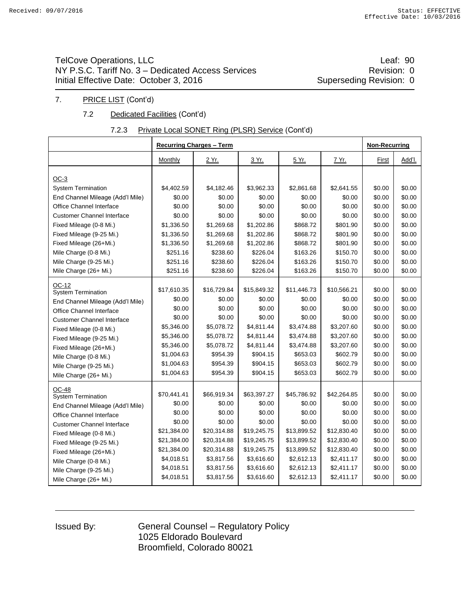## TelCove Operations, LLC **Leaf: 90** NY P.S.C. Tariff No. 3 – Dedicated Access Services **Revision: 0** Revision: 0 Initial Effective Date: October 3, 2016 Superseding Revision: 0

#### 7. PRICE LIST (Cont'd)

#### 7.2 Dedicated Facilities (Cont'd)

#### 7.2.3 Private Local SONET Ring (PLSR) Service (Cont'd)

|                                   |             | <b>Recurring Charges - Term</b> |             |             |             | <b>Non-Recurring</b> |        |
|-----------------------------------|-------------|---------------------------------|-------------|-------------|-------------|----------------------|--------|
|                                   | Monthly     | 2 Yr.                           | 3 Yr.       | 5 Yr.       | 7 Yr.       | First                | Add'l. |
|                                   |             |                                 |             |             |             |                      |        |
| $OC-3$                            |             |                                 |             |             |             |                      |        |
| <b>System Termination</b>         | \$4,402.59  | \$4,182.46                      | \$3,962.33  | \$2,861.68  | \$2,641.55  | \$0.00               | \$0.00 |
| End Channel Mileage (Add'l Mile)  | \$0.00      | \$0.00                          | \$0.00      | \$0.00      | \$0.00      | \$0.00               | \$0.00 |
| Office Channel Interface          | \$0.00      | \$0.00                          | \$0.00      | \$0.00      | \$0.00      | \$0.00               | \$0.00 |
| <b>Customer Channel Interface</b> | \$0.00      | \$0.00                          | \$0.00      | \$0.00      | \$0.00      | \$0.00               | \$0.00 |
| Fixed Mileage (0-8 Mi.)           | \$1,336.50  | \$1,269.68                      | \$1,202.86  | \$868.72    | \$801.90    | \$0.00               | \$0.00 |
| Fixed Mileage (9-25 Mi.)          | \$1,336.50  | \$1,269.68                      | \$1,202.86  | \$868.72    | \$801.90    | \$0.00               | \$0.00 |
| Fixed Mileage (26+Mi.)            | \$1,336.50  | \$1,269.68                      | \$1,202.86  | \$868.72    | \$801.90    | \$0.00               | \$0.00 |
| Mile Charge (0-8 Mi.)             | \$251.16    | \$238.60                        | \$226.04    | \$163.26    | \$150.70    | \$0.00               | \$0.00 |
| Mile Charge (9-25 Mi.)            | \$251.16    | \$238.60                        | \$226.04    | \$163.26    | \$150.70    | \$0.00               | \$0.00 |
| Mile Charge (26+ Mi.)             | \$251.16    | \$238.60                        | \$226.04    | \$163.26    | \$150.70    | \$0.00               | \$0.00 |
| OC-12                             |             |                                 |             |             |             |                      |        |
| <b>System Termination</b>         | \$17,610.35 | \$16,729.84                     | \$15,849.32 | \$11,446.73 | \$10,566.21 | \$0.00               | \$0.00 |
| End Channel Mileage (Add'l Mile)  | \$0.00      | \$0.00                          | \$0.00      | \$0.00      | \$0.00      | \$0.00               | \$0.00 |
| Office Channel Interface          | \$0.00      | \$0.00                          | \$0.00      | \$0.00      | \$0.00      | \$0.00               | \$0.00 |
| <b>Customer Channel Interface</b> | \$0.00      | \$0.00                          | \$0.00      | \$0.00      | \$0.00      | \$0.00               | \$0.00 |
| Fixed Mileage (0-8 Mi.)           | \$5,346.00  | \$5,078.72                      | \$4,811.44  | \$3,474.88  | \$3,207.60  | \$0.00               | \$0.00 |
| Fixed Mileage (9-25 Mi.)          | \$5,346.00  | \$5,078.72                      | \$4,811.44  | \$3,474.88  | \$3,207.60  | \$0.00               | \$0.00 |
| Fixed Mileage (26+Mi.)            | \$5,346.00  | \$5,078.72                      | \$4,811.44  | \$3,474.88  | \$3,207.60  | \$0.00               | \$0.00 |
| Mile Charge (0-8 Mi.)             | \$1,004.63  | \$954.39                        | \$904.15    | \$653.03    | \$602.79    | \$0.00               | \$0.00 |
| Mile Charge (9-25 Mi.)            | \$1,004.63  | \$954.39                        | \$904.15    | \$653.03    | \$602.79    | \$0.00               | \$0.00 |
| Mile Charge (26+ Mi.)             | \$1,004.63  | \$954.39                        | \$904.15    | \$653.03    | \$602.79    | \$0.00               | \$0.00 |
| <b>OC-48</b>                      |             |                                 |             |             |             |                      |        |
| <b>System Termination</b>         | \$70,441.41 | \$66,919.34                     | \$63,397.27 | \$45,786.92 | \$42,264.85 | \$0.00               | \$0.00 |
| End Channel Mileage (Add'l Mile)  | \$0.00      | \$0.00                          | \$0.00      | \$0.00      | \$0.00      | \$0.00               | \$0.00 |
| Office Channel Interface          | \$0.00      | \$0.00                          | \$0.00      | \$0.00      | \$0.00      | \$0.00               | \$0.00 |
| <b>Customer Channel Interface</b> | \$0.00      | \$0.00                          | \$0.00      | \$0.00      | \$0.00      | \$0.00               | \$0.00 |
| Fixed Mileage (0-8 Mi.)           | \$21,384.00 | \$20,314.88                     | \$19,245.75 | \$13,899.52 | \$12,830.40 | \$0.00               | \$0.00 |
| Fixed Mileage (9-25 Mi.)          | \$21,384.00 | \$20,314.88                     | \$19,245.75 | \$13,899.52 | \$12,830.40 | \$0.00               | \$0.00 |
| Fixed Mileage (26+Mi.)            | \$21,384.00 | \$20,314.88                     | \$19,245.75 | \$13,899.52 | \$12,830.40 | \$0.00               | \$0.00 |
| Mile Charge (0-8 Mi.)             | \$4,018.51  | \$3,817.56                      | \$3,616.60  | \$2,612.13  | \$2,411.17  | \$0.00               | \$0.00 |
| Mile Charge (9-25 Mi.)            | \$4,018.51  | \$3,817.56                      | \$3,616.60  | \$2,612.13  | \$2,411.17  | \$0.00               | \$0.00 |
| Mile Charge (26+ Mi.)             | \$4,018.51  | \$3,817.56                      | \$3,616.60  | \$2,612.13  | \$2,411.17  | \$0.00               | \$0.00 |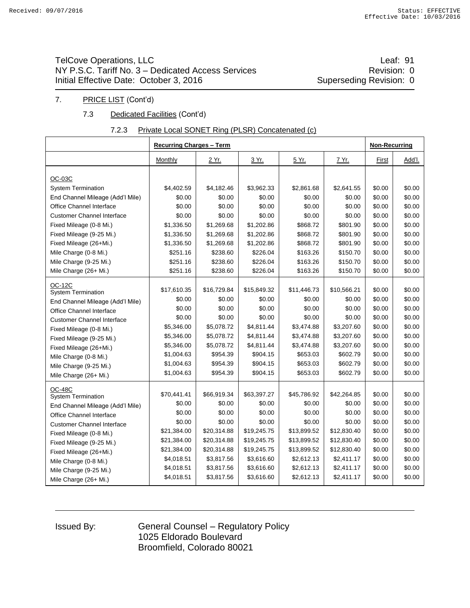## TelCove Operations, LLC **Leaf: 91** NY P.S.C. Tariff No. 3 – Dedicated Access Services **Revision: 0** Revision: 0 Initial Effective Date: October 3, 2016 Superseding Revision: 0

#### 7. PRICE LIST (Cont'd)

#### 7.3 Dedicated Facilities (Cont'd)

#### 7.2.3 Private Local SONET Ring (PLSR) Concatenated (c)

|                                   | <b>Recurring Charges - Term</b> |             |             |             |             | <b>Non-Recurring</b> |        |
|-----------------------------------|---------------------------------|-------------|-------------|-------------|-------------|----------------------|--------|
|                                   | Monthly                         | 2 Yr.       | 3 Yr.       | 5 Yr.       | 7 Yr.       | First                | Add'l. |
| OC-03C                            |                                 |             |             |             |             |                      |        |
| <b>System Termination</b>         | \$4,402.59                      | \$4,182.46  | \$3,962.33  | \$2,861.68  | \$2,641.55  | \$0.00               | \$0.00 |
| End Channel Mileage (Add'l Mile)  | \$0.00                          | \$0.00      | \$0.00      | \$0.00      | \$0.00      | \$0.00               | \$0.00 |
| Office Channel Interface          | \$0.00                          | \$0.00      | \$0.00      | \$0.00      | \$0.00      | \$0.00               | \$0.00 |
| <b>Customer Channel Interface</b> | \$0.00                          | \$0.00      | \$0.00      | \$0.00      | \$0.00      | \$0.00               | \$0.00 |
| Fixed Mileage (0-8 Mi.)           | \$1,336.50                      | \$1,269.68  | \$1,202.86  | \$868.72    | \$801.90    | \$0.00               | \$0.00 |
| Fixed Mileage (9-25 Mi.)          | \$1,336.50                      | \$1,269.68  | \$1,202.86  | \$868.72    | \$801.90    | \$0.00               | \$0.00 |
| Fixed Mileage (26+Mi.)            | \$1,336.50                      | \$1,269.68  | \$1,202.86  | \$868.72    | \$801.90    | \$0.00               | \$0.00 |
| Mile Charge (0-8 Mi.)             | \$251.16                        | \$238.60    | \$226.04    | \$163.26    | \$150.70    | \$0.00               | \$0.00 |
| Mile Charge (9-25 Mi.)            | \$251.16                        | \$238.60    | \$226.04    | \$163.26    | \$150.70    | \$0.00               | \$0.00 |
| Mile Charge (26+ Mi.)             | \$251.16                        | \$238.60    | \$226.04    | \$163.26    | \$150.70    | \$0.00               | \$0.00 |
| <b>OC-12C</b>                     |                                 |             |             |             |             |                      |        |
| <b>System Termination</b>         | \$17,610.35                     | \$16,729.84 | \$15,849.32 | \$11,446.73 | \$10,566.21 | \$0.00               | \$0.00 |
| End Channel Mileage (Add'l Mile)  | \$0.00                          | \$0.00      | \$0.00      | \$0.00      | \$0.00      | \$0.00               | \$0.00 |
| Office Channel Interface          | \$0.00                          | \$0.00      | \$0.00      | \$0.00      | \$0.00      | \$0.00               | \$0.00 |
| <b>Customer Channel Interface</b> | \$0.00                          | \$0.00      | \$0.00      | \$0.00      | \$0.00      | \$0.00               | \$0.00 |
| Fixed Mileage (0-8 Mi.)           | \$5,346.00                      | \$5,078.72  | \$4,811.44  | \$3,474.88  | \$3,207.60  | \$0.00               | \$0.00 |
| Fixed Mileage (9-25 Mi.)          | \$5,346.00                      | \$5,078.72  | \$4,811.44  | \$3,474.88  | \$3,207.60  | \$0.00               | \$0.00 |
| Fixed Mileage (26+Mi.)            | \$5,346.00                      | \$5,078.72  | \$4,811.44  | \$3,474.88  | \$3,207.60  | \$0.00               | \$0.00 |
| Mile Charge (0-8 Mi.)             | \$1,004.63                      | \$954.39    | \$904.15    | \$653.03    | \$602.79    | \$0.00               | \$0.00 |
| Mile Charge (9-25 Mi.)            | \$1,004.63                      | \$954.39    | \$904.15    | \$653.03    | \$602.79    | \$0.00               | \$0.00 |
| Mile Charge (26+ Mi.)             | \$1,004.63                      | \$954.39    | \$904.15    | \$653.03    | \$602.79    | \$0.00               | \$0.00 |
| <b>OC-48C</b>                     |                                 |             |             |             |             |                      |        |
| <b>System Termination</b>         | \$70,441.41                     | \$66,919.34 | \$63,397.27 | \$45,786.92 | \$42,264.85 | \$0.00               | \$0.00 |
| End Channel Mileage (Add'l Mile)  | \$0.00                          | \$0.00      | \$0.00      | \$0.00      | \$0.00      | \$0.00               | \$0.00 |
| Office Channel Interface          | \$0.00                          | \$0.00      | \$0.00      | \$0.00      | \$0.00      | \$0.00               | \$0.00 |
| <b>Customer Channel Interface</b> | \$0.00                          | \$0.00      | \$0.00      | \$0.00      | \$0.00      | \$0.00               | \$0.00 |
| Fixed Mileage (0-8 Mi.)           | \$21,384.00                     | \$20,314.88 | \$19,245.75 | \$13,899.52 | \$12,830.40 | \$0.00               | \$0.00 |
| Fixed Mileage (9-25 Mi.)          | \$21,384.00                     | \$20,314.88 | \$19,245.75 | \$13,899.52 | \$12,830.40 | \$0.00               | \$0.00 |
| Fixed Mileage (26+Mi.)            | \$21,384.00                     | \$20,314.88 | \$19,245.75 | \$13,899.52 | \$12,830.40 | \$0.00               | \$0.00 |
| Mile Charge (0-8 Mi.)             | \$4,018.51                      | \$3,817.56  | \$3,616.60  | \$2,612.13  | \$2,411.17  | \$0.00               | \$0.00 |
| Mile Charge (9-25 Mi.)            | \$4,018.51                      | \$3,817.56  | \$3,616.60  | \$2,612.13  | \$2,411.17  | \$0.00               | \$0.00 |
| Mile Charge (26+ Mi.)             | \$4,018.51                      | \$3,817.56  | \$3,616.60  | \$2,612.13  | \$2,411.17  | \$0.00               | \$0.00 |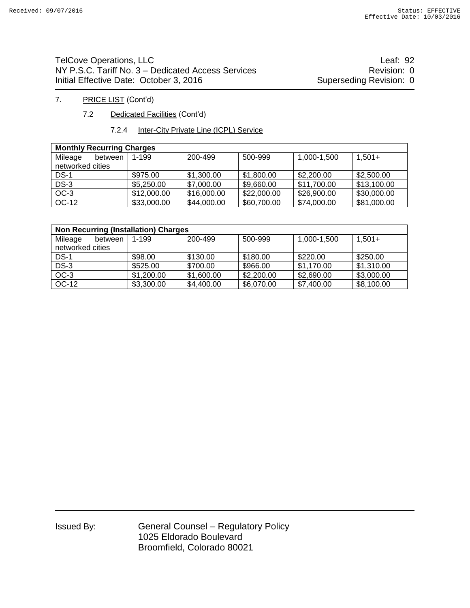## TelCove Operations, LLC **Leaf: 92** NY P.S.C. Tariff No. 3 – Dedicated Access Services **Revision: 0** Revision: 0 Initial Effective Date: October 3, 2016 Superseding Revision: 0

#### 7. PRICE LIST (Cont'd)

7.2 Dedicated Facilities (Cont'd)

#### 7.2.4 Inter-City Private Line (ICPL) Service

| <b>Monthly Recurring Charges</b> |             |             |             |             |             |  |  |  |  |  |  |
|----------------------------------|-------------|-------------|-------------|-------------|-------------|--|--|--|--|--|--|
| Mileage<br>between               | $1 - 199$   | 200-499     | 500-999     | 1,000-1,500 | $1.501+$    |  |  |  |  |  |  |
| networked cities                 |             |             |             |             |             |  |  |  |  |  |  |
| $DS-1$                           | \$975.00    | \$1,300,00  | \$1,800.00  | \$2,200.00  | \$2,500.00  |  |  |  |  |  |  |
| $DS-3$                           | \$5,250.00  | \$7,000.00  | \$9,660.00  | \$11,700.00 | \$13,100.00 |  |  |  |  |  |  |
| $OC-3$                           | \$12,000.00 | \$16,000.00 | \$22,000.00 | \$26,900.00 | \$30,000.00 |  |  |  |  |  |  |
| OC-12                            | \$33,000.00 | \$44,000.00 | \$60,700.00 | \$74,000.00 | \$81,000.00 |  |  |  |  |  |  |

| <b>Non Recurring (Installation) Charges</b> |            |            |            |             |            |  |  |  |  |  |
|---------------------------------------------|------------|------------|------------|-------------|------------|--|--|--|--|--|
| Mileage<br>between                          | 1-199      | 200-499    | 500-999    | 1,000-1,500 | $1.501+$   |  |  |  |  |  |
| networked cities                            |            |            |            |             |            |  |  |  |  |  |
| $DS-1$                                      | \$98.00    | \$130.00   | \$180.00   | \$220.00    | \$250.00   |  |  |  |  |  |
| $DS-3$                                      | \$525.00   | \$700.00   | \$966.00   | \$1,170.00  | \$1,310.00 |  |  |  |  |  |
| $OC-3$                                      | \$1,200.00 | \$1,600.00 | \$2,200.00 | \$2,690.00  | \$3,000.00 |  |  |  |  |  |
| OC-12                                       | \$3,300.00 | \$4,400.00 | \$6,070.00 | \$7,400.00  | \$8,100.00 |  |  |  |  |  |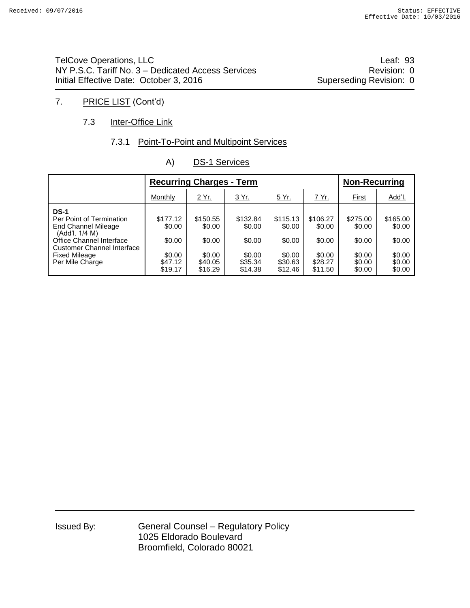TelCove Operations, LLC **Leaf: 93** NY P.S.C. Tariff No. 3 – Dedicated Access Services **Revision: 0** Revision: 0 Initial Effective Date: October 3, 2016 Superseding Revision: 0

## 7. PRICE LIST (Cont'd)

#### 7.3 **Inter-Office Link**

#### 7.3.1 Point-To-Point and Multipoint Services

|                                                                                                                                                                                       | <b>Recurring Charges - Term</b>                              |                                                              |                                                              |                                                              |                                                              | <b>Non-Recurring</b>                                       |                                                            |
|---------------------------------------------------------------------------------------------------------------------------------------------------------------------------------------|--------------------------------------------------------------|--------------------------------------------------------------|--------------------------------------------------------------|--------------------------------------------------------------|--------------------------------------------------------------|------------------------------------------------------------|------------------------------------------------------------|
|                                                                                                                                                                                       | Monthly                                                      | 2 Yr.                                                        | 3 Yr.                                                        | <u>5 Yr.</u>                                                 | <u>7 Yr.</u>                                                 | <b>First</b>                                               | Add'l.                                                     |
| <b>DS-1</b><br>Per Point of Termination<br>End Channel Mileage<br>(Add'l. 1/4 M)<br>Office Channel Interface<br>Customer Channel Interface<br><b>Fixed Mileage</b><br>Per Mile Charge | \$177.12<br>\$0.00<br>\$0.00<br>\$0.00<br>\$47.12<br>\$19.17 | \$150.55<br>\$0.00<br>\$0.00<br>\$0.00<br>\$40.05<br>\$16.29 | \$132.84<br>\$0.00<br>\$0.00<br>\$0.00<br>\$35.34<br>\$14.38 | \$115.13<br>\$0.00<br>\$0.00<br>\$0.00<br>\$30.63<br>\$12.46 | \$106.27<br>\$0.00<br>\$0.00<br>\$0.00<br>\$28.27<br>\$11.50 | \$275.00<br>\$0.00<br>\$0.00<br>\$0.00<br>\$0.00<br>\$0.00 | \$165.00<br>\$0.00<br>\$0.00<br>\$0.00<br>\$0.00<br>\$0.00 |

#### A) DS-1 Services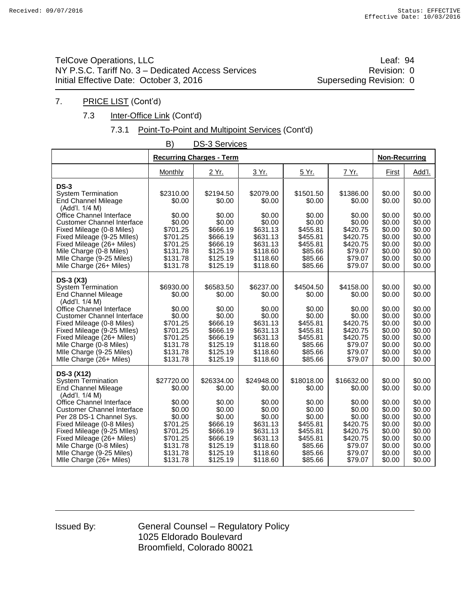## TelCove Operations, LLC **Leaf: 94** NY P.S.C. Tariff No. 3 – Dedicated Access Services **Revision: 0** Revision: 0 Initial Effective Date: October 3, 2016 Superseding Revision: 0

## 7. PRICE LIST (Cont'd)

#### 7.3 **Inter-Office Link (Cont'd)**

#### 7.3.1 Point-To-Point and Multipoint Services (Cont'd)

|                                                                                                                                                                                                                                                                                                                                                                | B)                                                                                                                         | <b>DS-3 Services</b>                                                                                                       |                                                                                                                            |                                                                                                                         |                                                                                                                         |                                                                                                            |                                                                                                            |
|----------------------------------------------------------------------------------------------------------------------------------------------------------------------------------------------------------------------------------------------------------------------------------------------------------------------------------------------------------------|----------------------------------------------------------------------------------------------------------------------------|----------------------------------------------------------------------------------------------------------------------------|----------------------------------------------------------------------------------------------------------------------------|-------------------------------------------------------------------------------------------------------------------------|-------------------------------------------------------------------------------------------------------------------------|------------------------------------------------------------------------------------------------------------|------------------------------------------------------------------------------------------------------------|
|                                                                                                                                                                                                                                                                                                                                                                |                                                                                                                            | <b>Recurring Charges - Term</b>                                                                                            |                                                                                                                            |                                                                                                                         |                                                                                                                         | <b>Non-Recurring</b>                                                                                       |                                                                                                            |
|                                                                                                                                                                                                                                                                                                                                                                | Monthly                                                                                                                    | <u>2 Yr.</u>                                                                                                               | 3 Yr.                                                                                                                      | 5 Yr.                                                                                                                   | 7 Yr.                                                                                                                   | First                                                                                                      | Add'l.                                                                                                     |
| $DS-3$<br><b>System Termination</b><br><b>End Channel Mileage</b><br>(Add'l. 1/4 M)                                                                                                                                                                                                                                                                            | \$2310.00<br>\$0.00                                                                                                        | \$2194.50<br>\$0.00                                                                                                        | \$2079.00<br>\$0.00                                                                                                        | \$1501.50<br>\$0.00                                                                                                     | \$1386.00<br>\$0.00                                                                                                     | \$0.00<br>\$0.00                                                                                           | \$0.00<br>\$0.00                                                                                           |
| Office Channel Interface<br><b>Customer Channel Interface</b><br>Fixed Mileage (0-8 Miles)<br>Fixed Mileage (9-25 MIles)<br>Fixed Mileage (26+ Miles)<br>Mile Charge (0-8 Miles)<br>Mlle Charge (9-25 Miles)<br>Mile Charge (26+ Miles)                                                                                                                        | \$0.00<br>\$0.00<br>\$701.25<br>\$701.25<br>\$701.25<br>\$131.78<br>\$131.78<br>\$131.78                                   | \$0.00<br>\$0.00<br>\$666.19<br>\$666.19<br>\$666.19<br>\$125.19<br>\$125.19<br>\$125.19                                   | \$0.00<br>\$0.00<br>\$631.13<br>\$631.13<br>\$631.13<br>\$118.60<br>\$118.60<br>\$118.60                                   | \$0.00<br>\$0.00<br>\$455.81<br>\$455.81<br>\$455.81<br>\$85.66<br>\$85.66<br>\$85.66                                   | \$0.00<br>\$0.00<br>\$420.75<br>\$420.75<br>\$420.75<br>\$79.07<br>\$79.07<br>\$79.07                                   | \$0.00<br>\$0.00<br>\$0.00<br>\$0.00<br>\$0.00<br>\$0.00<br>\$0.00<br>\$0.00                               | \$0.00<br>\$0.00<br>\$0.00<br>\$0.00<br>\$0.00<br>\$0.00<br>\$0.00<br>\$0.00                               |
| $DS-3(X3)$<br><b>System Termination</b><br><b>End Channel Mileage</b><br>(Add'l. 1/4 M)<br>Office Channel Interface<br><b>Customer Channel Interface</b><br>Fixed Mileage (0-8 Miles)<br>Fixed Mileage (9-25 Miles)<br>Fixed Mileage (26+ Miles)<br>Mile Charge (0-8 Miles)<br>Mile Charge (9-25 Miles)<br>Mlle Charge (26+ Miles)                             | \$6930.00<br>\$0.00<br>\$0.00<br>\$0.00<br>\$701.25<br>\$701.25<br>\$701.25<br>\$131.78<br>\$131.78<br>\$131.78            | \$6583.50<br>\$0.00<br>\$0.00<br>\$0.00<br>\$666.19<br>\$666.19<br>\$666.19<br>\$125.19<br>\$125.19<br>\$125.19            | \$6237.00<br>\$0.00<br>\$0.00<br>\$0.00<br>\$631.13<br>\$631.13<br>\$631.13<br>\$118.60<br>\$118.60<br>\$118.60            | \$4504.50<br>\$0.00<br>\$0.00<br>\$0.00<br>\$455.81<br>\$455.81<br>\$455.81<br>\$85.66<br>\$85.66<br>\$85.66            | \$4158.00<br>\$0.00<br>\$0.00<br>\$0.00<br>\$420.75<br>\$420.75<br>\$420.75<br>\$79.07<br>\$79.07<br>\$79.07            | \$0.00<br>\$0.00<br>\$0.00<br>\$0.00<br>\$0.00<br>\$0.00<br>\$0.00<br>\$0.00<br>\$0.00<br>\$0.00           | \$0.00<br>\$0.00<br>\$0.00<br>\$0.00<br>\$0.00<br>\$0.00<br>\$0.00<br>\$0.00<br>\$0.00<br>\$0.00           |
| DS-3 (X12)<br><b>System Termination</b><br><b>End Channel Mileage</b><br>(Add'l, 1/4 M)<br>Office Channel Interface<br><b>Customer Channel Interface</b><br>Per 28 DS-1 Channel Sys.<br>Fixed Mileage (0-8 Miles)<br>Fixed Mileage (9-25 MIles)<br>Fixed Mileage (26+ Miles)<br>Mile Charge (0-8 Miles)<br>Mile Charge (9-25 Miles)<br>Mlle Charge (26+ Miles) | \$27720.00<br>\$0.00<br>\$0.00<br>\$0.00<br>\$0.00<br>\$701.25<br>\$701.25<br>\$701.25<br>\$131.78<br>\$131.78<br>\$131.78 | \$26334.00<br>\$0.00<br>\$0.00<br>\$0.00<br>\$0.00<br>\$666.19<br>\$666.19<br>\$666.19<br>\$125.19<br>\$125.19<br>\$125.19 | \$24948.00<br>\$0.00<br>\$0.00<br>\$0.00<br>\$0.00<br>\$631.13<br>\$631.13<br>\$631.13<br>\$118.60<br>\$118.60<br>\$118.60 | \$18018.00<br>\$0.00<br>\$0.00<br>\$0.00<br>\$0.00<br>\$455.81<br>\$455.81<br>\$455.81<br>\$85.66<br>\$85.66<br>\$85.66 | \$16632.00<br>\$0.00<br>\$0.00<br>\$0.00<br>\$0.00<br>\$420.75<br>\$420.75<br>\$420.75<br>\$79.07<br>\$79.07<br>\$79.07 | \$0.00<br>\$0.00<br>\$0.00<br>\$0.00<br>\$0.00<br>\$0.00<br>\$0.00<br>\$0.00<br>\$0.00<br>\$0.00<br>\$0.00 | \$0.00<br>\$0.00<br>\$0.00<br>\$0.00<br>\$0.00<br>\$0.00<br>\$0.00<br>\$0.00<br>\$0.00<br>\$0.00<br>\$0.00 |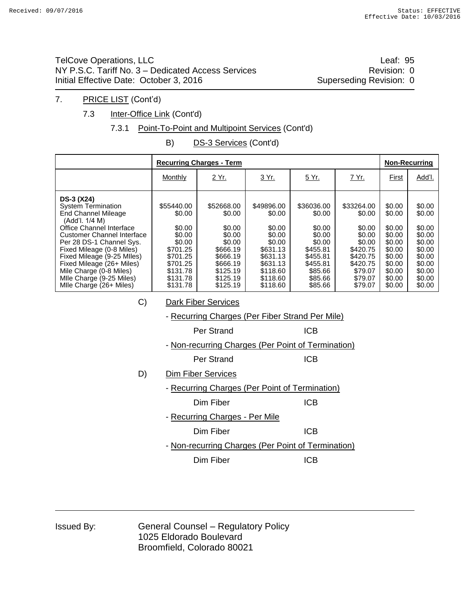TelCove Operations, LLC **Leaf: 95** NY P.S.C. Tariff No. 3 – Dedicated Access Services **Revision: 0** Revision: 0 Initial Effective Date: October 3, 2016 Superseding Revision: 0

#### 7. PRICE LIST (Cont'd)

7.3 Inter-Office Link (Cont'd)

#### 7.3.1 Point-To-Point and Multipoint Services (Cont'd)

B) DS-3 Services (Cont'd)

|                                                                                                                                                                                                                                                                                                                                                                | <b>Recurring Charges - Term</b>                                                                                            | <b>Non-Recurring</b>                                                                                                       |                                                                                                                            |                                                                                                                         |                                                                                                                         |                                                                                                            |                                                                                                            |
|----------------------------------------------------------------------------------------------------------------------------------------------------------------------------------------------------------------------------------------------------------------------------------------------------------------------------------------------------------------|----------------------------------------------------------------------------------------------------------------------------|----------------------------------------------------------------------------------------------------------------------------|----------------------------------------------------------------------------------------------------------------------------|-------------------------------------------------------------------------------------------------------------------------|-------------------------------------------------------------------------------------------------------------------------|------------------------------------------------------------------------------------------------------------|------------------------------------------------------------------------------------------------------------|
|                                                                                                                                                                                                                                                                                                                                                                | Monthly                                                                                                                    | 2 Yr.                                                                                                                      | 3 Yr.                                                                                                                      | 5 Yr.                                                                                                                   | 7 Yr.                                                                                                                   | First                                                                                                      | Add'l.                                                                                                     |
| <b>DS-3 (X24)</b><br><b>System Termination</b><br>End Channel Mileage<br>(Add'l. 1/4 M)<br>Office Channel Interface<br><b>Customer Channel Interface</b><br>Per 28 DS-1 Channel Sys.<br>Fixed Mileage (0-8 Miles)<br>Fixed Mileage (9-25 MIles)<br>Fixed Mileage (26+ Miles)<br>Mile Charge (0-8 Miles)<br>Mlle Charge (9-25 Miles)<br>Mlle Charge (26+ Miles) | \$55440.00<br>\$0.00<br>\$0.00<br>\$0.00<br>\$0.00<br>\$701.25<br>\$701.25<br>\$701.25<br>\$131.78<br>\$131.78<br>\$131.78 | \$52668.00<br>\$0.00<br>\$0.00<br>\$0.00<br>\$0.00<br>\$666.19<br>\$666.19<br>\$666.19<br>\$125.19<br>\$125.19<br>\$125.19 | \$49896.00<br>\$0.00<br>\$0.00<br>\$0.00<br>\$0.00<br>\$631.13<br>\$631.13<br>\$631.13<br>\$118.60<br>\$118.60<br>\$118.60 | \$36036.00<br>\$0.00<br>\$0.00<br>\$0.00<br>\$0.00<br>\$455.81<br>\$455.81<br>\$455.81<br>\$85.66<br>\$85.66<br>\$85.66 | \$33264.00<br>\$0.00<br>\$0.00<br>\$0.00<br>\$0.00<br>\$420.75<br>\$420.75<br>\$420.75<br>\$79.07<br>\$79.07<br>\$79.07 | \$0.00<br>\$0.00<br>\$0.00<br>\$0.00<br>\$0.00<br>\$0.00<br>\$0.00<br>\$0.00<br>\$0.00<br>\$0.00<br>\$0.00 | \$0.00<br>\$0.00<br>\$0.00<br>\$0.00<br>\$0.00<br>\$0.00<br>\$0.00<br>\$0.00<br>\$0.00<br>\$0.00<br>\$0.00 |
| C)                                                                                                                                                                                                                                                                                                                                                             |                                                                                                                            | <b>Dark Fiber Services</b>                                                                                                 |                                                                                                                            |                                                                                                                         |                                                                                                                         |                                                                                                            |                                                                                                            |
|                                                                                                                                                                                                                                                                                                                                                                |                                                                                                                            | - Recurring Charges (Per Fiber Strand Per Mile)                                                                            |                                                                                                                            |                                                                                                                         |                                                                                                                         |                                                                                                            |                                                                                                            |
|                                                                                                                                                                                                                                                                                                                                                                |                                                                                                                            | Per Strand                                                                                                                 |                                                                                                                            | <b>ICB</b>                                                                                                              |                                                                                                                         |                                                                                                            |                                                                                                            |
|                                                                                                                                                                                                                                                                                                                                                                |                                                                                                                            | - Non-recurring Charges (Per Point of Termination)                                                                         |                                                                                                                            |                                                                                                                         |                                                                                                                         |                                                                                                            |                                                                                                            |
|                                                                                                                                                                                                                                                                                                                                                                |                                                                                                                            | Per Strand                                                                                                                 |                                                                                                                            | <b>ICB</b>                                                                                                              |                                                                                                                         |                                                                                                            |                                                                                                            |
| D)                                                                                                                                                                                                                                                                                                                                                             |                                                                                                                            | <b>Dim Fiber Services</b>                                                                                                  |                                                                                                                            |                                                                                                                         |                                                                                                                         |                                                                                                            |                                                                                                            |
|                                                                                                                                                                                                                                                                                                                                                                | - Recurring Charges (Per Point of Termination)                                                                             |                                                                                                                            |                                                                                                                            |                                                                                                                         |                                                                                                                         |                                                                                                            |                                                                                                            |
| <b>ICB</b><br>Dim Fiber                                                                                                                                                                                                                                                                                                                                        |                                                                                                                            |                                                                                                                            |                                                                                                                            |                                                                                                                         |                                                                                                                         |                                                                                                            |                                                                                                            |
|                                                                                                                                                                                                                                                                                                                                                                | - Recurring Charges - Per Mile                                                                                             |                                                                                                                            |                                                                                                                            |                                                                                                                         |                                                                                                                         |                                                                                                            |                                                                                                            |
|                                                                                                                                                                                                                                                                                                                                                                | <b>ICB</b><br>Dim Fiber                                                                                                    |                                                                                                                            |                                                                                                                            |                                                                                                                         |                                                                                                                         |                                                                                                            |                                                                                                            |
|                                                                                                                                                                                                                                                                                                                                                                |                                                                                                                            | - Non-recurring Charges (Per Point of Termination)                                                                         |                                                                                                                            |                                                                                                                         |                                                                                                                         |                                                                                                            |                                                                                                            |
|                                                                                                                                                                                                                                                                                                                                                                |                                                                                                                            | Dim Fiber                                                                                                                  |                                                                                                                            | <b>ICB</b>                                                                                                              |                                                                                                                         |                                                                                                            |                                                                                                            |

| Issued By: |  |
|------------|--|
|            |  |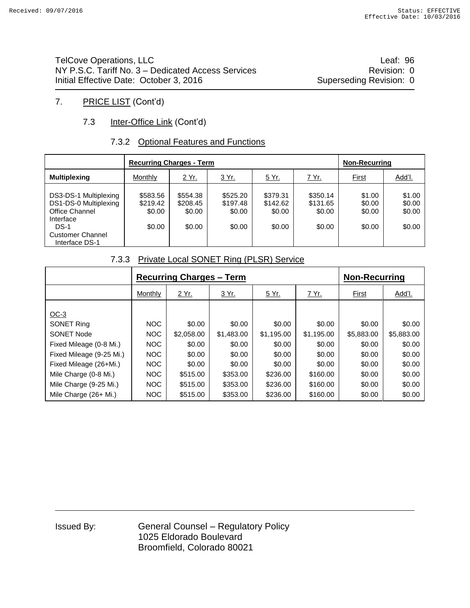TelCove Operations, LLC **COVERSITY COVERSITY** COVER THE Leaf: 96 NY P.S.C. Tariff No. 3 – Dedicated Access Services **Revision: 0** Revision: 0 Initial Effective Date: October 3, 2016 Superseding Revision: 0

## 7. PRICE LIST (Cont'd)

## 7.3 **Inter-Office Link (Cont'd)**

#### 7.3.2 Optional Features and Functions

|                                                                                                                                      | <b>Recurring Charges - Term</b>          |                                          | <b>Non-Recurring</b>                     |                                          |                                          |                                      |                                      |
|--------------------------------------------------------------------------------------------------------------------------------------|------------------------------------------|------------------------------------------|------------------------------------------|------------------------------------------|------------------------------------------|--------------------------------------|--------------------------------------|
| <b>Multiplexing</b>                                                                                                                  | Monthly                                  | 2 Yr.                                    | 3 Yr.                                    | 5 Yr.                                    | <u>7 Yr.</u>                             | <b>First</b>                         | Add'l.                               |
| DS3-DS-1 Multiplexing<br>DS1-DS-0 Multiplexing<br>Office Channel<br>Interface<br>$DS-1$<br><b>Customer Channel</b><br>Interface DS-1 | \$583.56<br>\$219.42<br>\$0.00<br>\$0.00 | \$554.38<br>\$208.45<br>\$0.00<br>\$0.00 | \$525.20<br>\$197.48<br>\$0.00<br>\$0.00 | \$379.31<br>\$142.62<br>\$0.00<br>\$0.00 | \$350.14<br>\$131.65<br>\$0.00<br>\$0.00 | \$1.00<br>\$0.00<br>\$0.00<br>\$0.00 | \$1.00<br>\$0.00<br>\$0.00<br>\$0.00 |

#### 7.3.3 Private Local SONET Ring (PLSR) Service

|                          |            | <b>Recurring Charges – Term</b> | <b>Non-Recurring</b> |              |              |            |               |
|--------------------------|------------|---------------------------------|----------------------|--------------|--------------|------------|---------------|
|                          | Monthly    | <u>2 Yr.</u>                    | 3 Yr.                | <u>5 Yr.</u> | <u>7 Yr.</u> | First      | <u>Add'l.</u> |
| $OC-3$                   |            |                                 |                      |              |              |            |               |
| <b>SONET Ring</b>        | <b>NOC</b> | \$0.00                          | \$0.00               | \$0.00       | \$0.00       | \$0.00     | \$0.00        |
| <b>SONET Node</b>        | <b>NOC</b> | \$2,058.00                      | \$1,483.00           | \$1,195.00   | \$1,195.00   | \$5,883.00 | \$5,883.00    |
| Fixed Mileage (0-8 Mi.)  | NOC        | \$0.00                          | \$0.00               | \$0.00       | \$0.00       | \$0.00     | \$0.00        |
| Fixed Mileage (9-25 Mi.) | NOC        | \$0.00                          | \$0.00               | \$0.00       | \$0.00       | \$0.00     | \$0.00        |
| Fixed Mileage (26+Mi.)   | NOC        | \$0.00                          | \$0.00               | \$0.00       | \$0.00       | \$0.00     | \$0.00        |
| Mile Charge (0-8 Mi.)    | NOC        | \$515.00                        | \$353.00             | \$236.00     | \$160.00     | \$0.00     | \$0.00        |
| Mile Charge (9-25 Mi.)   | NOC        | \$515.00                        | \$353.00             | \$236.00     | \$160.00     | \$0.00     | \$0.00        |
| Mile Charge $(26+Mi.)$   | <b>NOC</b> | \$515.00                        | \$353.00             | \$236.00     | \$160.00     | \$0.00     | \$0.00        |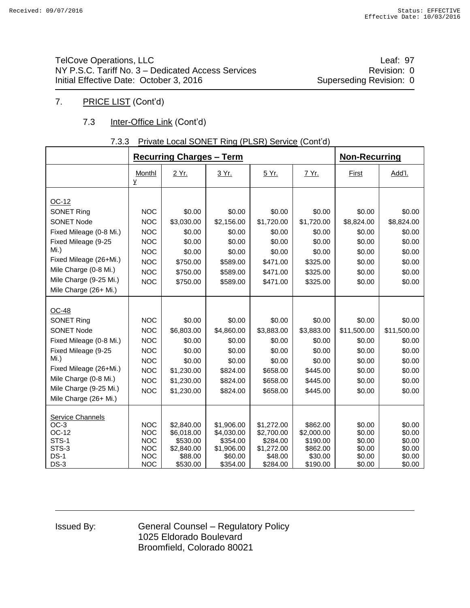TelCove Operations, LLC **Leaf: 97** NY P.S.C. Tariff No. 3 – Dedicated Access Services **Revision: 0** Revision: 0 Initial Effective Date: October 3, 2016 Superseding Revision: 0

## 7. PRICE LIST (Cont'd)

## 7.3 **Inter-Office Link (Cont'd)**

#### 7.3.3 Private Local SONET Ring (PLSR) Service (Cont'd)

|                                                                                                                                                                                                          |                                                                                                              | <b>Recurring Charges - Term</b>                                                              | <b>Non-Recurring</b>                                                                   |                                                                                        |                                                                                        |                                                                                   |                                                                                   |
|----------------------------------------------------------------------------------------------------------------------------------------------------------------------------------------------------------|--------------------------------------------------------------------------------------------------------------|----------------------------------------------------------------------------------------------|----------------------------------------------------------------------------------------|----------------------------------------------------------------------------------------|----------------------------------------------------------------------------------------|-----------------------------------------------------------------------------------|-----------------------------------------------------------------------------------|
|                                                                                                                                                                                                          | Monthl<br>y                                                                                                  | 2 Yr.                                                                                        | 3 Yr.                                                                                  | 5 Yr.                                                                                  | 7 Yr.                                                                                  | First                                                                             | Add'l.                                                                            |
| OC-12<br><b>SONET Ring</b><br><b>SONET Node</b><br>Fixed Mileage (0-8 Mi.)<br>Fixed Mileage (9-25<br>Mi.)<br>Fixed Mileage (26+Mi.)<br>Mile Charge (0-8 Mi.)<br>Mile Charge (9-25 Mi.)                   | <b>NOC</b><br><b>NOC</b><br><b>NOC</b><br><b>NOC</b><br><b>NOC</b><br><b>NOC</b><br><b>NOC</b><br><b>NOC</b> | \$0.00<br>\$3,030.00<br>\$0.00<br>\$0.00<br>\$0.00<br>\$750.00<br>\$750.00<br>\$750.00       | \$0.00<br>\$2,156.00<br>\$0.00<br>\$0.00<br>\$0.00<br>\$589.00<br>\$589.00<br>\$589.00 | \$0.00<br>\$1,720.00<br>\$0.00<br>\$0.00<br>\$0.00<br>\$471.00<br>\$471.00<br>\$471.00 | \$0.00<br>\$1,720.00<br>\$0.00<br>\$0.00<br>\$0.00<br>\$325.00<br>\$325.00<br>\$325.00 | \$0.00<br>\$8,824.00<br>\$0.00<br>\$0.00<br>\$0.00<br>\$0.00<br>\$0.00<br>\$0.00  | \$0.00<br>\$8,824.00<br>\$0.00<br>\$0.00<br>\$0.00<br>\$0.00<br>\$0.00<br>\$0.00  |
| Mile Charge (26+ Mi.)                                                                                                                                                                                    |                                                                                                              |                                                                                              |                                                                                        |                                                                                        |                                                                                        |                                                                                   |                                                                                   |
| OC-48<br>SONET Ring<br><b>SONET Node</b><br>Fixed Mileage (0-8 Mi.)<br>Fixed Mileage (9-25<br>Mi.)<br>Fixed Mileage (26+Mi.)<br>Mile Charge (0-8 Mi.)<br>Mile Charge (9-25 Mi.)<br>Mile Charge (26+ Mi.) | <b>NOC</b><br><b>NOC</b><br><b>NOC</b><br><b>NOC</b><br><b>NOC</b><br><b>NOC</b><br><b>NOC</b><br><b>NOC</b> | \$0.00<br>\$6,803.00<br>\$0.00<br>\$0.00<br>\$0.00<br>\$1,230.00<br>\$1,230.00<br>\$1,230.00 | \$0.00<br>\$4,860.00<br>\$0.00<br>\$0.00<br>\$0.00<br>\$824.00<br>\$824.00<br>\$824.00 | \$0.00<br>\$3,883.00<br>\$0.00<br>\$0.00<br>\$0.00<br>\$658.00<br>\$658.00<br>\$658.00 | \$0.00<br>\$3,883.00<br>\$0.00<br>\$0.00<br>\$0.00<br>\$445.00<br>\$445.00<br>\$445.00 | \$0.00<br>\$11,500.00<br>\$0.00<br>\$0.00<br>\$0.00<br>\$0.00<br>\$0.00<br>\$0.00 | \$0.00<br>\$11,500.00<br>\$0.00<br>\$0.00<br>\$0.00<br>\$0.00<br>\$0.00<br>\$0.00 |
| <b>Service Channels</b><br>$OC-3$<br>OC-12<br>STS-1<br>STS-3<br>$DS-1$<br>$DS-3$                                                                                                                         | <b>NOC</b><br><b>NOC</b><br><b>NOC</b><br><b>NOC</b><br><b>NOC</b><br><b>NOC</b>                             | \$2,840.00<br>\$6.018.00<br>\$530.00<br>\$2,840.00<br>\$88.00<br>\$530.00                    | \$1,906.00<br>\$4,030.00<br>\$354.00<br>\$1,906.00<br>\$60.00<br>\$354.00              | \$1,272.00<br>\$2,700.00<br>\$284.00<br>\$1,272.00<br>\$48.00<br>\$284.00              | \$862.00<br>\$2,000.00<br>\$190.00<br>\$862.00<br>\$30.00<br>\$190.00                  | \$0.00<br>\$0.00<br>\$0.00<br>\$0.00<br>\$0.00<br>\$0.00                          | \$0.00<br>\$0.00<br>\$0.00<br>\$0.00<br>\$0.00<br>\$0.00                          |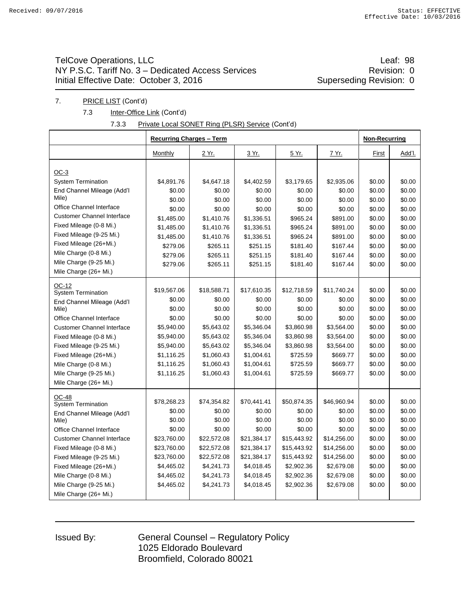## TelCove Operations, LLC **Leaf: 98** NY P.S.C. Tariff No. 3 – Dedicated Access Services **Revision: 0** Revision: 0 Initial Effective Date: October 3, 2016 Superseding Revision: 0

#### 7. PRICE LIST (Cont'd)

7.3 **Inter-Office Link (Cont'd)** 

| 7.3.3 | Private Local SONET Ring (PLSR) Service (Cont'd) |  |
|-------|--------------------------------------------------|--|
|       |                                                  |  |

|                                     | <b>Recurring Charges - Term</b> | <b>Non-Recurring</b> |                  |                  |                  |        |        |
|-------------------------------------|---------------------------------|----------------------|------------------|------------------|------------------|--------|--------|
|                                     | Monthly                         | 2 Yr.                | 3 Yr.            | 5 Yr.            | <u>7 Yr.</u>     | First  | Add'l. |
|                                     |                                 |                      |                  |                  |                  |        |        |
| $OC-3$                              | \$4,891.76                      | \$4,647.18           | \$4,402.59       |                  |                  | \$0.00 | \$0.00 |
| <b>System Termination</b>           |                                 |                      |                  | \$3,179.65       | \$2,935.06       | \$0.00 | \$0.00 |
| End Channel Mileage (Add'l<br>Mile) | \$0.00<br>\$0.00                | \$0.00<br>\$0.00     | \$0.00<br>\$0.00 | \$0.00<br>\$0.00 | \$0.00<br>\$0.00 | \$0.00 | \$0.00 |
| Office Channel Interface            | \$0.00                          | \$0.00               | \$0.00           | \$0.00           | \$0.00           | \$0.00 | \$0.00 |
| <b>Customer Channel Interface</b>   | \$1,485.00                      | \$1,410.76           | \$1,336.51       | \$965.24         | \$891.00         | \$0.00 | \$0.00 |
| Fixed Mileage (0-8 Mi.)             |                                 |                      |                  |                  |                  |        | \$0.00 |
| Fixed Mileage (9-25 Mi.)            | \$1,485.00                      | \$1,410.76           | \$1,336.51       | \$965.24         | \$891.00         | \$0.00 |        |
| Fixed Mileage (26+Mi.)              | \$1,485.00                      | \$1,410.76           | \$1,336.51       | \$965.24         | \$891.00         | \$0.00 | \$0.00 |
| Mile Charge (0-8 Mi.)               | \$279.06                        | \$265.11             | \$251.15         | \$181.40         | \$167.44         | \$0.00 | \$0.00 |
| Mile Charge (9-25 Mi.)              | \$279.06                        | \$265.11             | \$251.15         | \$181.40         | \$167.44         | \$0.00 | \$0.00 |
| Mile Charge (26+ Mi.)               | \$279.06                        | \$265.11             | \$251.15         | \$181.40         | \$167.44         | \$0.00 | \$0.00 |
| OC-12                               |                                 |                      |                  |                  |                  |        |        |
| <b>System Termination</b>           | \$19,567.06                     | \$18,588.71          | \$17,610.35      | \$12,718.59      | \$11,740.24      | \$0.00 | \$0.00 |
| End Channel Mileage (Add'l          | \$0.00                          | \$0.00               | \$0.00           | \$0.00           | \$0.00           | \$0.00 | \$0.00 |
| Mile)                               | \$0.00                          | \$0.00               | \$0.00           | \$0.00           | \$0.00           | \$0.00 | \$0.00 |
| Office Channel Interface            | \$0.00                          | \$0.00               | \$0.00           | \$0.00           | \$0.00           | \$0.00 | \$0.00 |
| <b>Customer Channel Interface</b>   | \$5,940.00                      | \$5,643.02           | \$5,346.04       | \$3,860.98       | \$3,564.00       | \$0.00 | \$0.00 |
| Fixed Mileage (0-8 Mi.)             | \$5,940.00                      | \$5,643.02           | \$5,346.04       | \$3,860.98       | \$3,564.00       | \$0.00 | \$0.00 |
| Fixed Mileage (9-25 Mi.)            | \$5,940.00                      | \$5,643.02           | \$5,346.04       | \$3,860.98       | \$3,564.00       | \$0.00 | \$0.00 |
| Fixed Mileage (26+Mi.)              | \$1,116.25                      | \$1,060.43           | \$1,004.61       | \$725.59         | \$669.77         | \$0.00 | \$0.00 |
| Mile Charge (0-8 Mi.)               | \$1,116.25                      | \$1,060.43           | \$1,004.61       | \$725.59         | \$669.77         | \$0.00 | \$0.00 |
| Mile Charge (9-25 Mi.)              | \$1,116.25                      | \$1,060.43           | \$1,004.61       | \$725.59         | \$669.77         | \$0.00 | \$0.00 |
| Mile Charge (26+ Mi.)               |                                 |                      |                  |                  |                  |        |        |
| <b>OC-48</b>                        |                                 |                      |                  |                  |                  |        |        |
| <b>System Termination</b>           | \$78,268.23                     | \$74,354.82          | \$70,441.41      | \$50,874.35      | \$46,960.94      | \$0.00 | \$0.00 |
| End Channel Mileage (Add'l          | \$0.00                          | \$0.00               | \$0.00           | \$0.00           | \$0.00           | \$0.00 | \$0.00 |
| Mile)                               | \$0.00                          | \$0.00               | \$0.00           | \$0.00           | \$0.00           | \$0.00 | \$0.00 |
| <b>Office Channel Interface</b>     | \$0.00                          | \$0.00               | \$0.00           | \$0.00           | \$0.00           | \$0.00 | \$0.00 |
| <b>Customer Channel Interface</b>   | \$23,760.00                     | \$22,572.08          | \$21,384.17      | \$15,443.92      | \$14,256.00      | \$0.00 | \$0.00 |
| Fixed Mileage (0-8 Mi.)             | \$23,760.00                     | \$22,572.08          | \$21,384.17      | \$15,443.92      | \$14,256.00      | \$0.00 | \$0.00 |
| Fixed Mileage (9-25 Mi.)            | \$23,760.00                     | \$22,572.08          | \$21,384.17      | \$15,443.92      | \$14,256.00      | \$0.00 | \$0.00 |
| Fixed Mileage (26+Mi.)              | \$4,465.02                      | \$4,241.73           | \$4,018.45       | \$2,902.36       | \$2,679.08       | \$0.00 | \$0.00 |
| Mile Charge (0-8 Mi.)               | \$4,465.02                      | \$4,241.73           | \$4,018.45       | \$2,902.36       | \$2,679.08       | \$0.00 | \$0.00 |
| Mile Charge (9-25 Mi.)              | \$4,465.02                      | \$4,241.73           | \$4,018.45       | \$2,902.36       | \$2,679.08       | \$0.00 | \$0.00 |
| Mile Charge (26+ Mi.)               |                                 |                      |                  |                  |                  |        |        |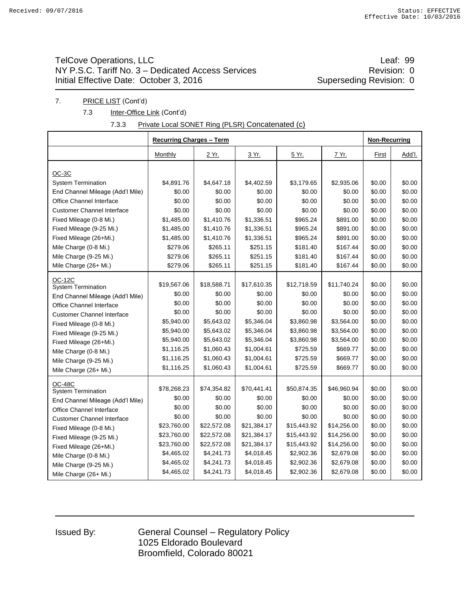## TelCove Operations, LLC **Leaf: 99** NY P.S.C. Tariff No. 3 – Dedicated Access Services<br>
Initial Effective Date: October 3, 2016<br>
Superseding Revision: 0 Initial Effective Date: October 3, 2016

#### 7. PRICE LIST (Cont'd)

7.3 **Inter-Office Link (Cont'd)** 

#### 7.3.3 Private Local SONET Ring (PLSR) Concatenated (c)

|                                                               |                      | <b>Recurring Charges - Term</b> |                      |                      |                      |        |                  |  |
|---------------------------------------------------------------|----------------------|---------------------------------|----------------------|----------------------|----------------------|--------|------------------|--|
|                                                               | Monthly              | 2 Yr.                           | 3 Yr.                | <u>5 Yr.</u>         | <u>7 Yr.</u>         | First  | Add'l.           |  |
|                                                               |                      |                                 |                      |                      |                      |        |                  |  |
| $OC-3C$                                                       |                      |                                 |                      |                      |                      | \$0.00 | \$0.00           |  |
| <b>System Termination</b>                                     | \$4,891.76<br>\$0.00 | \$4,647.18<br>\$0.00            | \$4,402.59<br>\$0.00 | \$3,179.65<br>\$0.00 | \$2,935.06<br>\$0.00 | \$0.00 | \$0.00           |  |
| End Channel Mileage (Add'l Mile)                              |                      |                                 | \$0.00               | \$0.00               |                      | \$0.00 |                  |  |
| Office Channel Interface<br><b>Customer Channel Interface</b> | \$0.00               | \$0.00<br>\$0.00                | \$0.00               | \$0.00               | \$0.00<br>\$0.00     | \$0.00 | \$0.00<br>\$0.00 |  |
|                                                               | \$0.00               |                                 |                      |                      |                      |        |                  |  |
| Fixed Mileage (0-8 Mi.)                                       | \$1,485.00           | \$1,410.76                      | \$1,336.51           | \$965.24             | \$891.00             | \$0.00 | \$0.00           |  |
| Fixed Mileage (9-25 Mi.)                                      | \$1,485.00           | \$1,410.76                      | \$1,336.51           | \$965.24             | \$891.00             | \$0.00 | \$0.00           |  |
| Fixed Mileage (26+Mi.)                                        | \$1,485.00           | \$1,410.76                      | \$1,336.51           | \$965.24             | \$891.00             | \$0.00 | \$0.00           |  |
| Mile Charge (0-8 Mi.)                                         | \$279.06             | \$265.11                        | \$251.15             | \$181.40             | \$167.44             | \$0.00 | \$0.00           |  |
| Mile Charge (9-25 Mi.)                                        | \$279.06             | \$265.11                        | \$251.15             | \$181.40             | \$167.44             | \$0.00 | \$0.00           |  |
| Mile Charge (26+ Mi.)                                         | \$279.06             | \$265.11                        | \$251.15             | \$181.40             | \$167.44             | \$0.00 | \$0.00           |  |
| OC-12C                                                        |                      |                                 |                      |                      |                      |        |                  |  |
| <b>System Termination</b>                                     | \$19,567.06          | \$18,588.71                     | \$17,610.35          | \$12,718.59          | \$11,740.24          | \$0.00 | \$0.00           |  |
| End Channel Mileage (Add'l Mile)                              | \$0.00               | \$0.00                          | \$0.00               | \$0.00               | \$0.00               | \$0.00 | \$0.00           |  |
| Office Channel Interface                                      | \$0.00               | \$0.00                          | \$0.00               | \$0.00               | \$0.00               | \$0.00 | \$0.00           |  |
| <b>Customer Channel Interface</b>                             | \$0.00               | \$0.00                          | \$0.00               | \$0.00               | \$0.00               | \$0.00 | \$0.00           |  |
| Fixed Mileage (0-8 Mi.)                                       | \$5,940.00           | \$5,643.02                      | \$5,346.04           | \$3,860.98           | \$3,564.00           | \$0.00 | \$0.00           |  |
| Fixed Mileage (9-25 Mi.)                                      | \$5,940.00           | \$5,643.02                      | \$5,346.04           | \$3,860.98           | \$3,564.00           | \$0.00 | \$0.00           |  |
| Fixed Mileage (26+Mi.)                                        | \$5,940.00           | \$5,643.02                      | \$5,346.04           | \$3,860.98           | \$3,564.00           | \$0.00 | \$0.00           |  |
| Mile Charge (0-8 Mi.)                                         | \$1,116.25           | \$1,060.43                      | \$1,004.61           | \$725.59             | \$669.77             | \$0.00 | \$0.00           |  |
| Mile Charge (9-25 Mi.)                                        | \$1,116.25           | \$1,060.43                      | \$1,004.61           | \$725.59             | \$669.77             | \$0.00 | \$0.00           |  |
| Mile Charge (26+ Mi.)                                         | \$1,116.25           | \$1,060.43                      | \$1,004.61           | \$725.59             | \$669.77             | \$0.00 | \$0.00           |  |
| <b>OC-48C</b>                                                 |                      |                                 |                      |                      |                      |        |                  |  |
| <b>System Termination</b>                                     | \$78,268.23          | \$74,354.82                     | \$70,441.41          | \$50,874.35          | \$46,960.94          | \$0.00 | \$0.00           |  |
| End Channel Mileage (Add'l Mile)                              | \$0.00               | \$0.00                          | \$0.00               | \$0.00               | \$0.00               | \$0.00 | \$0.00           |  |
| Office Channel Interface                                      | \$0.00               | \$0.00                          | \$0.00               | \$0.00               | \$0.00               | \$0.00 | \$0.00           |  |
| <b>Customer Channel Interface</b>                             | \$0.00               | \$0.00                          | \$0.00               | \$0.00               | \$0.00               | \$0.00 | \$0.00           |  |
| Fixed Mileage (0-8 Mi.)                                       | \$23,760.00          | \$22,572.08                     | \$21,384.17          | \$15,443.92          | \$14,256.00          | \$0.00 | \$0.00           |  |
| Fixed Mileage (9-25 Mi.)                                      | \$23,760.00          | \$22,572.08                     | \$21,384.17          | \$15,443.92          | \$14,256.00          | \$0.00 | \$0.00           |  |
| Fixed Mileage (26+Mi.)                                        | \$23,760.00          | \$22,572.08                     | \$21,384.17          | \$15,443.92          | \$14,256.00          | \$0.00 | \$0.00           |  |
| Mile Charge (0-8 Mi.)                                         | \$4,465.02           | \$4,241.73                      | \$4,018.45           | \$2,902.36           | \$2,679.08           | \$0.00 | \$0.00           |  |
| Mile Charge (9-25 Mi.)                                        | \$4,465.02           | \$4,241.73                      | \$4,018.45           | \$2,902.36           | \$2,679.08           | \$0.00 | \$0.00           |  |
| Mile Charge (26+ Mi.)                                         | \$4,465.02           | \$4,241.73                      | \$4,018.45           | \$2,902.36           | \$2,679.08           | \$0.00 | \$0.00           |  |